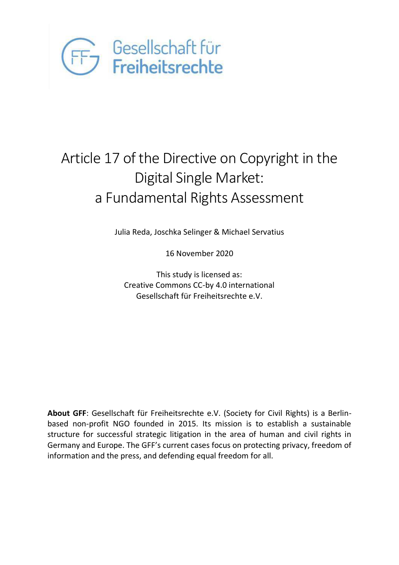

# Article 17 of the Directive on Copyright in the Digital Single Market: a Fundamental Rights Assessment

Julia Reda, Joschka Selinger & Michael Servatius

16 November 2020

This study is licensed as: Creative Commons CC-by 4.0 international Gesellschaft für Freiheitsrechte e.V.

**About GFF**: Gesellschaft für Freiheitsrechte e.V. (Society for Civil Rights) is a Berlinbased non-profit NGO founded in 2015. Its mission is to establish a sustainable structure for successful strategic litigation in the area of human and civil rights in Germany and Europe. The GFF's current cases focus on protecting privacy, freedom of information and the press, and defending equal freedom for all.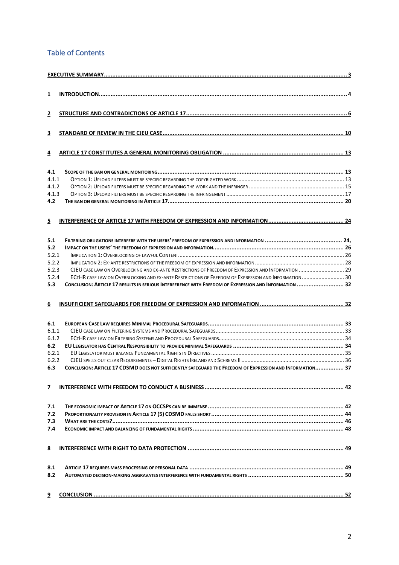### Table of Contents

| $\overline{\mathbf{1}}$ |                                                                                                           |  |
|-------------------------|-----------------------------------------------------------------------------------------------------------|--|
|                         |                                                                                                           |  |
|                         |                                                                                                           |  |
| 2                       |                                                                                                           |  |
|                         |                                                                                                           |  |
| 3                       |                                                                                                           |  |
|                         |                                                                                                           |  |
| 4                       |                                                                                                           |  |
|                         |                                                                                                           |  |
|                         |                                                                                                           |  |
| 4.1                     |                                                                                                           |  |
| 4.1.1                   |                                                                                                           |  |
| 4.1.2                   |                                                                                                           |  |
| 4.1.3<br>4.2            |                                                                                                           |  |
|                         |                                                                                                           |  |
|                         |                                                                                                           |  |
| 5                       |                                                                                                           |  |
|                         |                                                                                                           |  |
| 5.1                     |                                                                                                           |  |
| 5.2                     |                                                                                                           |  |
| 5.2.1                   |                                                                                                           |  |
| 5.2.2                   |                                                                                                           |  |
| 5.2.3                   | CJEU CASE LAW ON OVERBLOCKING AND EX-ANTE RESTRICTIONS OF FREEDOM OF EXPRESSION AND INFORMATION  29       |  |
| 5.2.4                   | ECTHR CASE LAW ON OVERBLOCKING AND EX-ANTE RESTRICTIONS OF FREEDOM OF EXPRESSION AND INFORMATION  30      |  |
| 5.3                     | CONCLUSION: ARTICLE 17 RESULTS IN SERIOUS INTERFERENCE WITH FREEDOM OF EXPRESSION AND INFORMATION  32     |  |
|                         |                                                                                                           |  |
| 6                       |                                                                                                           |  |
|                         |                                                                                                           |  |
|                         |                                                                                                           |  |
| 6.1                     |                                                                                                           |  |
| 6.1.1                   |                                                                                                           |  |
| 6.1.2                   |                                                                                                           |  |
| 6.2                     |                                                                                                           |  |
| 6.2.1<br>6.2.2          |                                                                                                           |  |
| 6.3                     | CONCLUSION: ARTICLE 17 CDSMD DOES NOT SUFFICIENTLY SAFEGUARD THE FREEDOM OF EXPRESSION AND INFORMATION 37 |  |
|                         |                                                                                                           |  |
|                         |                                                                                                           |  |
| 7                       |                                                                                                           |  |
|                         |                                                                                                           |  |
| 7.1                     |                                                                                                           |  |
| 7.2                     |                                                                                                           |  |
| 7.3                     |                                                                                                           |  |
| 7.4                     |                                                                                                           |  |
|                         |                                                                                                           |  |
| 8                       |                                                                                                           |  |
|                         |                                                                                                           |  |
|                         |                                                                                                           |  |
| 8.1                     |                                                                                                           |  |
| 8.2                     |                                                                                                           |  |
|                         |                                                                                                           |  |
| 9                       |                                                                                                           |  |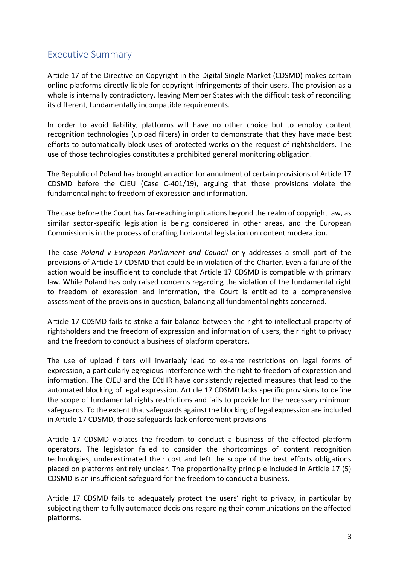# <span id="page-2-0"></span>Executive Summary

Article 17 of the Directive on Copyright in the Digital Single Market (CDSMD) makes certain online platforms directly liable for copyright infringements of their users. The provision as a whole is internally contradictory, leaving Member States with the difficult task of reconciling its different, fundamentally incompatible requirements.

In order to avoid liability, platforms will have no other choice but to employ content recognition technologies (upload filters) in order to demonstrate that they have made best efforts to automatically block uses of protected works on the request of rightsholders. The use of those technologies constitutes a prohibited general monitoring obligation.

The Republic of Poland has brought an action for annulment of certain provisions of Article 17 CDSMD before the CJEU (Case C-401/19), arguing that those provisions violate the fundamental right to freedom of expression and information.

The case before the Court has far-reaching implications beyond the realm of copyright law, as similar sector-specific legislation is being considered in other areas, and the European Commission is in the process of drafting horizontal legislation on content moderation.

The case *Poland v European Parliament and Council* only addresses a small part of the provisions of Article 17 CDSMD that could be in violation of the Charter. Even a failure of the action would be insufficient to conclude that Article 17 CDSMD is compatible with primary law. While Poland has only raised concerns regarding the violation of the fundamental right to freedom of expression and information, the Court is entitled to a comprehensive assessment of the provisions in question, balancing all fundamental rights concerned.

Article 17 CDSMD fails to strike a fair balance between the right to intellectual property of rightsholders and the freedom of expression and information of users, their right to privacy and the freedom to conduct a business of platform operators.

The use of upload filters will invariably lead to ex-ante restrictions on legal forms of expression, a particularly egregious interference with the right to freedom of expression and information. The CJEU and the ECtHR have consistently rejected measures that lead to the automated blocking of legal expression. Article 17 CDSMD lacks specific provisions to define the scope of fundamental rights restrictions and fails to provide for the necessary minimum safeguards. To the extent that safeguards against the blocking of legal expression are included in Article 17 CDSMD, those safeguards lack enforcement provisions

Article 17 CDSMD violates the freedom to conduct a business of the affected platform operators. The legislator failed to consider the shortcomings of content recognition technologies, underestimated their cost and left the scope of the best efforts obligations placed on platforms entirely unclear. The proportionality principle included in Article 17 (5) CDSMD is an insufficient safeguard for the freedom to conduct a business.

Article 17 CDSMD fails to adequately protect the users' right to privacy, in particular by subjecting them to fully automated decisions regarding their communications on the affected platforms.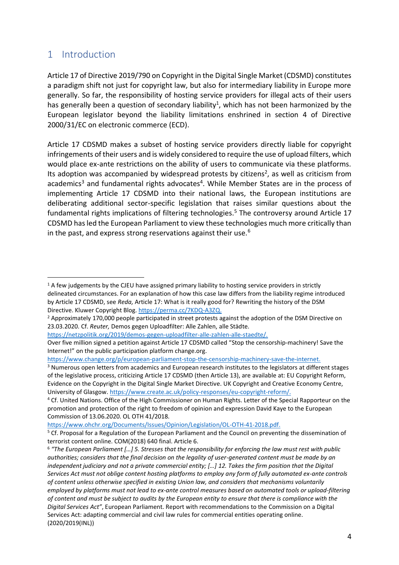### <span id="page-3-0"></span>1 Introduction

Article 17 of Directive 2019/790 on Copyright in the Digital Single Market (CDSMD) constitutes a paradigm shift not just for copyright law, but also for intermediary liability in Europe more generally. So far, the responsibility of hosting service providers for illegal acts of their users has generally been a question of secondary liability<sup>1</sup>, which has not been harmonized by the European legislator beyond the liability limitations enshrined in section 4 of Directive 2000/31/EC on electronic commerce (ECD).

Article 17 CDSMD makes a subset of hosting service providers directly liable for copyright infringements of their users and is widely considered to require the use of upload filters, which would place ex-ante restrictions on the ability of users to communicate via these platforms. Its adoption was accompanied by widespread protests by citizens<sup>2</sup>, as well as criticism from academics<sup>3</sup> and fundamental rights advocates<sup>4</sup>. While Member States are in the process of implementing Article 17 CDSMD into their national laws, the European institutions are deliberating additional sector-specific legislation that raises similar questions about the fundamental rights implications of filtering technologies.<sup>5</sup> The controversy around Article 17 CDSMD has led the European Parliament to view these technologies much more critically than in the past, and express strong reservations against their use.<sup>6</sup>

[https://www.change.org/p/european-parliament-stop-the-censorship-machinery-save-the-internet.](https://www.change.org/p/european-parliament-stop-the-censorship-machinery-save-the-internet)

<sup>&</sup>lt;sup>1</sup> A few judgements by the CJEU have assigned primary liability to hosting service providers in strictly delineated circumstances. For an explanation of how this case law differs from the liability regime introduced by Article 17 CDSMD, see *Reda,* Article 17: What is it really good for? Rewriting the history of the DSM Directive. Kluwer Copyright Blog. [https://perma.cc/7KDQ-A3ZQ.](https://perma.cc/7KDQ-A3ZQ)

<sup>&</sup>lt;sup>2</sup> Approximately 170,000 people participated in street protests against the adoption of the DSM Directive on 23.03.2020. Cf. *Reuter,* Demos gegen Uploadfilter: Alle Zahlen, alle Städte.

[https://netzpolitik.org/2019/demos-gegen-uploadfilter-alle-zahlen-alle-staedte/.](https://netzpolitik.org/2019/demos-gegen-uploadfilter-alle-zahlen-alle-staedte/)

Over five million signed a petition against Article 17 CDSMD called "Stop the censorship-machinery! Save the Internet!" on the public participation platform change.org.

<sup>&</sup>lt;sup>3</sup> Numerous open letters from academics and European research institutes to the legislators at different stages of the legislative process, criticizing Article 17 CDSMD (then Article 13), are available at: EU Copyright Reform, Evidence on the Copyright in the Digital Single Market Directive. UK Copyright and Creative Economy Centre, University of Glasgow. [https://www.create.ac.uk/policy-responses/eu-copyright-reform/.](https://www.create.ac.uk/policy-responses/eu-copyright-reform/)

<sup>4</sup> Cf. United Nations. Office of the High Commissioner on Human Rights. Letter of the Special Rapporteur on the promotion and protection of the right to freedom of opinion and expression David Kaye to the European Commission of 13.06.2020. OL OTH 41/2018.

[https://www.ohchr.org/Documents/Issues/Opinion/Legislation/OL-OTH-41-2018.pdf.](https://www.ohchr.org/Documents/Issues/Opinion/Legislation/OL-OTH-41-2018.pdf)

<sup>&</sup>lt;sup>5</sup> Cf. Proposal for a Regulation of the European Parliament and the Council on preventing the dissemination of terrorist content online. COM(2018) 640 final. Article 6.

<sup>6</sup> *"The European Parliament […] 5. Stresses that the responsibility for enforcing the law must rest with public authorities; considers that the final decision on the legality of user-generated content must be made by an independent judiciary and not a private commercial entity; […] 12. Takes the firm position that the Digital Services Act must not oblige content hosting platforms to employ any form of fully automated ex-ante controls of content unless otherwise specified in existing Union law, and considers that mechanisms voluntarily employed by platforms must not lead to ex-ante control measures based on automated tools or upload-filtering of content and must be subject to audits by the European entity to ensure that there is compliance with the Digital Services Act"*, European Parliament. Report with recommendations to the Commission on a Digital Services Act: adapting commercial and civil law rules for commercial entities operating online. (2020/2019(INL))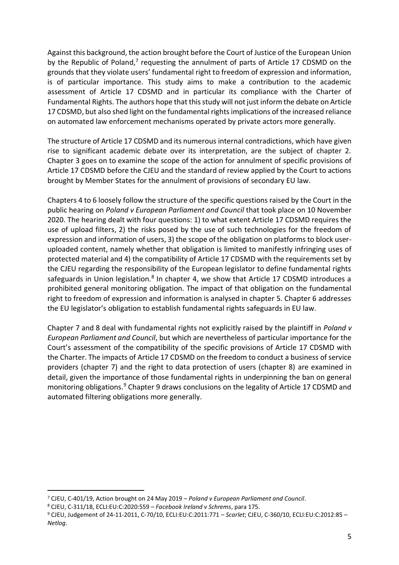Against this background, the action brought before the Court of Justice of the European Union by the Republic of Poland, $<sup>7</sup>$  requesting the annulment of parts of Article 17 CDSMD on the</sup> grounds that they violate users' fundamental right to freedom of expression and information, is of particular importance. This study aims to make a contribution to the academic assessment of Article 17 CDSMD and in particular its compliance with the Charter of Fundamental Rights. The authors hope that this study will not just inform the debate on Article 17 CDSMD, but also shed light on the fundamental rights implications of the increased reliance on automated law enforcement mechanisms operated by private actors more generally.

The structure of Article 17 CDSMD and its numerous internal contradictions, which have given rise to significant academic debate over its interpretation, are the subject of chapter 2. Chapter 3 goes on to examine the scope of the action for annulment of specific provisions of Article 17 CDSMD before the CJEU and the standard of review applied by the Court to actions brought by Member States for the annulment of provisions of secondary EU law.

Chapters 4 to 6 loosely follow the structure of the specific questions raised by the Court in the public hearing on *Poland v European Parliament and Council* that took place on 10 November 2020. The hearing dealt with four questions: 1) to what extent Article 17 CDSMD requires the use of upload filters, 2) the risks posed by the use of such technologies for the freedom of expression and information of users, 3) the scope of the obligation on platforms to block useruploaded content, namely whether that obligation is limited to manifestly infringing uses of protected material and 4) the compatibility of Article 17 CDSMD with the requirements set by the CJEU regarding the responsibility of the European legislator to define fundamental rights safeguards in Union legislation.<sup>8</sup> In chapter 4, we show that Article 17 CDSMD introduces a prohibited general monitoring obligation. The impact of that obligation on the fundamental right to freedom of expression and information is analysed in chapter 5. Chapter 6 addresses the EU legislator's obligation to establish fundamental rights safeguards in EU law.

Chapter 7 and 8 deal with fundamental rights not explicitly raised by the plaintiff in *Poland v European Parliament and Council*, but which are nevertheless of particular importance for the Court's assessment of the compatibility of the specific provisions of Article 17 CDSMD with the Charter. The impacts of Article 17 CDSMD on the freedom to conduct a business of service providers (chapter 7) and the right to data protection of users (chapter 8) are examined in detail, given the importance of those fundamental rights in underpinning the ban on general monitoring obligations.<sup>9</sup> Chapter 9 draws conclusions on the legality of Article 17 CDSMD and automated filtering obligations more generally.

<sup>7</sup> CJEU, C-401/19, Action brought on 24 May 2019 – *Poland v European Parliament and Council*.

<sup>8</sup> CJEU, C-311/18, ECLI:EU:C:2020:559 – *Facebook Ireland v Schrems*, para 175.

<sup>9</sup> CJEU, Judgement of 24-11-2011, C‑70/10, ECLI:EU:C:2011:771 – *Scarlet*; CJEU, C-360/10, ECLI:EU:C:2012:85 – *Netlog*.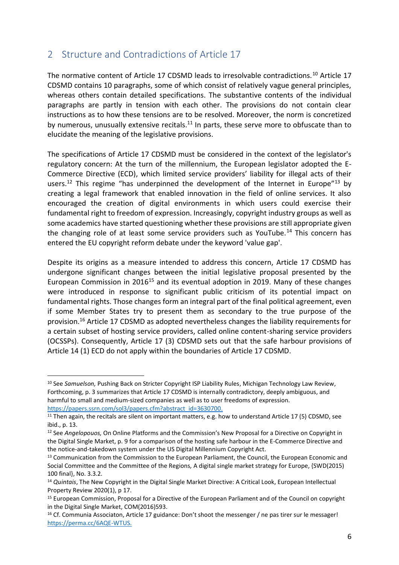## <span id="page-5-0"></span>2 Structure and Contradictions of Article 17

The normative content of Article 17 CDSMD leads to irresolvable contradictions.<sup>10</sup> Article 17 CDSMD contains 10 paragraphs, some of which consist of relatively vague general principles, whereas others contain detailed specifications. The substantive contents of the individual paragraphs are partly in tension with each other. The provisions do not contain clear instructions as to how these tensions are to be resolved. Moreover, the norm is concretized by numerous, unusually extensive recitals.<sup>11</sup> In parts, these serve more to obfuscate than to elucidate the meaning of the legislative provisions.

The specifications of Article 17 CDSMD must be considered in the context of the legislator's regulatory concern: At the turn of the millennium, the European legislator adopted the E-Commerce Directive (ECD), which limited service providers' liability for illegal acts of their users.<sup>12</sup> This regime "has underpinned the development of the Internet in Europe"<sup>13</sup> by creating a legal framework that enabled innovation in the field of online services. It also encouraged the creation of digital environments in which users could exercise their fundamental right to freedom of expression. Increasingly, copyright industry groups as well as some academics have started questioning whether these provisions are still appropriate given the changing role of at least some service providers such as YouTube.<sup>14</sup> This concern has entered the EU copyright reform debate under the keyword 'value gap'.

Despite its origins as a measure intended to address this concern, Article 17 CDSMD has undergone significant changes between the initial legislative proposal presented by the European Commission in  $2016^{15}$  and its eventual adoption in 2019. Many of these changes were introduced in response to significant public criticism of its potential impact on fundamental rights. Those changes form an integral part of the final political agreement, even if some Member States try to present them as secondary to the true purpose of the provision.<sup>16</sup> Article 17 CDSMD as adopted nevertheless changes the liability requirements for a certain subset of hosting service providers, called online content-sharing service providers (OCSSPs). Consequently, Article 17 (3) CDSMD sets out that the safe harbour provisions of Article 14 (1) ECD do not apply within the boundaries of Article 17 CDSMD.

<sup>10</sup> See *Samuelson,* Pushing Back on Stricter Copyright ISP Liability Rules, Michigan Technology Law Review, Forthcoming, p. 3 summarizes that Article 17 CDSMD is internally contradictory, deeply ambiguous, and harmful to small and medium-sized companies as well as to user freedoms of expression. [https://papers.ssrn.com/sol3/papers.cfm?abstract\\_id=3630700.](https://papers.ssrn.com/sol3/papers.cfm?abstract_id=3630700)

<sup>&</sup>lt;sup>11</sup> Then again, the recitals are silent on important matters, e.g. how to understand Article 17 (5) CDSMD, see ibid., p. 13.

<sup>12</sup> See *Angelopouos,* On Online Platforms and the Commission's New Proposal for a Directive on Copyright in the Digital Single Market, p. 9 for a comparison of the hosting safe harbour in the E-Commerce Directive and the notice-and-takedown system under the US Digital Millennium Copyright Act.

<sup>&</sup>lt;sup>13</sup> Communication from the Commission to the European Parliament, the Council, the European Economic and Social Committee and the Committee of the Regions*,* A digital single market strategy for Europe, {SWD(2015) 100 final}, No. 3.3.2.

<sup>14</sup> *Quintais*, The New Copyright in the Digital Single Market Directive: A Critical Look, European Intellectual Property Review 2020(1), p 17.

<sup>&</sup>lt;sup>15</sup> European Commission, Proposal for a Directive of the European Parliament and of the Council on copyright in the Digital Single Market, COM(2016)593.

<sup>&</sup>lt;sup>16</sup> Cf. Communia Associaton, Article 17 guidance: Don't shoot the messenger / ne pas tirer sur le messager! [https://perma.cc/6AQE-WTUS.](https://perma.cc/6AQE-WTUS)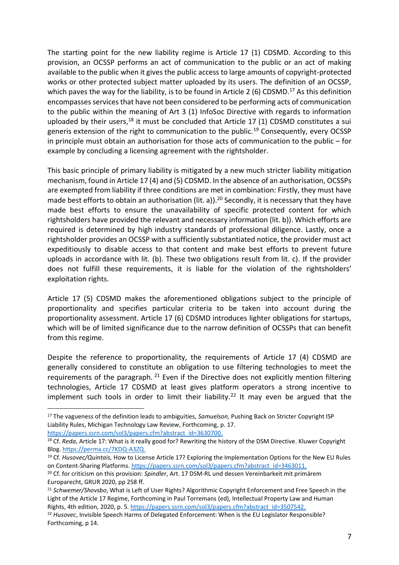The starting point for the new liability regime is Article 17 (1) CDSMD. According to this provision, an OCSSP performs an act of communication to the public or an act of making available to the public when it gives the public access to large amounts of copyright-protected works or other protected subject matter uploaded by its users. The definition of an OCSSP, which paves the way for the liability, is to be found in Article 2 (6) CDSMD.<sup>17</sup> As this definition encompasses services that have not been considered to be performing acts of communication to the public within the meaning of Art 3 (1) InfoSoc Directive with regards to information uploaded by their users, $18$  it must be concluded that Article 17 (1) CDSMD constitutes a sui generis extension of the right to communication to the public.<sup>19</sup> Consequently, every OCSSP in principle must obtain an authorisation for those acts of communication to the public – for example by concluding a licensing agreement with the rightsholder.

This basic principle of primary liability is mitigated by a new much stricter liability mitigation mechanism, found in Article 17 (4) and (5) CDSMD. In the absence of an authorisation, OCSSPs are exempted from liability if three conditions are met in combination: Firstly, they must have made best efforts to obtain an authorisation (lit. a)).<sup>20</sup> Secondly, it is necessary that they have made best efforts to ensure the unavailability of specific protected content for which rightsholders have provided the relevant and necessary information (lit. b)). Which efforts are required is determined by high industry standards of professional diligence. Lastly, once a rightsholder provides an OCSSP with a sufficiently substantiated notice, the provider must act expeditiously to disable access to that content and make best efforts to prevent future uploads in accordance with lit. (b). These two obligations result from lit. c). If the provider does not fulfill these requirements, it is liable for the violation of the rightsholders' exploitation rights.

Article 17 (5) CDSMD makes the aforementioned obligations subject to the principle of proportionality and specifies particular criteria to be taken into account during the proportionality assessment. Article 17 (6) CDSMD introduces lighter obligations for startups, which will be of limited significance due to the narrow definition of OCSSPs that can benefit from this regime.

Despite the reference to proportionality, the requirements of Article 17 (4) CDSMD are generally considered to constitute an obligation to use filtering technologies to meet the requirements of the paragraph.  $21$  Even if the Directive does not explicitly mention filtering technologies, Article 17 CDSMD at least gives platform operators a strong incentive to implement such tools in order to limit their liability.<sup>22</sup> It may even be argued that the

<sup>17</sup> The vagueness of the definition leads to ambiguities, *Samuelson,* Pushing Back on Stricter Copyright ISP Liability Rules, Michigan Technology Law Review, Forthcoming, p. 17. [https://papers.ssrn.com/sol3/papers.cfm?abstract\\_id=3630700.](https://papers.ssrn.com/sol3/papers.cfm?abstract_id=3630700)

<sup>18</sup> Cf. *Reda*, Article 17: What is it really good for? Rewriting the history of the DSM Directive. Kluwer Copyright Blog[. https://perma.cc/7KDQ-A3ZQ.](https://perma.cc/7KDQ-A3ZQ)

<sup>19</sup> Cf. *Husovec/Quintais,* How to License Article 17? Exploring the Implementation Options for the New EU Rules on Content-Sharing Platforms. [https://papers.ssrn.com/sol3/papers.cfm?abstract\\_id=3463011.](https://papers.ssrn.com/sol3/papers.cfm?abstract_id=3463011)

<sup>20</sup> Cf. for criticism on this provision: *Spindler*, Art. 17 DSM-RL und dessen Vereinbarkeit mit primärem Europarecht, GRUR 2020, pp 258 ff.

<sup>21</sup> *Schwemer/Shovsbo*, What is Left of User Rights? Algorithmic Copyright Enforcement and Free Speech in the Light of the Article 17 Regime, Forthcoming in Paul Torremans (ed), Intellectual Property Law and Human Rights, 4th edition, 2020, p. 5. [https://papers.ssrn.com/sol3/papers.cfm?abstract\\_id=3507542.](https://papers.ssrn.com/sol3/papers.cfm?abstract_id=3507542)

<sup>22</sup> *Husovec*, Invisible Speech Harms of Delegated Enforcement: When is the EU Legislator Responsible? Forthcoming, p 14.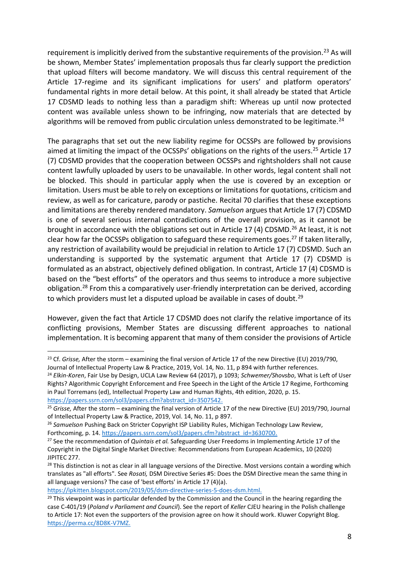requirement is implicitly derived from the substantive requirements of the provision.<sup>23</sup> As will be shown, Member States' implementation proposals thus far clearly support the prediction that upload filters will become mandatory. We will discuss this central requirement of the Article 17-regime and its significant implications for users' and platform operators' fundamental rights in more detail below. At this point, it shall already be stated that Article 17 CDSMD leads to nothing less than a paradigm shift: Whereas up until now protected content was available unless shown to be infringing, now materials that are detected by algorithms will be removed from public circulation unless demonstrated to be legitimate.<sup>24</sup>

The paragraphs that set out the new liability regime for OCSSPs are followed by provisions aimed at limiting the impact of the OCSSPs' obligations on the rights of the users.<sup>25</sup> Article 17 (7) CDSMD provides that the cooperation between OCSSPs and rightsholders shall not cause content lawfully uploaded by users to be unavailable. In other words, legal content shall not be blocked. This should in particular apply when the use is covered by an exception or limitation. Users must be able to rely on exceptions or limitations for quotations, criticism and review, as well as for caricature, parody or pastiche. Recital 70 clarifies that these exceptions and limitations are thereby rendered mandatory. *Samuelson* argues that Article 17 (7) CDSMD is one of several serious internal contradictions of the overall provision, as it cannot be brought in accordance with the obligations set out in Article 17 (4) CDSMD.<sup>26</sup> At least, it is not clear how far the OCSSPs obligation to safeguard these requirements goes.<sup>27</sup> If taken literally, any restriction of availability would be prejudicial in relation to Article 17 (7) CDSMD. Such an understanding is supported by the systematic argument that Article 17 (7) CDSMD is formulated as an abstract, objectively defined obligation. In contrast, Article 17 (4) CDSMD is based on the "best efforts" of the operators and thus seems to introduce a more subjective obligation.<sup>28</sup> From this a comparatively user-friendly interpretation can be derived, according to which providers must let a disputed upload be available in cases of doubt.<sup>29</sup>

However, given the fact that Article 17 CDSMD does not clarify the relative importance of its conflicting provisions, Member States are discussing different approaches to national implementation. It is becoming apparent that many of them consider the provisions of Article

<sup>24</sup> *Elkin-Koren*, Fair Use by Design, UCLA Law Review 64 (2017), p 1093; *Schwemer/Shovsbo*, What is Left of User Rights? Algorithmic Copyright Enforcement and Free Speech in the Light of the Article 17 Regime, Forthcoming in Paul Torremans (ed), Intellectual Property Law and Human Rights, 4th edition, 2020, p. 15. [https://papers.ssrn.com/sol3/papers.cfm?abstract\\_id=3507542.](https://papers.ssrn.com/sol3/papers.cfm?abstract_id=3507542)

[https://ipkitten.blogspot.com/2019/05/dsm-directive-series-5-does-dsm.html.](https://ipkitten.blogspot.com/2019/05/dsm-directive-series-5-does-dsm.html)

<sup>&</sup>lt;sup>23</sup> Cf. *Grisse*, After the storm – examining the final version of Article 17 of the new Directive (EU) 2019/790, Journal of Intellectual Property Law & Practice, 2019, Vol. 14, No. 11, p 894 with further references.

<sup>25</sup> *Grisse,* After the storm – examining the final version of Article 17 of the new Directive (EU) 2019/790, Journal of Intellectual Property Law & Practice, 2019, Vol. 14, No. 11, p 897.

<sup>26</sup> *Samuelson* Pushing Back on Stricter Copyright ISP Liability Rules, Michigan Technology Law Review, Forthcoming, p. 14. [https://papers.ssrn.com/sol3/papers.cfm?abstract\\_id=3630700.](https://papers.ssrn.com/sol3/papers.cfm?abstract_id=3630700)

<sup>27</sup> See the recommendation of *Quintais et al.* Safeguarding User Freedoms in Implementing Article 17 of the Copyright in the Digital Single Market Directive: Recommendations from European Academics, 10 (2020) JIPITEC 277.

<sup>&</sup>lt;sup>28</sup> This distinction is not as clear in all language versions of the Directive. Most versions contain a wording which translates as "all efforts". See *Rosati,* DSM Directive Series #5: Does the DSM Directive mean the same thing in all language versions? The case of 'best efforts' in Article 17 (4)(a).

 $29$  This viewpoint was in particular defended by the Commission and the Council in the hearing regarding the case C-401/19 (*Poland v Parliament and Council*). See the report of *Keller* CJEU hearing in the Polish challenge to Article 17: Not even the supporters of the provision agree on how it should work. Kluwer Copyright Blog. [https://perma.cc/8D8K-V7MZ.](https://perma.cc/8D8K-V7MZ)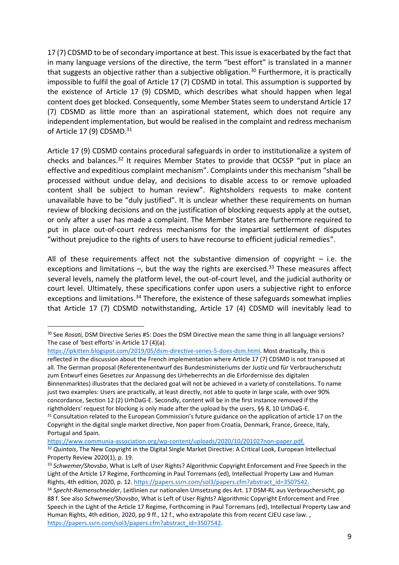17 (7) CDSMD to be of secondary importance at best. This issue is exacerbated by the fact that in many language versions of the directive, the term "best effort" is translated in a manner that suggests an objective rather than a subjective obligation.<sup>30</sup> Furthermore, it is practically impossible to fulfil the goal of Article 17 (7) CDSMD in total. This assumption is supported by the existence of Article 17 (9) CDSMD, which describes what should happen when legal content does get blocked. Consequently, some Member States seem to understand Article 17 (7) CDSMD as little more than an aspirational statement, which does not require any independent implementation, but would be realised in the complaint and redress mechanism of Article 17 (9) CDSMD.<sup>31</sup>

Article 17 (9) CDSMD contains procedural safeguards in order to institutionalize a system of checks and balances.<sup>32</sup> It requires Member States to provide that OCSSP "put in place an effective and expeditious complaint mechanism". Complaints under this mechanism "shall be processed without undue delay, and decisions to disable access to or remove uploaded content shall be subject to human review". Rightsholders requests to make content unavailable have to be "duly justified". It is unclear whether these requirements on human review of blocking decisions and on the justification of blocking requests apply at the outset, or only after a user has made a complaint. The Member States are furthermore required to put in place out-of-court redress mechanisms for the impartial settlement of disputes "without prejudice to the rights of users to have recourse to efficient judicial remedies".

All of these requirements affect not the substantive dimension of copyright  $-$  i.e. the exceptions and limitations  $-$ , but the way the rights are exercised.<sup>33</sup> These measures affect several levels, namely the platform level, the out-of-court level, and the judicial authority or court level. Ultimately, these specifications confer upon users a subjective right to enforce exceptions and limitations.<sup>34</sup> Therefore, the existence of these safeguards somewhat implies that Article 17 (7) CDSMD notwithstanding, Article 17 (4) CDSMD will inevitably lead to

reflected in the discussion about the French implementation where Article 17 (7) CDSMD is not transposed at all. The German proposal (Referentenentwurf des Bundesministeriums der Justiz und für Verbraucherschutz zum Entwurf eines Gesetzes zur Anpassung des Urheberrechts an die Erfordernisse des digitalen Binnenmarktes) illustrates that the declared goal will not be achieved in a variety of constellations. To name just two examples: Users are practically, at least directly, not able to quote in large scale, with over 90% concordance, Section 12 (2) UrhDaG-E. Secondly, content will be in the first instance removed if the rightholders' request for blocking is only made after the upload by the users, §§ 8, 10 UrhDaG-E.

[https://www.communia-association.org/wp-content/uploads/2020/10/201027non-paper.pdf.](https://www.communia-association.org/wp-content/uploads/2020/10/201027non-paper.pdf)

<sup>30</sup> See *Rosati,* DSM Directive Series #5: Does the DSM Directive mean the same thing in all language versions? The case of 'best efforts' in Article 17 (4)(a).

[https://ipkitten.blogspot.com/2019/05/dsm-directive-series-5-does-dsm.html.](https://ipkitten.blogspot.com/2019/05/dsm-directive-series-5-does-dsm.html) Most drastically, this is

<sup>&</sup>lt;sup>31</sup> Consultation related to the European Commission's future guidance on the application of article 17 on the Copyright in the digital single market directive, Non paper from Croatia, Denmark, France, Greece, Italy, Portugal and Spain.

<sup>32</sup> *Quintais*, The New Copyright in the Digital Single Market Directive: A Critical Look, European Intellectual Property Review 2020(1), p. 19.

<sup>33</sup> *Schwemer/Shovsbo*, What is Left of User Rights? Algorithmic Copyright Enforcement and Free Speech in the Light of the Article 17 Regime, Forthcoming in Paul Torremans (ed), Intellectual Property Law and Human Rights, 4th edition, 2020, p. 12. [https://papers.ssrn.com/sol3/papers.cfm?abstract\\_id=3507542.](https://papers.ssrn.com/sol3/papers.cfm?abstract_id=3507542)

<sup>34</sup> *Specht-Riemenschneider*, Leitlinien zur nationalen Umsetzung des Art. 17 DSM-RL aus Verbrauchersicht, pp 88 f. See also *Schwemer/Shovsbo*, What is Left of User Rights? Algorithmic Copyright Enforcement and Free Speech in the Light of the Article 17 Regime, Forthcoming in Paul Torremans (ed), Intellectual Property Law and Human Rights, 4th edition, 2020, pp 9 ff., 12 f., who extrapolate this from recent CJEU case law., [https://papers.ssrn.com/sol3/papers.cfm?abstract\\_id=3507542.](https://papers.ssrn.com/sol3/papers.cfm?abstract_id=3507542)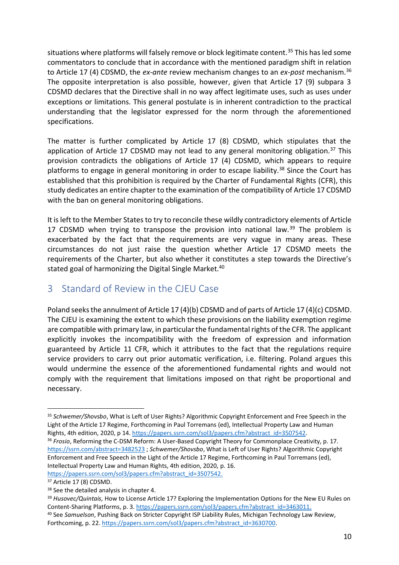situations where platforms will falsely remove or block legitimate content.<sup>35</sup> This has led some commentators to conclude that in accordance with the mentioned paradigm shift in relation to Article 17 (4) CDSMD, the *ex-ante* review mechanism changes to an *ex-post* mechanism.<sup>36</sup> The opposite interpretation is also possible, however, given that Article 17 (9) subpara 3 CDSMD declares that the Directive shall in no way affect legitimate uses, such as uses under exceptions or limitations. This general postulate is in inherent contradiction to the practical understanding that the legislator expressed for the norm through the aforementioned specifications.

The matter is further complicated by Article 17 (8) CDSMD, which stipulates that the application of Article 17 CDSMD may not lead to any general monitoring obligation.<sup>37</sup> This provision contradicts the obligations of Article 17 (4) CDSMD, which appears to require platforms to engage in general monitoring in order to escape liability.<sup>38</sup> Since the Court has established that this prohibition is required by the Charter of Fundamental Rights (CFR), this study dedicates an entire chapter to the examination of the compatibility of Article 17 CDSMD with the ban on general monitoring obligations.

It is left to the Member States to try to reconcile these wildly contradictory elements of Article 17 CDSMD when trying to transpose the provision into national law.<sup>39</sup> The problem is exacerbated by the fact that the requirements are very vague in many areas. These circumstances do not just raise the question whether Article 17 CDSMD meets the requirements of the Charter, but also whether it constitutes a step towards the Directive's stated goal of harmonizing the Digital Single Market.<sup>40</sup>

# <span id="page-9-0"></span>3 Standard of Review in the CJEU Case

Poland seeks the annulment of Article 17 (4)(b) CDSMD and of parts of Article 17 (4)(c) CDSMD. The CJEU is examining the extent to which these provisions on the liability exemption regime are compatible with primary law, in particular the fundamental rights of the CFR. The applicant explicitly invokes the incompatibility with the freedom of expression and information guaranteed by Article 11 CFR, which it attributes to the fact that the regulations require service providers to carry out prior automatic verification, i.e. filtering. Poland argues this would undermine the essence of the aforementioned fundamental rights and would not comply with the requirement that limitations imposed on that right be proportional and necessary.

<sup>36</sup> *Frosio*, Reforming the C-DSM Reform: A User-Based Copyright Theory for Commonplace Creativity, p. 17. <https://ssrn.com/abstract=3482523> ; *Schwemer/Shovsbo*, What is Left of User Rights? Algorithmic Copyright Enforcement and Free Speech in the Light of the Article 17 Regime, Forthcoming in Paul Torremans (ed), Intellectual Property Law and Human Rights, 4th edition, 2020, p. 16. [https://papers.ssrn.com/sol3/papers.cfm?abstract\\_id=3507542.](https://papers.ssrn.com/sol3/papers.cfm?abstract_id=3507542)

<sup>35</sup> *Schwemer/Shovsbo*, What is Left of User Rights? Algorithmic Copyright Enforcement and Free Speech in the Light of the Article 17 Regime, Forthcoming in Paul Torremans (ed), Intellectual Property Law and Human Rights, 4th edition, 2020, p 14. [https://papers.ssrn.com/sol3/papers.cfm?abstract\\_id=3507542.](https://papers.ssrn.com/sol3/papers.cfm?abstract_id=3507542)

<sup>&</sup>lt;sup>37</sup> Article 17 (8) CDSMD.

<sup>38</sup> See the detailed analysis in chapter 4.

<sup>39</sup> *Husovec/Quintais,* How to License Article 17? Exploring the Implementation Options for the New EU Rules on Content-Sharing Platforms, p. 3. [https://papers.ssrn.com/sol3/papers.cfm?abstract\\_id=3463011.](https://papers.ssrn.com/sol3/papers.cfm?abstract_id=3463011)

<sup>40</sup> See *Samuelson*, Pushing Back on Stricter Copyright ISP Liability Rules, Michigan Technology Law Review, Forthcoming, p. 22. [https://papers.ssrn.com/sol3/papers.cfm?abstract\\_id=3630700.](https://papers.ssrn.com/sol3/papers.cfm?abstract_id=3630700)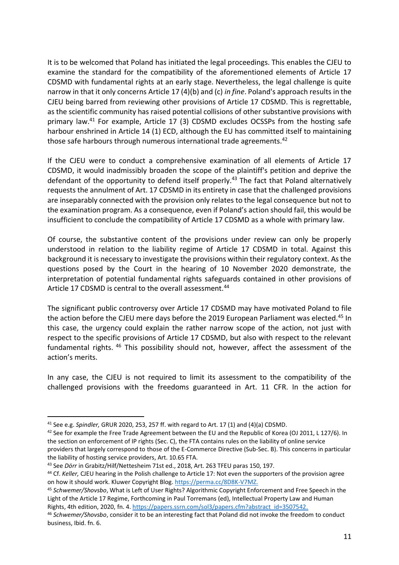It is to be welcomed that Poland has initiated the legal proceedings. This enables the CJEU to examine the standard for the compatibility of the aforementioned elements of Article 17 CDSMD with fundamental rights at an early stage. Nevertheless, the legal challenge is quite narrow in that it only concerns Article 17 (4)(b) and (c) *in fine*. Poland's approach results in the CJEU being barred from reviewing other provisions of Article 17 CDSMD. This is regrettable, as the scientific community has raised potential collisions of other substantive provisions with primary law.<sup>41</sup> For example, Article 17 (3) CDSMD excludes OCSSPs from the hosting safe harbour enshrined in Article 14 (1) ECD, although the EU has committed itself to maintaining those safe harbours through numerous international trade agreements.<sup>42</sup>

If the CJEU were to conduct a comprehensive examination of all elements of Article 17 CDSMD, it would inadmissibly broaden the scope of the plaintiff's petition and deprive the defendant of the opportunity to defend itself properly.<sup>43</sup> The fact that Poland alternatively requests the annulment of Art. 17 CDSMD in its entirety in case that the challenged provisions are inseparably connected with the provision only relates to the legal consequence but not to the examination program. As a consequence, even if Poland's action should fail, this would be insufficient to conclude the compatibility of Article 17 CDSMD as a whole with primary law.

Of course, the substantive content of the provisions under review can only be properly understood in relation to the liability regime of Article 17 CDSMD in total. Against this background it is necessary to investigate the provisions within their regulatory context. As the questions posed by the Court in the hearing of 10 November 2020 demonstrate, the interpretation of potential fundamental rights safeguards contained in other provisions of Article 17 CDSMD is central to the overall assessment.<sup>44</sup>

The significant public controversy over Article 17 CDSMD may have motivated Poland to file the action before the CJEU mere days before the 2019 European Parliament was elected.<sup>45</sup> In this case, the urgency could explain the rather narrow scope of the action, not just with respect to the specific provisions of Article 17 CDSMD, but also with respect to the relevant fundamental rights. <sup>46</sup> This possibility should not, however, affect the assessment of the action's merits.

In any case, the CJEU is not required to limit its assessment to the compatibility of the challenged provisions with the freedoms guaranteed in Art. 11 CFR. In the action for

<sup>41</sup> See e.g. *Spindler,* GRUR 2020, 253, 257 ff. with regard to Art. 17 (1) and (4)(a) CDSMD.

<sup>&</sup>lt;sup>42</sup> See for example the Free Trade Agreement between the EU and the Republic of Korea (OJ 2011, L 127/6). In the section on enforcement of IP rights (Sec. C), the FTA contains rules on the liability of online service providers that largely correspond to those of the E-Commerce Directive (Sub-Sec. B). This concerns in particular the liability of hosting service providers, Art. 10.65 FTA.

<sup>43</sup> See *Dörr* in Grabitz/Hilf/Nettesheim 71st ed., 2018, Art. 263 TFEU paras 150, 197.

<sup>44</sup> Cf. *Keller,* CJEU hearing in the Polish challenge to Article 17: Not even the supporters of the provision agree on how it should work. Kluwer Copyright Blog. [https://perma.cc/8D8K-V7MZ.](https://perma.cc/8D8K-V7MZ) 

<sup>45</sup> *Schwemer/Shovsbo*, What is Left of User Rights? Algorithmic Copyright Enforcement and Free Speech in the Light of the Article 17 Regime, Forthcoming in Paul Torremans (ed), Intellectual Property Law and Human Rights, 4th edition, 2020, fn. 4. [https://papers.ssrn.com/sol3/papers.cfm?abstract\\_id=3507542.](https://papers.ssrn.com/sol3/papers.cfm?abstract_id=3507542)

<sup>46</sup> *Schwemer/Shovsbo*, consider it to be an interesting fact that Poland did not invoke the freedom to conduct business, Ibid. fn. 6.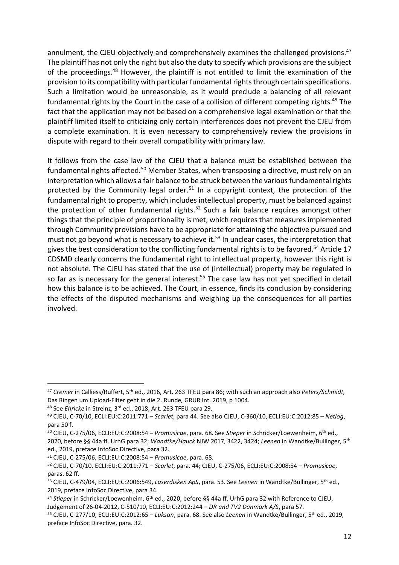annulment, the CJEU objectively and comprehensively examines the challenged provisions.<sup>47</sup> The plaintiff has not only the right but also the duty to specify which provisions are the subject of the proceedings.<sup>48</sup> However, the plaintiff is not entitled to limit the examination of the provision to its compatibility with particular fundamental rights through certain specifications. Such a limitation would be unreasonable, as it would preclude a balancing of all relevant fundamental rights by the Court in the case of a collision of different competing rights.<sup>49</sup> The fact that the application may not be based on a comprehensive legal examination or that the plaintiff limited itself to criticizing only certain interferences does not prevent the CJEU from a complete examination. It is even necessary to comprehensively review the provisions in dispute with regard to their overall compatibility with primary law.

It follows from the case law of the CJEU that a balance must be established between the fundamental rights affected.<sup>50</sup> Member States, when transposing a directive, must rely on an interpretation which allows a fair balance to be struck between the various fundamental rights protected by the Community legal order.<sup>51</sup> In a copyright context, the protection of the fundamental right to property, which includes intellectual property, must be balanced against the protection of other fundamental rights.<sup>52</sup> Such a fair balance requires amongst other things that the principle of proportionality is met, which requires that measures implemented through Community provisions have to be appropriate for attaining the objective pursued and must not go beyond what is necessary to achieve it.<sup>53</sup> In unclear cases, the interpretation that gives the best consideration to the conflicting fundamental rights is to be favored.<sup>54</sup> Article 17 CDSMD clearly concerns the fundamental right to intellectual property, however this right is not absolute. The CJEU has stated that the use of (intellectual) property may be regulated in so far as is necessary for the general interest.<sup>55</sup> The case law has not yet specified in detail how this balance is to be achieved. The Court, in essence, finds its conclusion by considering the effects of the disputed mechanisms and weighing up the consequences for all parties involved.

<sup>47</sup> *Cremer* in Calliess/Ruffert, 5th ed., 2016, Art. 263 TFEU para 86; with such an approach also *Peters/Schmidt,*  Das Ringen um Upload-Filter geht in die 2. Runde*,* GRUR Int. 2019, p 1004.

<sup>48</sup> See *Ehricke* in Streinz, 3rd ed., 2018, Art. 263 TFEU para 29.

<sup>49</sup> CJEU, C-70/10, ECLI:EU:C:2011:771 – *Scarlet*, para 44. See also CJEU, C-360/10, ECLI:EU:C:2012:85 – *Netlog*, para 50 f.

<sup>50</sup> CJEU, C-275/06, ECLI:EU:C:2008:54 – *Promusicae*, para. 68. See *Stieper* in Schricker/Loewenheim, 6th ed., 2020, before §§ 44a ff. UrhG para 32; *Wandtke/Hauck* NJW 2017, 3422, 3424; *Leenen* in Wandtke/Bullinger, 5th ed., 2019, preface InfoSoc Directive, para 32.

<sup>51</sup> CJEU, C-275/06, ECLI:EU:C:2008:54 – *Promusicae*, para. 68.

<sup>52</sup> CJEU, C‑70/10, ECLI:EU:C:2011:771 – *Scarlet*, para. 44; CJEU, C-275/06, ECLI:EU:C:2008:54 – *Promusicae*, paras. 62 ff.

<sup>53</sup> CJEU, C-479/04, ECLI:EU:C:2006:549, *Laserdisken ApS*, para. 53. See *Leenen* in Wandtke/Bullinger, 5th ed., 2019, preface InfoSoc Directive, para 34.

<sup>54</sup> *Stieper* in Schricker/Loewenheim, 6th ed., 2020, before §§ 44a ff. UrhG para 32 with Reference to CJEU, Judgement of 26-04-2012, C‑510/10, ECLI:EU:C:2012:244 – *DR and TV2 Danmark A/S*, para 57.

<sup>55</sup> CJEU, C‑277/10, ECLI:EU:C:2012:65 – *Luksan*, para. 68. See also *Leenen* in Wandtke/Bullinger, 5th ed., 2019, preface InfoSoc Directive, para. 32.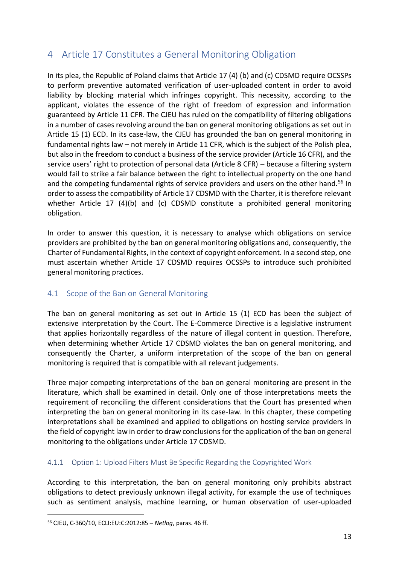# <span id="page-12-0"></span>4 Article 17 Constitutes a General Monitoring Obligation

In its plea, the Republic of Poland claims that Article 17 (4) (b) and (c) CDSMD require OCSSPs to perform preventive automated verification of user-uploaded content in order to avoid liability by blocking material which infringes copyright. This necessity, according to the applicant, violates the essence of the right of freedom of expression and information guaranteed by Article 11 CFR. The CJEU has ruled on the compatibility of filtering obligations in a number of cases revolving around the ban on general monitoring obligations as set out in Article 15 (1) ECD. In its case-law, the CJEU has grounded the ban on general monitoring in fundamental rights law – not merely in Article 11 CFR, which is the subject of the Polish plea, but also in the freedom to conduct a business of the service provider (Article 16 CFR), and the service users' right to protection of personal data (Article 8 CFR) – because a filtering system would fail to strike a fair balance between the right to intellectual property on the one hand and the competing fundamental rights of service providers and users on the other hand.<sup>56</sup> In order to assess the compatibility of Article 17 CDSMD with the Charter, it is therefore relevant whether Article 17 (4)(b) and (c) CDSMD constitute a prohibited general monitoring obligation.

In order to answer this question, it is necessary to analyse which obligations on service providers are prohibited by the ban on general monitoring obligations and, consequently, the Charter of Fundamental Rights, in the context of copyright enforcement. In a second step, one must ascertain whether Article 17 CDSMD requires OCSSPs to introduce such prohibited general monitoring practices.

### <span id="page-12-1"></span>4.1 Scope of the Ban on General Monitoring

The ban on general monitoring as set out in Article 15 (1) ECD has been the subject of extensive interpretation by the Court. The E-Commerce Directive is a legislative instrument that applies horizontally regardless of the nature of illegal content in question. Therefore, when determining whether Article 17 CDSMD violates the ban on general monitoring, and consequently the Charter, a uniform interpretation of the scope of the ban on general monitoring is required that is compatible with all relevant judgements.

Three major competing interpretations of the ban on general monitoring are present in the literature, which shall be examined in detail. Only one of those interpretations meets the requirement of reconciling the different considerations that the Court has presented when interpreting the ban on general monitoring in its case-law. In this chapter, these competing interpretations shall be examined and applied to obligations on hosting service providers in the field of copyright law in order to draw conclusions for the application of the ban on general monitoring to the obligations under Article 17 CDSMD.

### <span id="page-12-2"></span>4.1.1 Option 1: Upload Filters Must Be Specific Regarding the Copyrighted Work

According to this interpretation, the ban on general monitoring only prohibits abstract obligations to detect previously unknown illegal activity, for example the use of techniques such as sentiment analysis, machine learning, or human observation of user-uploaded

<sup>56</sup> CJEU, C-360/10, ECLI:EU:C:2012:85 – *Netlog*, paras. 46 ff.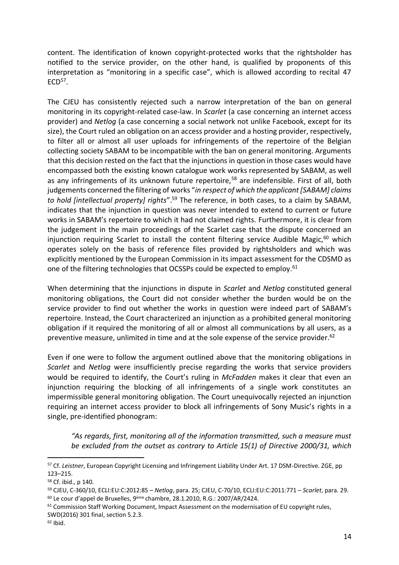content. The identification of known copyright-protected works that the rightsholder has notified to the service provider, on the other hand, is qualified by proponents of this interpretation as "monitoring in a specific case", which is allowed according to recital 47  $ECD<sup>57</sup>$ .

The CJEU has consistently rejected such a narrow interpretation of the ban on general monitoring in its copyright-related case-law. In *Scarlet* (a case concerning an internet access provider) and *Netlog* (a case concerning a social network not unlike Facebook, except for its size), the Court ruled an obligation on an access provider and a hosting provider, respectively, to filter all or almost all user uploads for infringements of the repertoire of the Belgian collecting society SABAM to be incompatible with the ban on general monitoring. Arguments that this decision rested on the fact that the injunctions in question in those cases would have encompassed both the existing known catalogue work works represented by SABAM, as well as any infringements of its unknown future repertoire,<sup>58</sup> are indefensible. First of all, both judgements concerned the filtering of works "*in respect of which the applicant [SABAM] claims to hold [intellectual property] rights*".<sup>59</sup> The reference, in both cases, to a claim by SABAM, indicates that the injunction in question was never intended to extend to current or future works in SABAM's repertoire to which it had not claimed rights. Furthermore, it is clear from the judgement in the main proceedings of the Scarlet case that the dispute concerned an injunction requiring Scarlet to install the content filtering service Audible Magic, $60$  which operates solely on the basis of reference files provided by rightsholders and which was explicitly mentioned by the European Commission in its impact assessment for the CDSMD as one of the filtering technologies that OCSSPs could be expected to employ.<sup>61</sup>

When determining that the injunctions in dispute in *Scarlet* and *Netlog* constituted general monitoring obligations, the Court did not consider whether the burden would be on the service provider to find out whether the works in question were indeed part of SABAM's repertoire. Instead, the Court characterized an injunction as a prohibited general monitoring obligation if it required the monitoring of all or almost all communications by all users, as a preventive measure, unlimited in time and at the sole expense of the service provider.<sup>62</sup>

Even if one were to follow the argument outlined above that the monitoring obligations in *Scarlet* and *Netlog* were insufficiently precise regarding the works that service providers would be required to identify, the Court's ruling in *McFadden* makes it clear that even an injunction requiring the blocking of all infringements of a single work constitutes an impermissible general monitoring obligation. The Court unequivocally rejected an injunction requiring an internet access provider to block all infringements of Sony Music's rights in a single, pre-identified phonogram:

*"As regards, first, monitoring all of the information transmitted, such a measure must be excluded from the outset as contrary to Article 15(1) of Directive 2000/31, which* 

<sup>57</sup> Cf. *Leistner*, European Copyright Licensing and Infringement Liability Under Art. 17 DSM-Directive. ZGE, pp 123–215.

<sup>58</sup> Cf. ibid., p 140.

<sup>59</sup> CJEU, C-360/10, ECLI:EU:C:2012:85 – *Netlog*, para. 25; CJEU, C-70/10, ECLI:EU:C:2011:771 – *Scarlet*, para. 29.  $60$  Le cour d'appel de Bruxelles,  $9^{\text{eme}}$  chambre, 28.1.2010, R.G.: 2007/AR/2424.

 $61$  Commission Staff Working Document, Impact Assessment on the modernisation of EU copyright rules,

SWD(2016) 301 final, section 5.2.3.

 $62$  Ibid.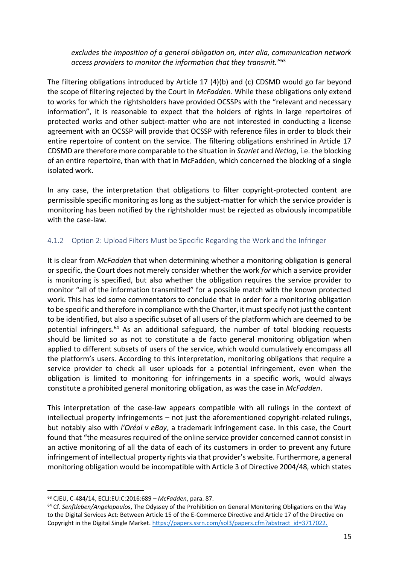*excludes the imposition of a general obligation on, inter alia, communication network access providers to monitor the information that they transmit."*<sup>63</sup>

The filtering obligations introduced by Article 17 (4)(b) and (c) CDSMD would go far beyond the scope of filtering rejected by the Court in *McFadden*. While these obligations only extend to works for which the rightsholders have provided OCSSPs with the "relevant and necessary information", it is reasonable to expect that the holders of rights in large repertoires of protected works and other subject-matter who are not interested in conducting a license agreement with an OCSSP will provide that OCSSP with reference files in order to block their entire repertoire of content on the service. The filtering obligations enshrined in Article 17 CDSMD are therefore more comparable to the situation in *Scarlet* and *Netlog*, i.e. the blocking of an entire repertoire, than with that in McFadden, which concerned the blocking of a single isolated work.

In any case, the interpretation that obligations to filter copyright-protected content are permissible specific monitoring as long as the subject-matter for which the service provider is monitoring has been notified by the rightsholder must be rejected as obviously incompatible with the case-law.

#### <span id="page-14-0"></span>4.1.2 Option 2: Upload Filters Must be Specific Regarding the Work and the Infringer

It is clear from *McFadden* that when determining whether a monitoring obligation is general or specific, the Court does not merely consider whether the work *for* which a service provider is monitoring is specified, but also whether the obligation requires the service provider to monitor "all of the information transmitted" for a possible match with the known protected work. This has led some commentators to conclude that in order for a monitoring obligation to be specific and therefore in compliance with the Charter, it must specify not just the content to be identified, but also a specific subset of all users of the platform which are deemed to be potential infringers.<sup>64</sup> As an additional safeguard, the number of total blocking requests should be limited so as not to constitute a de facto general monitoring obligation when applied to different subsets of users of the service, which would cumulatively encompass all the platform's users. According to this interpretation, monitoring obligations that require a service provider to check all user uploads for a potential infringement, even when the obligation is limited to monitoring for infringements in a specific work, would always constitute a prohibited general monitoring obligation, as was the case in *McFadden*.

This interpretation of the case-law appears compatible with all rulings in the context of intellectual property infringements – not just the aforementioned copyright-related rulings, but notably also with *l'Oréal v eBay*, a trademark infringement case. In this case, the Court found that "the measures required of the online service provider concerned cannot consist in an active monitoring of all the data of each of its customers in order to prevent any future infringement of intellectual property rights via that provider's website. Furthermore, a general monitoring obligation would be incompatible with Article 3 of Directive 2004/48, which states

<sup>63</sup> CJEU, C-484/14, ECLI:EU:C:2016:689 – *McFadden*, para. 87.

<sup>64</sup> Cf. *Senftleben/Angelopoulos*, The Odyssey of the Prohibition on General Monitoring Obligations on the Way to the Digital Services Act: Between Article 15 of the E-Commerce Directive and Article 17 of the Directive on Copyright in the Digital Single Market. [https://papers.ssrn.com/sol3/papers.cfm?abstract\\_id=3717022.](https://papers.ssrn.com/sol3/papers.cfm?abstract_id=3717022)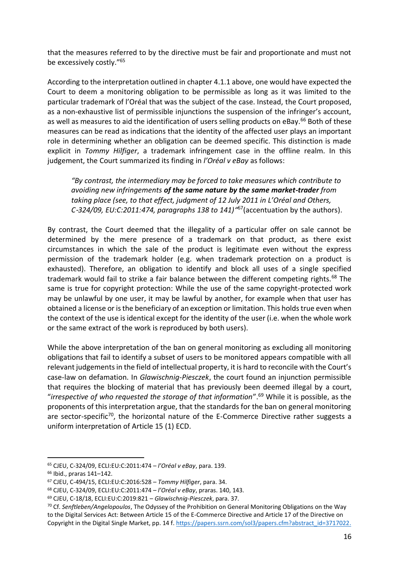that the measures referred to by the directive must be fair and proportionate and must not be excessively costly."<sup>65</sup>

According to the interpretation outlined in chapter 4.1.1 above, one would have expected the Court to deem a monitoring obligation to be permissible as long as it was limited to the particular trademark of l'Oréal that was the subject of the case. Instead, the Court proposed, as a non-exhaustive list of permissible injunctions the suspension of the infringer's account, as well as measures to aid the identification of users selling products on eBay.<sup>66</sup> Both of these measures can be read as indications that the identity of the affected user plays an important role in determining whether an obligation can be deemed specific. This distinction is made explicit in *Tommy Hilfiger*, a trademark infringement case in the offline realm. In this judgement, the Court summarized its finding in *l'Oréal v eBay* as follows:

*"By contrast, the intermediary may be forced to take measures which contribute to avoiding new infringements of the same nature by the same market-trader from taking place (see, to that effect, judgment of 12 July 2011 in L'Oréal and Others, C*‑*324/09, EU:C:2011:474, paragraphs 138 to 141)"* <sup>67</sup>(accentuation by the authors).

By contrast, the Court deemed that the illegality of a particular offer on sale cannot be determined by the mere presence of a trademark on that product, as there exist circumstances in which the sale of the product is legitimate even without the express permission of the trademark holder (e.g. when trademark protection on a product is exhausted). Therefore, an obligation to identify and block all uses of a single specified trademark would fail to strike a fair balance between the different competing rights.<sup>68</sup> The same is true for copyright protection: While the use of the same copyright-protected work may be unlawful by one user, it may be lawful by another, for example when that user has obtained a license or is the beneficiary of an exception or limitation. This holds true even when the context of the use is identical except for the identity of the user (i.e. when the whole work or the same extract of the work is reproduced by both users).

While the above interpretation of the ban on general monitoring as excluding all monitoring obligations that fail to identify a subset of users to be monitored appears compatible with all relevant judgements in the field of intellectual property, it is hard to reconcile with the Court's case-law on defamation. In *Glawischnig-Piesczek*, the court found an injunction permissible that requires the blocking of material that has previously been deemed illegal by a court, "*irrespective of who requested the storage of that information*".<sup>69</sup> While it is possible, as the proponents of this interpretation argue, that the standards for the ban on general monitoring are sector-specific<sup>70</sup>, the horizontal nature of the E-Commerce Directive rather suggests a uniform interpretation of Article 15 (1) ECD.

<sup>65</sup> CJEU, C-324/09, ECLI:EU:C:2011:474 – *l'Oréal v eBay*, para. 139.

<sup>66</sup> Ibid., praras 141–142.

<sup>67</sup> CJEU, C-494/15, ECLI:EU:C:2016:528 – *Tommy Hilfiger*, para. 34.

<sup>68</sup> CJEU, C-324/09, ECLI:EU:C:2011:474 – *l'Oréal v eBay*, praras. 140, 143.

<sup>69</sup> CJEU, C-18/18, ECLI:EU:C:2019:821 – *Glawischnig-Piesczek*, para. 37.

<sup>70</sup> Cf. *Senftleben/Angelopoulos*, The Odyssey of the Prohibition on General Monitoring Obligations on the Way to the Digital Services Act: Between Article 15 of the E-Commerce Directive and Article 17 of the Directive on Copyright in the Digital Single Market, pp. 14 f[. https://papers.ssrn.com/sol3/papers.cfm?abstract\\_id=3717022.](https://papers.ssrn.com/sol3/papers.cfm?abstract_id=3717022)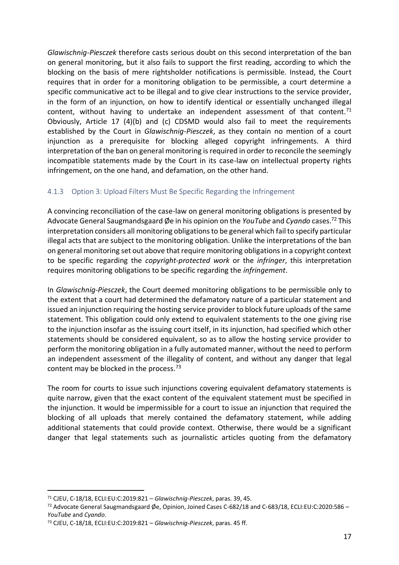*Glawischnig-Piesczek* therefore casts serious doubt on this second interpretation of the ban on general monitoring, but it also fails to support the first reading, according to which the blocking on the basis of mere rightsholder notifications is permissible. Instead, the Court requires that in order for a monitoring obligation to be permissible, a court determine a specific communicative act to be illegal and to give clear instructions to the service provider, in the form of an injunction, on how to identify identical or essentially unchanged illegal content, without having to undertake an independent assessment of that content.<sup>71</sup> Obviously, Article 17 (4)(b) and (c) CDSMD would also fail to meet the requirements established by the Court in *Glawischnig-Piesczek*, as they contain no mention of a court injunction as a prerequisite for blocking alleged copyright infringements. A third interpretation of the ban on general monitoring is required in order to reconcile the seemingly incompatible statements made by the Court in its case-law on intellectual property rights infringement, on the one hand, and defamation, on the other hand.

### <span id="page-16-0"></span>4.1.3 Option 3: Upload Filters Must Be Specific Regarding the Infringement

A convincing reconciliation of the case-law on general monitoring obligations is presented by Advocate General Saugmandsgaard Øe in his opinion on the *YouTube* and *Cyando* cases.<sup>72</sup> This interpretation considers all monitoring obligations to be general which fail to specify particular illegal acts that are subject to the monitoring obligation. Unlike the interpretations of the ban on general monitoring set out above that require monitoring obligations in a copyright context to be specific regarding the *copyright-protected work* or the *infringer*, this interpretation requires monitoring obligations to be specific regarding the *infringement*.

In *Glawischnig-Piesczek*, the Court deemed monitoring obligations to be permissible only to the extent that a court had determined the defamatory nature of a particular statement and issued an injunction requiring the hosting service provider to block future uploads of the same statement. This obligation could only extend to equivalent statements to the one giving rise to the injunction insofar as the issuing court itself, in its injunction, had specified which other statements should be considered equivalent, so as to allow the hosting service provider to perform the monitoring obligation in a fully automated manner, without the need to perform an independent assessment of the illegality of content, and without any danger that legal content may be blocked in the process. $73$ 

The room for courts to issue such injunctions covering equivalent defamatory statements is quite narrow, given that the exact content of the equivalent statement must be specified in the injunction. It would be impermissible for a court to issue an injunction that required the blocking of all uploads that merely contained the defamatory statement, while adding additional statements that could provide context. Otherwise, there would be a significant danger that legal statements such as journalistic articles quoting from the defamatory

<sup>71</sup> CJEU, C-18/18, ECLI:EU:C:2019:821 – *Glawischnig-Piesczek*, paras. 39, 45.

<sup>72</sup> Advocate General Saugmandsgaard Øe, Opinion, Joined Cases C-682/18 and C-683/18, ECLI:EU:C:2020:586 -*YouTube* and *Cyando*.

<sup>73</sup> CJEU, C-18/18, ECLI:EU:C:2019:821 – *Glawischnig-Piesczek*, paras. 45 ff.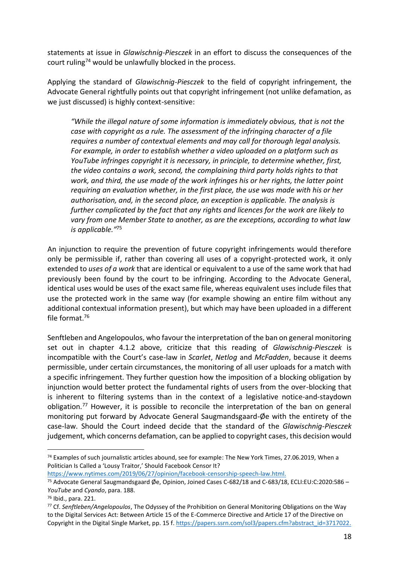statements at issue in *Glawischnig-Piesczek* in an effort to discuss the consequences of the court ruling<sup>74</sup> would be unlawfully blocked in the process.

Applying the standard of *Glawischnig-Piesczek* to the field of copyright infringement, the Advocate General rightfully points out that copyright infringement (not unlike defamation, as we just discussed) is highly context-sensitive:

*"While the illegal nature of some information is immediately obvious, that is not the case with copyright as a rule. The assessment of the infringing character of a file requires a number of contextual elements and may call for thorough legal analysis. For example, in order to establish whether a video uploaded on a platform such as YouTube infringes copyright it is necessary, in principle, to determine whether, first, the video contains a work, second, the complaining third party holds rights to that work, and third, the use made of the work infringes his or her rights, the latter point requiring an evaluation whether, in the first place, the use was made with his or her authorisation, and, in the second place, an exception is applicable. The analysis is further complicated by the fact that any rights and licences for the work are likely to vary from one Member State to another, as are the exceptions, according to what law is applicable."*<sup>75</sup>

An injunction to require the prevention of future copyright infringements would therefore only be permissible if, rather than covering all uses of a copyright-protected work, it only extended to *uses of a work* that are identical or equivalent to a use of the same work that had previously been found by the court to be infringing. According to the Advocate General, identical uses would be uses of the exact same file, whereas equivalent uses include files that use the protected work in the same way (for example showing an entire film without any additional contextual information present), but which may have been uploaded in a different file format.<sup>76</sup>

Senftleben and Angelopoulos, who favour the interpretation of the ban on general monitoring set out in chapter 4.1.2 above, criticize that this reading of *Glawischnig-Piesczek* is incompatible with the Court's case-law in *Scarlet*, *Netlog* and *McFadden*, because it deems permissible, under certain circumstances, the monitoring of all user uploads for a match with a specific infringement. They further question how the imposition of a blocking obligation by injunction would better protect the fundamental rights of users from the over-blocking that is inherent to filtering systems than in the context of a legislative notice-and-staydown obligation.<sup>77</sup> However, it is possible to reconcile the interpretation of the ban on general monitoring put forward by Advocate General Saugmandsgaard-Øe with the entirety of the case-law. Should the Court indeed decide that the standard of the *Glawischnig-Piesczek*  judgement, which concerns defamation, can be applied to copyright cases, this decision would

[https://www.nytimes.com/2019/06/27/opinion/facebook-censorship-speech-law.html.](https://www.nytimes.com/2019/06/27/opinion/facebook-censorship-speech-law.html)

<sup>74</sup> Examples of such journalistic articles abound, see for example: The New York Times, 27.06.2019, When a Politician Is Called a 'Lousy Traitor,' Should Facebook Censor It?

<sup>75</sup> Advocate General Saugmandsgaard Øe, Opinion, Joined Cases C‑682/18 and C‑683/18, ECLI:EU:C:2020:586 – *YouTube* and *Cyando*, para. 188.

<sup>76</sup> Ibid., para. 221.

<sup>77</sup> Cf. *Senftleben/Angelopoulos*, The Odyssey of the Prohibition on General Monitoring Obligations on the Way to the Digital Services Act: Between Article 15 of the E-Commerce Directive and Article 17 of the Directive on Copyright in the Digital Single Market, pp. 15 f[. https://papers.ssrn.com/sol3/papers.cfm?abstract\\_id=3717022.](https://papers.ssrn.com/sol3/papers.cfm?abstract_id=3717022)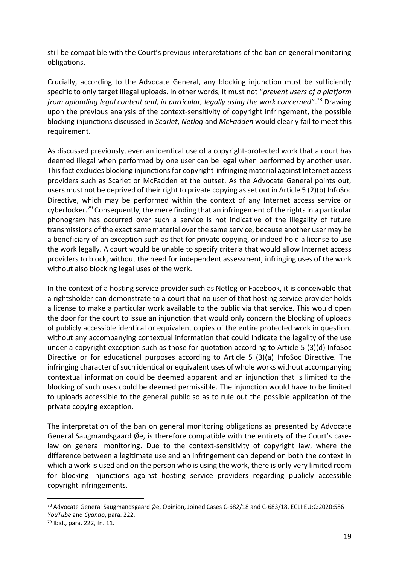still be compatible with the Court's previous interpretations of the ban on general monitoring obligations.

Crucially, according to the Advocate General, any blocking injunction must be sufficiently specific to only target illegal uploads. In other words, it must not "*prevent users of a platform from uploading legal content and, in particular, legally using the work concerned*".<sup>78</sup> Drawing upon the previous analysis of the context-sensitivity of copyright infringement, the possible blocking injunctions discussed in *Scarlet*, *Netlog* and *McFadden* would clearly fail to meet this requirement.

As discussed previously, even an identical use of a copyright-protected work that a court has deemed illegal when performed by one user can be legal when performed by another user. This fact excludes blocking injunctions for copyright-infringing material against Internet access providers such as Scarlet or McFadden at the outset. As the Advocate General points out, users must not be deprived of their right to private copying as set out in Article 5 (2)(b) InfoSoc Directive, which may be performed within the context of any Internet access service or cyberlocker.<sup>79</sup> Consequently, the mere finding that an infringement of the rights in a particular phonogram has occurred over such a service is not indicative of the illegality of future transmissions of the exact same material over the same service, because another user may be a beneficiary of an exception such as that for private copying, or indeed hold a license to use the work legally. A court would be unable to specify criteria that would allow Internet access providers to block, without the need for independent assessment, infringing uses of the work without also blocking legal uses of the work.

In the context of a hosting service provider such as Netlog or Facebook, it is conceivable that a rightsholder can demonstrate to a court that no user of that hosting service provider holds a license to make a particular work available to the public via that service. This would open the door for the court to issue an injunction that would only concern the blocking of uploads of publicly accessible identical or equivalent copies of the entire protected work in question, without any accompanying contextual information that could indicate the legality of the use under a copyright exception such as those for quotation according to Article 5 (3)(d) InfoSoc Directive or for educational purposes according to Article 5 (3)(a) InfoSoc Directive. The infringing character of such identical or equivalent uses of whole works without accompanying contextual information could be deemed apparent and an injunction that is limited to the blocking of such uses could be deemed permissible. The injunction would have to be limited to uploads accessible to the general public so as to rule out the possible application of the private copying exception.

The interpretation of the ban on general monitoring obligations as presented by Advocate General Saugmandsgaard Øe, is therefore compatible with the entirety of the Court's caselaw on general monitoring. Due to the context-sensitivity of copyright law, where the difference between a legitimate use and an infringement can depend on both the context in which a work is used and on the person who is using the work, there is only very limited room for blocking injunctions against hosting service providers regarding publicly accessible copyright infringements.

<sup>&</sup>lt;sup>78</sup> Advocate General Saugmandsgaard Øe, Opinion, Joined Cases C-682/18 and C-683/18, ECLI:EU:C:2020:586 -*YouTube* and *Cyando*, para. 222.

<sup>79</sup> Ibid., para. 222, fn. 11.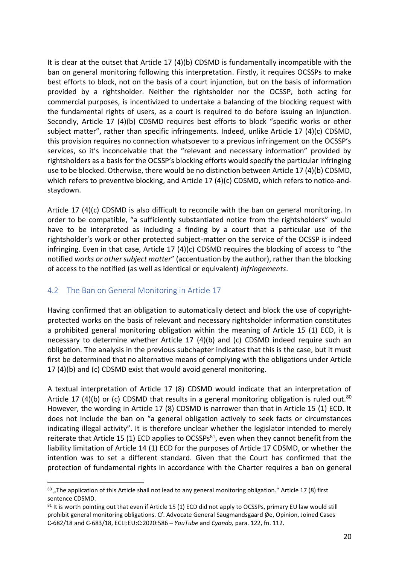It is clear at the outset that Article 17 (4)(b) CDSMD is fundamentally incompatible with the ban on general monitoring following this interpretation. Firstly, it requires OCSSPs to make best efforts to block, not on the basis of a court injunction, but on the basis of information provided by a rightsholder. Neither the rightsholder nor the OCSSP, both acting for commercial purposes, is incentivized to undertake a balancing of the blocking request with the fundamental rights of users, as a court is required to do before issuing an injunction. Secondly, Article 17 (4)(b) CDSMD requires best efforts to block "specific works or other subject matter", rather than specific infringements. Indeed, unlike Article 17 (4)(c) CDSMD, this provision requires no connection whatsoever to a previous infringement on the OCSSP's services, so it's inconceivable that the "relevant and necessary information" provided by rightsholders as a basis for the OCSSP's blocking efforts would specify the particular infringing use to be blocked. Otherwise, there would be no distinction between Article 17 (4)(b) CDSMD, which refers to preventive blocking, and Article 17 (4)(c) CDSMD, which refers to notice-andstaydown.

Article 17 (4)(c) CDSMD is also difficult to reconcile with the ban on general monitoring. In order to be compatible, "a sufficiently substantiated notice from the rightsholders" would have to be interpreted as including a finding by a court that a particular use of the rightsholder's work or other protected subject-matter on the service of the OCSSP is indeed infringing. Even in that case, Article 17 (4)(c) CDSMD requires the blocking of access to "the notified *works or other subject matter*" (accentuation by the author), rather than the blocking of access to the notified (as well as identical or equivalent) *infringements*.

### <span id="page-19-0"></span>4.2 The Ban on General Monitoring in Article 17

Having confirmed that an obligation to automatically detect and block the use of copyrightprotected works on the basis of relevant and necessary rightsholder information constitutes a prohibited general monitoring obligation within the meaning of Article 15 (1) ECD, it is necessary to determine whether Article 17 (4)(b) and (c) CDSMD indeed require such an obligation. The analysis in the previous subchapter indicates that this is the case, but it must first be determined that no alternative means of complying with the obligations under Article 17 (4)(b) and (c) CDSMD exist that would avoid general monitoring.

A textual interpretation of Article 17 (8) CDSMD would indicate that an interpretation of Article 17 (4)(b) or (c) CDSMD that results in a general monitoring obligation is ruled out.<sup>80</sup> However, the wording in Article 17 (8) CDSMD is narrower than that in Article 15 (1) ECD. It does not include the ban on "a general obligation actively to seek facts or circumstances indicating illegal activity". It is therefore unclear whether the legislator intended to merely reiterate that Article 15 (1) ECD applies to OCSSPs<sup>81</sup>, even when they cannot benefit from the liability limitation of Article 14 (1) ECD for the purposes of Article 17 CDSMD, or whether the intention was to set a different standard. Given that the Court has confirmed that the protection of fundamental rights in accordance with the Charter requires a ban on general

<sup>80 &</sup>quot;The application of this Article shall not lead to any general monitoring obligation." Article 17 (8) first sentence CDSMD.

<sup>81</sup> It is worth pointing out that even if Article 15 (1) ECD did not apply to OCSSPs, primary EU law would still prohibit general monitoring obligations. Cf. Advocate General Saugmandsgaard Øe, Opinion, Joined Cases C‑682/18 and C‑683/18, ECLI:EU:C:2020:586 – *YouTube* and *Cyando,* para. 122, fn. 112.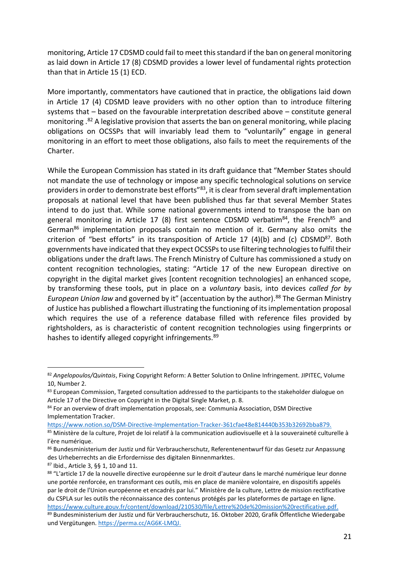monitoring, Article 17 CDSMD could fail to meet this standard if the ban on general monitoring as laid down in Article 17 (8) CDSMD provides a lower level of fundamental rights protection than that in Article 15 (1) ECD.

More importantly, commentators have cautioned that in practice, the obligations laid down in Article 17 (4) CDSMD leave providers with no other option than to introduce filtering systems that – based on the favourable interpretation described above – constitute general monitoring .<sup>82</sup> A legislative provision that asserts the ban on general monitoring, while placing obligations on OCSSPs that will invariably lead them to "voluntarily" engage in general monitoring in an effort to meet those obligations, also fails to meet the requirements of the Charter.

While the European Commission has stated in its draft guidance that "Member States should not mandate the use of technology or impose any specific technological solutions on service providers in order to demonstrate best efforts"<sup>83</sup>, it is clear from several draft implementation proposals at national level that have been published thus far that several Member States intend to do just that. While some national governments intend to transpose the ban on general monitoring in Article 17 (8) first sentence CDSMD verbatim $^{84}$ , the French $^{85}$  and German<sup>86</sup> implementation proposals contain no mention of it. Germany also omits the criterion of "best efforts" in its transposition of Article 17 (4)(b) and (c)  $CDSMD<sup>87</sup>$ . Both governments have indicated that they expect OCSSPs to use filtering technologies to fulfil their obligations under the draft laws. The French Ministry of Culture has commissioned a study on content recognition technologies, stating: "Article 17 of the new European directive on copyright in the digital market gives [content recognition technologies] an enhanced scope, by transforming these tools, put in place on a *voluntary* basis, into devices *called for by European Union law* and governed by it" (accentuation by the author).<sup>88</sup> The German Ministry of Justice has published a flowchart illustrating the functioning of its implementation proposal which requires the use of a reference database filled with reference files provided by rightsholders, as is characteristic of content recognition technologies using fingerprints or hashes to identify alleged copyright infringements.<sup>89</sup>

[https://www.notion.so/DSM-Directive-Implementation-Tracker-361cfae48e814440b353b32692bba879.](https://www.notion.so/DSM-Directive-Implementation-Tracker-361cfae48e814440b353b32692bba879)

<sup>82</sup> *Angelopoulos/Quintais*, Fixing Copyright Reform: A Better Solution to Online Infringement. JIPITEC, Volume 10, Number 2.

<sup>83</sup> European Commission, Targeted consultation addressed to the participants to the stakeholder dialogue on Article 17 of the Directive on Copyright in the Digital Single Market, p. 8.

<sup>84</sup> For an overview of draft implementation proposals, see: Communia Association, DSM Directive Implementation Tracker.

<sup>85</sup> Ministère de la culture, Projet de loi relatif à la communication audiovisuelle et à la souveraineté culturelle à l'ère numérique.

<sup>86</sup> Bundesministerium der Justiz und für Verbraucherschutz, Referentenentwurf für das Gesetz zur Anpassung des Urheberrechts an die Erfordernisse des digitalen Binnenmarktes.

<sup>87</sup> Ibid., Article 3, §§ 1, 10 and 11.

<sup>88 &</sup>quot;L'article 17 de la nouvelle directive européenne sur le droit d'auteur dans le marché numérique leur donne une portée renforcée, en transformant ces outils, mis en place de manière volontaire, en dispositifs appelés par le droit de l'Union européenne et encadrés par lui." Ministère de la culture, Lettre de mission rectificative du CSPLA sur les outils the réconnaissance des contenus protégés par les plateformes de partage en ligne. [https://www.culture.gouv.fr/content/download/210530/file/Lettre%20de%20mission%20rectificative.pdf.](https://www.culture.gouv.fr/content/download/210530/file/Lettre%20de%20mission%20rectificative.pdf)  89 Bundesministerium der Justiz und für Verbraucherschutz, 16. Oktober 2020, Grafik Öffentliche Wiedergabe

und Vergütungen[. https://perma.cc/AG6K-LMQJ.](https://perma.cc/AG6K-LMQJ)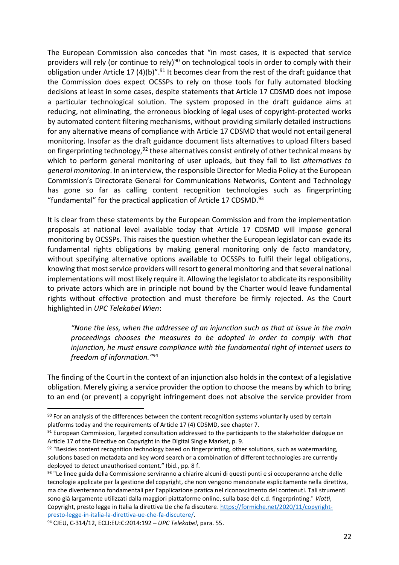The European Commission also concedes that "in most cases, it is expected that service providers will rely (or continue to rely)<sup>90</sup> on technological tools in order to comply with their obligation under Article 17 (4)(b)".<sup>91</sup> It becomes clear from the rest of the draft guidance that the Commission does expect OCSSPs to rely on those tools for fully automated blocking decisions at least in some cases, despite statements that Article 17 CDSMD does not impose a particular technological solution. The system proposed in the draft guidance aims at reducing, not eliminating, the erroneous blocking of legal uses of copyright-protected works by automated content filtering mechanisms, without providing similarly detailed instructions for any alternative means of compliance with Article 17 CDSMD that would not entail general monitoring. Insofar as the draft guidance document lists alternatives to upload filters based on fingerprinting technology,<sup>92</sup> these alternatives consist entirely of other technical means by which to perform general monitoring of user uploads, but they fail to list *alternatives to general monitoring*. In an interview, the responsible Director for Media Policy at the European Commission's Directorate General for Communications Networks, Content and Technology has gone so far as calling content recognition technologies such as fingerprinting "fundamental" for the practical application of Article 17 CDSMD. $^{93}$ 

It is clear from these statements by the European Commission and from the implementation proposals at national level available today that Article 17 CDSMD will impose general monitoring by OCSSPs. This raises the question whether the European legislator can evade its fundamental rights obligations by making general monitoring only de facto mandatory, without specifying alternative options available to OCSSPs to fulfil their legal obligations, knowing that most service providers will resort to general monitoring and that several national implementations will most likely require it. Allowing the legislator to abdicate its responsibility to private actors which are in principle not bound by the Charter would leave fundamental rights without effective protection and must therefore be firmly rejected. As the Court highlighted in *UPC Telekabel Wien*:

*"None the less, when the addressee of an injunction such as that at issue in the main proceedings chooses the measures to be adopted in order to comply with that injunction, he must ensure compliance with the fundamental right of internet users to freedom of information."*<sup>94</sup>

The finding of the Court in the context of an injunction also holds in the context of a legislative obligation. Merely giving a service provider the option to choose the means by which to bring to an end (or prevent) a copyright infringement does not absolve the service provider from

<sup>90</sup> For an analysis of the differences between the content recognition systems voluntarily used by certain platforms today and the requirements of Article 17 (4) CDSMD, see chapter 7.

<sup>91</sup> European Commission, Targeted consultation addressed to the participants to the stakeholder dialogue on Article 17 of the Directive on Copyright in the Digital Single Market, p. 9.

 $92$  "Besides content recognition technology based on fingerprinting, other solutions, such as watermarking, solutions based on metadata and key word search or a combination of different technologies are currently deployed to detect unauthorised content." Ibid., pp. 8 f.

<sup>93 &</sup>quot;Le linee guida della Commissione serviranno a chiarire alcuni di questi punti e si occuperanno anche delle tecnologie applicate per la gestione del copyright, che non vengono menzionate esplicitamente nella direttiva, ma che diventeranno fondamentali per l'applicazione pratica nel riconoscimento dei contenuti. Tali strumenti sono già largamente utilizzati dalla maggiori piattaforme online, sulla base del c.d. fingerprinting." *Viotti*, Copyright, presto legge in Italia la direttiva Ue che fa discutere[. https://formiche.net/2020/11/copyright](https://formiche.net/2020/11/copyright-presto-legge-in-italia-la-direttiva-ue-che-fa-discutere/)[presto-legge-in-italia-la-direttiva-ue-che-fa-discutere/.](https://formiche.net/2020/11/copyright-presto-legge-in-italia-la-direttiva-ue-che-fa-discutere/)

<sup>94</sup> CJEU, C-314/12, ECLI:EU:C:2014:192 – *UPC Telekabel*, para. 55.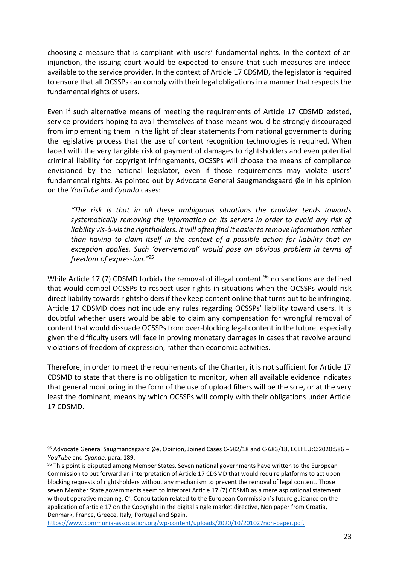choosing a measure that is compliant with users' fundamental rights. In the context of an injunction, the issuing court would be expected to ensure that such measures are indeed available to the service provider. In the context of Article 17 CDSMD, the legislator is required to ensure that all OCSSPs can comply with their legal obligations in a manner that respects the fundamental rights of users.

Even if such alternative means of meeting the requirements of Article 17 CDSMD existed, service providers hoping to avail themselves of those means would be strongly discouraged from implementing them in the light of clear statements from national governments during the legislative process that the use of content recognition technologies is required. When faced with the very tangible risk of payment of damages to rightsholders and even potential criminal liability for copyright infringements, OCSSPs will choose the means of compliance envisioned by the national legislator, even if those requirements may violate users' fundamental rights. As pointed out by Advocate General Saugmandsgaard Øe in his opinion on the *YouTube* and *Cyando* cases:

*"The risk is that in all these ambiguous situations the provider tends towards systematically removing the information on its servers in order to avoid any risk of liability vis-à-vis the rightholders. It will often find it easier to remove information rather than having to claim itself in the context of a possible action for liability that an exception applies. Such 'over-removal' would pose an obvious problem in terms of freedom of expression."*<sup>95</sup>

While Article 17 (7) CDSMD forbids the removal of illegal content, <sup>96</sup> no sanctions are defined that would compel OCSSPs to respect user rights in situations when the OCSSPs would risk direct liability towards rightsholders if they keep content online that turns out to be infringing. Article 17 CDSMD does not include any rules regarding OCSSPs' liability toward users. It is doubtful whether users would be able to claim any compensation for wrongful removal of content that would dissuade OCSSPs from over-blocking legal content in the future, especially given the difficulty users will face in proving monetary damages in cases that revolve around violations of freedom of expression, rather than economic activities.

Therefore, in order to meet the requirements of the Charter, it is not sufficient for Article 17 CDSMD to state that there is no obligation to monitor, when all available evidence indicates that general monitoring in the form of the use of upload filters will be the sole, or at the very least the dominant, means by which OCSSPs will comply with their obligations under Article 17 CDSMD.

<sup>95</sup> Advocate General Saugmandsgaard Øe, Opinion, Joined Cases C-682/18 and C-683/18, ECLI:EU:C:2020:586 -*YouTube* and *Cyando*, para. 189.

<sup>96</sup> This point is disputed among Member States. Seven national governments have written to the European Commission to put forward an interpretation of Article 17 CDSMD that would require platforms to act upon blocking requests of rightsholders without any mechanism to prevent the removal of legal content. Those seven Member State governments seem to interpret Article 17 (7) CDSMD as a mere aspirational statement without operative meaning. Cf. Consultation related to the European Commission's future guidance on the application of article 17 on the Copyright in the digital single market directive, Non paper from Croatia, Denmark, France, Greece, Italy, Portugal and Spain.

[https://www.communia-association.org/wp-content/uploads/2020/10/201027non-paper.pdf.](https://www.communia-association.org/wp-content/uploads/2020/10/201027non-paper.pdf)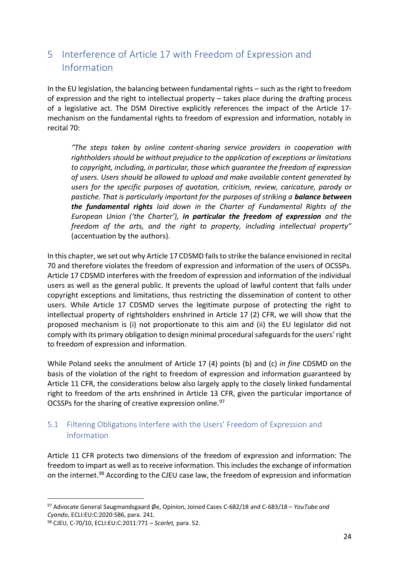# <span id="page-23-0"></span>5 Interference of Article 17 with Freedom of Expression and Information

In the EU legislation, the balancing between fundamental rights – such as the right to freedom of expression and the right to intellectual property – takes place during the drafting process of a legislative act. The DSM Directive explicitly references the impact of the Article 17 mechanism on the fundamental rights to freedom of expression and information, notably in recital 70:

*"The steps taken by online content-sharing service providers in cooperation with rightholders should be without prejudice to the application of exceptions or limitations to copyright, including, in particular, those which guarantee the freedom of expression of users. Users should be allowed to upload and make available content generated by users for the specific purposes of quotation, criticism, review, caricature, parody or pastiche. That is particularly important for the purposes of striking a balance between the fundamental rights laid down in the Charter of Fundamental Rights of the European Union ('the Charter'), in particular the freedom of expression and the freedom of the arts, and the right to property, including intellectual property"*  (accentuation by the authors).

In this chapter, we set out why Article 17 CDSMD fails to strike the balance envisioned in recital 70 and therefore violates the freedom of expression and information of the users of OCSSPs. Article 17 CDSMD interferes with the freedom of expression and information of the individual users as well as the general public. It prevents the upload of lawful content that falls under copyright exceptions and limitations, thus restricting the dissemination of content to other users. While Article 17 CDSMD serves the legitimate purpose of protecting the right to intellectual property of rightsholders enshrined in Article 17 (2) CFR, we will show that the proposed mechanism is (i) not proportionate to this aim and (ii) the EU legislator did not comply with its primary obligation to design minimal procedural safeguards for the users' right to freedom of expression and information.

While Poland seeks the annulment of Article 17 (4) points (b) and (c) *in fine* CDSMD on the basis of the violation of the right to freedom of expression and information guaranteed by Article 11 CFR, the considerations below also largely apply to the closely linked fundamental right to freedom of the arts enshrined in Article 13 CFR, given the particular importance of OCSSPs for the sharing of creative expression online.<sup>97</sup>

### <span id="page-23-1"></span>5.1 Filtering Obligations Interfere with the Users' Freedom of Expression and Information

Article 11 CFR protects two dimensions of the freedom of expression and information: The freedom to impart as well as to receive information. This includes the exchange of information on the internet.<sup>98</sup> According to the CJEU case law, the freedom of expression and information

<sup>97</sup> Advocate General Saugmandsgaard Øe, Opinion, Joined Cases C‑682/18 and C‑683/18 – *YouTube and Cyando*, ECLI:EU:C:2020:586, para. 241.

<sup>98</sup> CJEU, C-70/10, ECLI:EU:C:2011:771 – *Scarlet,* para. 52.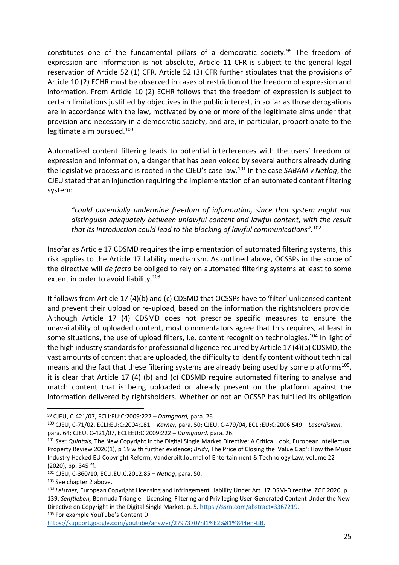constitutes one of the fundamental pillars of a democratic society.<sup>99</sup> The freedom of expression and information is not absolute, Article 11 CFR is subject to the general legal reservation of Article 52 (1) CFR. Article 52 (3) CFR further stipulates that the provisions of Article 10 (2) ECHR must be observed in cases of restriction of the freedom of expression and information. From Article 10 (2) ECHR follows that the freedom of expression is subject to certain limitations justified by objectives in the public interest, in so far as those derogations are in accordance with the law, motivated by one or more of the legitimate aims under that provision and necessary in a democratic society, and are, in particular, proportionate to the legitimate aim pursued.<sup>100</sup>

Automatized content filtering leads to potential interferences with the users' freedom of expression and information, a danger that has been voiced by several authors already during the legislative process and is rooted in the CJEU's case law.<sup>101</sup> In the case *SABAM v Netlog*, the CJEU stated that an injunction requiring the implementation of an automated content filtering system:

*"could potentially undermine freedom of information, since that system might not distinguish adequately between unlawful content and lawful content, with the result that its introduction could lead to the blocking of lawful communications".*<sup>102</sup>

Insofar as Article 17 CDSMD requires the implementation of automated filtering systems, this risk applies to the Article 17 liability mechanism. As outlined above, OCSSPs in the scope of the directive will *de facto* be obliged to rely on automated filtering systems at least to some extent in order to avoid liability.<sup>103</sup>

It follows from Article 17 (4)(b) and (c) CDSMD that OCSSPs have to 'filter' unlicensed content and prevent their upload or re-upload, based on the information the rightsholders provide. Although Article 17 (4) CDSMD does not prescribe specific measures to ensure the unavailability of uploaded content, most commentators agree that this requires, at least in some situations, the use of upload filters, i.e. content recognition technologies.<sup>104</sup> In light of the high industry standards for professional diligence required by Article 17 (4)(b) CDSMD, the vast amounts of content that are uploaded, the difficulty to identify content without technical means and the fact that these filtering systems are already being used by some platforms $^{105}$ , it is clear that Article 17 (4) (b) and (c) CDSMD require automated filtering to analyse and match content that is being uploaded or already present on the platform against the information delivered by rightsholders. Whether or not an OCSSP has fulfilled its obligation

<sup>99</sup> CJEU, C-421/07, ECLI:EU:C:2009:222 – *Damgaard,* para. 26.

<sup>100</sup> CJEU, C-71/02, ECLI:EU:C:2004:181 – *Karner,* para. 50; CJEU, C-479/04, ECLI:EU:C:2006:549 – *Laserdisken*, para. 64; CJEU, C-421/07, ECLI:EU:C:2009:222 – *Damgaard,* para. 26.

<sup>101</sup> *See: Quintais*, The New Copyright in the Digital Single Market Directive: A Critical Look, European Intellectual Property Review 2020(1), p 19 with further evidence; *Bridy,* The Price of Closing the 'Value Gap': How the Music Industry Hacked EU Copyright Reform, Vanderbilt Journal of Entertainment & Technology Law, volume 22 (2020), pp. 345 ff.

<sup>102</sup> CJEU, C-360/10, ECLI:EU:C:2012:85 – *Netlog*, para. 50.

<sup>103</sup> See chapter 2 above.

*<sup>104</sup> Leistner,* European Copyright Licensing and Infringement Liability Under Art. 17 DSM-Directive, ZGE 2020, p 139, *Senftleben,* Bermuda Triangle - Licensing, Filtering and Privileging User-Generated Content Under the New Directive on Copyright in the Digital Single Market, p. 5. [https://ssrn.com/abstract=3367219.](https://ssrn.com/abstract=3367219) 105 For example YouTube's ContentID.

[https://support.google.com/youtube/answer/2797370?hl1%E2%81%844en-GB.](https://support.google.com/youtube/answer/2797370?hl1%E2%81%844en-GB)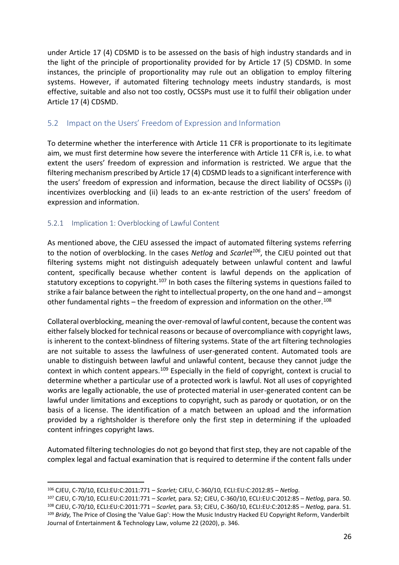under Article 17 (4) CDSMD is to be assessed on the basis of high industry standards and in the light of the principle of proportionality provided for by Article 17 (5) CDSMD. In some instances, the principle of proportionality may rule out an obligation to employ filtering systems. However, if automated filtering technology meets industry standards, is most effective, suitable and also not too costly, OCSSPs must use it to fulfil their obligation under Article 17 (4) CDSMD.

#### <span id="page-25-0"></span>5.2 Impact on the Users' Freedom of Expression and Information

To determine whether the interference with Article 11 CFR is proportionate to its legitimate aim, we must first determine how severe the interference with Article 11 CFR is, i.e. to what extent the users' freedom of expression and information is restricted. We argue that the filtering mechanism prescribed by Article 17 (4) CDSMD leads to a significant interference with the users' freedom of expression and information, because the direct liability of OCSSPs (i) incentivizes overblocking and (ii) leads to an ex-ante restriction of the users' freedom of expression and information.

#### <span id="page-25-1"></span>5.2.1 Implication 1: Overblocking of Lawful Content

As mentioned above, the CJEU assessed the impact of automated filtering systems referring to the notion of overblocking. In the cases *Netlog* and *Scarlet<sup>106</sup>*, the CJEU pointed out that filtering systems might not distinguish adequately between unlawful content and lawful content, specifically because whether content is lawful depends on the application of statutory exceptions to copyright.<sup>107</sup> In both cases the filtering systems in questions failed to strike a fair balance between the right to intellectual property, on the one hand and – amongst other fundamental rights – the freedom of expression and information on the other.<sup>108</sup>

Collateral overblocking, meaning the over-removal of lawful content, because the content was either falsely blocked for technical reasons or because of overcompliance with copyright laws, is inherent to the context-blindness of filtering systems. State of the art filtering technologies are not suitable to assess the lawfulness of user-generated content. Automated tools are unable to distinguish between lawful and unlawful content, because they cannot judge the context in which content appears.<sup>109</sup> Especially in the field of copyright, context is crucial to determine whether a particular use of a protected work is lawful. Not all uses of copyrighted works are legally actionable, the use of protected material in user-generated content can be lawful under limitations and exceptions to copyright, such as parody or quotation, or on the basis of a license. The identification of a match between an upload and the information provided by a rightsholder is therefore only the first step in determining if the uploaded content infringes copyright laws.

Automated filtering technologies do not go beyond that first step, they are not capable of the complex legal and factual examination that is required to determine if the content falls under

<sup>106</sup> CJEU, C-70/10, ECLI:EU:C:2011:771 – *Scarlet;* CJEU, C-360/10, ECLI:EU:C:2012:85 – *Netlog.*

<sup>107</sup> CJEU, C-70/10, ECLI:EU:C:2011:771 – *Scarlet,* para. 52; CJEU, C-360/10, ECLI:EU:C:2012:85 – *Netlog,* para. 50. <sup>108</sup> CJEU, C-70/10, ECLI:EU:C:2011:771 – *Scarlet,* para. 53; CJEU, C-360/10, ECLI:EU:C:2012:85 – *Netlog,* para. 51. <sup>109</sup> *Bridy,* The Price of Closing the 'Value Gap': How the Music Industry Hacked EU Copyright Reform, Vanderbilt Journal of Entertainment & Technology Law, volume 22 (2020), p. 346.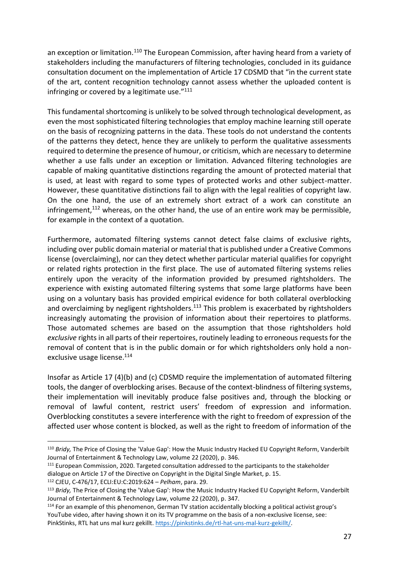an exception or limitation.<sup>110</sup> The European Commission, after having heard from a variety of stakeholders including the manufacturers of filtering technologies, concluded in its guidance consultation document on the implementation of Article 17 CDSMD that "in the current state of the art, content recognition technology cannot assess whether the uploaded content is infringing or covered by a legitimate use."111

This fundamental shortcoming is unlikely to be solved through technological development, as even the most sophisticated filtering technologies that employ machine learning still operate on the basis of recognizing patterns in the data. These tools do not understand the contents of the patterns they detect, hence they are unlikely to perform the qualitative assessments required to determine the presence of humour, or criticism, which are necessary to determine whether a use falls under an exception or limitation. Advanced filtering technologies are capable of making quantitative distinctions regarding the amount of protected material that is used, at least with regard to some types of protected works and other subject-matter. However, these quantitative distinctions fail to align with the legal realities of copyright law. On the one hand, the use of an extremely short extract of a work can constitute an infringement, $112$  whereas, on the other hand, the use of an entire work may be permissible, for example in the context of a quotation.

Furthermore, automated filtering systems cannot detect false claims of exclusive rights, including over public domain material or material that is published under a Creative Commons license (overclaiming), nor can they detect whether particular material qualifies for copyright or related rights protection in the first place. The use of automated filtering systems relies entirely upon the veracity of the information provided by presumed rightsholders. The experience with existing automated filtering systems that some large platforms have been using on a voluntary basis has provided empirical evidence for both collateral overblocking and overclaiming by negligent rightsholders.<sup>113</sup> This problem is exacerbated by rightsholders increasingly automating the provision of information about their repertoires to platforms. Those automated schemes are based on the assumption that those rightsholders hold *exclusive* rights in all parts of their repertoires, routinely leading to erroneous requests for the removal of content that is in the public domain or for which rightsholders only hold a nonexclusive usage license.<sup>114</sup>

Insofar as Article 17 (4)(b) and (c) CDSMD require the implementation of automated filtering tools, the danger of overblocking arises. Because of the context-blindness of filtering systems, their implementation will inevitably produce false positives and, through the blocking or removal of lawful content, restrict users' freedom of expression and information. Overblocking constitutes a severe interference with the right to freedom of expression of the affected user whose content is blocked, as well as the right to freedom of information of the

<sup>110</sup> *Bridy,* The Price of Closing the 'Value Gap': How the Music Industry Hacked EU Copyright Reform, Vanderbilt Journal of Entertainment & Technology Law, volume 22 (2020), p. 346.

<sup>&</sup>lt;sup>111</sup> European Commission, 2020. Targeted consultation addressed to the participants to the stakeholder dialogue on Article 17 of the Directive on Copyright in the Digital Single Market, p. 15.

<sup>112</sup> CJEU, C-476/17, ECLI:EU:C:2019:624 – *Pelham*, para. 29.

<sup>113</sup> *Bridy,* The Price of Closing the 'Value Gap': How the Music Industry Hacked EU Copyright Reform, Vanderbilt Journal of Entertainment & Technology Law, volume 22 (2020), p. 347.

<sup>114</sup> For an example of this phenomenon, German TV station accidentally blocking a political activist group's YouTube video, after having shown it on its TV programme on the basis of a non-exclusive license, see: PinkStinks, RTL hat uns mal kurz gekillt. [https://pinkstinks.de/rtl-hat-uns-mal-kurz-gekillt/.](https://pinkstinks.de/rtl-hat-uns-mal-kurz-gekillt/)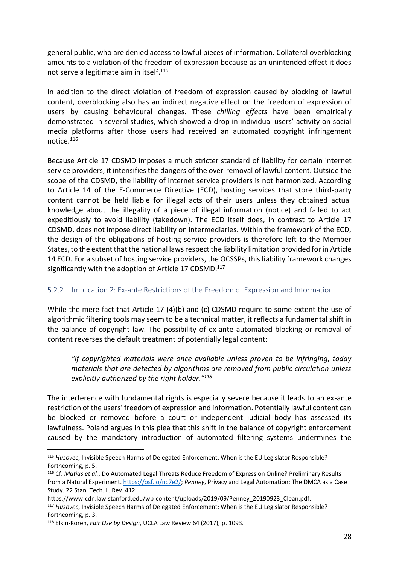general public, who are denied access to lawful pieces of information. Collateral overblocking amounts to a violation of the freedom of expression because as an unintended effect it does not serve a legitimate aim in itself.<sup>115</sup>

In addition to the direct violation of freedom of expression caused by blocking of lawful content, overblocking also has an indirect negative effect on the freedom of expression of users by causing behavioural changes. These *chilling effects* have been empirically demonstrated in several studies, which showed a drop in individual users' activity on social media platforms after those users had received an automated copyright infringement notice.<sup>116</sup>

Because Article 17 CDSMD imposes a much stricter standard of liability for certain internet service providers, it intensifies the dangers of the over-removal of lawful content. Outside the scope of the CDSMD, the liability of internet service providers is not harmonized. According to Article 14 of the E-Commerce Directive (ECD), hosting services that store third-party content cannot be held liable for illegal acts of their users unless they obtained actual knowledge about the illegality of a piece of illegal information (notice) and failed to act expeditiously to avoid liability (takedown). The ECD itself does, in contrast to Article 17 CDSMD, does not impose direct liability on intermediaries. Within the framework of the ECD, the design of the obligations of hosting service providers is therefore left to the Member States, to the extent that the national laws respect the liability limitation provided for in Article 14 ECD. For a subset of hosting service providers, the OCSSPs, this liability framework changes significantly with the adoption of Article 17 CDSMD.<sup>117</sup>

### <span id="page-27-0"></span>5.2.2 Implication 2: Ex-ante Restrictions of the Freedom of Expression and Information

While the mere fact that Article 17 (4)(b) and (c) CDSMD require to some extent the use of algorithmic filtering tools may seem to be a technical matter, it reflects a fundamental shift in the balance of copyright law. The possibility of ex-ante automated blocking or removal of content reverses the default treatment of potentially legal content:

*"if copyrighted materials were once available unless proven to be infringing, today materials that are detected by algorithms are removed from public circulation unless explicitly authorized by the right holder."<sup>118</sup>*

The interference with fundamental rights is especially severe because it leads to an ex-ante restriction of the users' freedom of expression and information. Potentially lawful content can be blocked or removed before a court or independent judicial body has assessed its lawfulness. Poland argues in this plea that this shift in the balance of copyright enforcement caused by the mandatory introduction of automated filtering systems undermines the

<sup>115</sup> *Husovec*, Invisible Speech Harms of Delegated Enforcement: When is the EU Legislator Responsible? Forthcoming, p. 5.

<sup>116</sup> Cf. *Matias et al.*, Do Automated Legal Threats Reduce Freedom of Expression Online? Preliminary Results from a Natural Experiment. [https://osf.io/nc7e2/;](https://osf.io/nc7e2/) *Penney*, Privacy and Legal Automation: The DMCA as a Case Study. 22 Stan. Tech. L. Rev. 412.

https://www-cdn.law.stanford.edu/wp-content/uploads/2019/09/Penney\_20190923\_Clean.pdf.

<sup>117</sup> *Husovec*, Invisible Speech Harms of Delegated Enforcement: When is the EU Legislator Responsible? Forthcoming, p. 3.

<sup>118</sup> Elkin-Koren, *Fair Use by Design*, UCLA Law Review 64 (2017), p. 1093.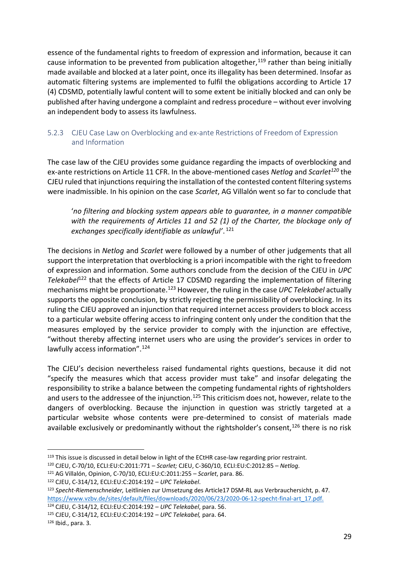essence of the fundamental rights to freedom of expression and information, because it can cause information to be prevented from publication altogether,  $119$  rather than being initially made available and blocked at a later point, once its illegality has been determined. Insofar as automatic filtering systems are implemented to fulfil the obligations according to Article 17 (4) CDSMD, potentially lawful content will to some extent be initially blocked and can only be published after having undergone a complaint and redress procedure – without ever involving an independent body to assess its lawfulness.

#### <span id="page-28-0"></span>5.2.3 CJEU Case Law on Overblocking and ex-ante Restrictions of Freedom of Expression and Information

The case law of the CJEU provides some guidance regarding the impacts of overblocking and ex-ante restrictions on Article 11 CFR. In the above-mentioned cases *Netlog* and *Scarlet<sup>120</sup>* the CJEU ruled that injunctions requiring the installation of the contested content filtering systems were inadmissible. In his opinion on the case *Scarlet*, AG Villalón went so far to conclude that

'*no filtering and blocking system appears able to guarantee, in a manner compatible with the requirements of Articles 11 and 52 (1) of the Charter, the blockage only of exchanges specifically identifiable as unlawful'*. 121

The decisions in *Netlog* and *Scarlet* were followed by a number of other judgements that all support the interpretation that overblocking is a priori incompatible with the right to freedom of expression and information. Some authors conclude from the decision of the CJEU in *UPC Telekabel*<sup>122</sup> that the effects of Article 17 CDSMD regarding the implementation of filtering mechanisms might be proportionate.<sup>123</sup> However, the ruling in the case *UPC Telekabel* actually supports the opposite conclusion, by strictly rejecting the permissibility of overblocking. In its ruling the CJEU approved an injunction that required internet access providers to block access to a particular website offering access to infringing content only under the condition that the measures employed by the service provider to comply with the injunction are effective, "without thereby affecting internet users who are using the provider's services in order to lawfully access information".<sup>124</sup>

The CJEU's decision nevertheless raised fundamental rights questions, because it did not "specify the measures which that access provider must take" and insofar delegating the responsibility to strike a balance between the competing fundamental rights of rightsholders and users to the addressee of the injunction.<sup>125</sup> This criticism does not, however, relate to the dangers of overblocking. Because the injunction in question was strictly targeted at a particular website whose contents were pre-determined to consist of materials made available exclusively or predominantly without the rightsholder's consent, $126$  there is no risk

<sup>&</sup>lt;sup>119</sup> This issue is discussed in detail below in light of the ECtHR case-law regarding prior restraint.

<sup>120</sup> CJEU, C-70/10, ECLI:EU:C:2011:771 – *Scarlet;* CJEU, C-360/10, ECLI:EU:C:2012:85 – *Netlog.*

<sup>121</sup> AG Villalón, Opinion, C-70/10, ECLI:EU:C:2011:255 – *Scarlet*, para. 86.

<sup>122</sup> CJEU, C-314/12, ECLI:EU:C:2014:192 – *UPC Telekabel*.

<sup>123</sup> *Specht-Riemenschneider,* Leitlinien zur Umsetzung des Article17 DSM-RL aus Verbrauchersicht, p. 47. [https://www.vzbv.de/sites/default/files/downloads/2020/06/23/2020-06-12-specht-final-art\\_17.pdf.](https://www.vzbv.de/sites/default/files/downloads/2020/06/23/2020-06-12-specht-final-art_17.pdf)

<sup>124</sup> CJEU, C-314/12, ECLI:EU:C:2014:192 – *UPC Telekabel*, para. 56.

<sup>125</sup> CJEU, C-314/12, ECLI:EU:C:2014:192 – *UPC Telekabel,* para. 64.

<sup>126</sup> Ibid., para. 3.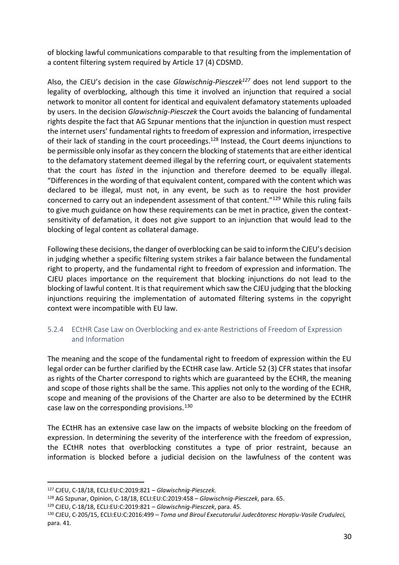of blocking lawful communications comparable to that resulting from the implementation of a content filtering system required by Article 17 (4) CDSMD.

Also, the CJEU's decision in the case *Glawischnig-Piesczek<sup>127</sup>* does not lend support to the legality of overblocking, although this time it involved an injunction that required a social network to monitor all content for identical and equivalent defamatory statements uploaded by users. In the decision *Glawischnig-Piesczek* the Court avoids the balancing of fundamental rights despite the fact that AG Szpunar mentions that the injunction in question must respect the internet users' fundamental rights to freedom of expression and information, irrespective of their lack of standing in the court proceedings.<sup>128</sup> Instead, the Court deems injunctions to be permissible only insofar as they concern the blocking of statements that are either identical to the defamatory statement deemed illegal by the referring court, or equivalent statements that the court has *listed* in the injunction and therefore deemed to be equally illegal. "Differences in the wording of that equivalent content, compared with the content which was declared to be illegal, must not, in any event, be such as to require the host provider concerned to carry out an independent assessment of that content."<sup>129</sup> While this ruling fails to give much guidance on how these requirements can be met in practice, given the contextsensitivity of defamation, it does not give support to an injunction that would lead to the blocking of legal content as collateral damage.

Following these decisions, the danger of overblocking can be said to inform the CJEU's decision in judging whether a specific filtering system strikes a fair balance between the fundamental right to property, and the fundamental right to freedom of expression and information. The CJEU places importance on the requirement that blocking injunctions do not lead to the blocking of lawful content. It is that requirement which saw the CJEU judging that the blocking injunctions requiring the implementation of automated filtering systems in the copyright context were incompatible with EU law.

#### <span id="page-29-0"></span>5.2.4 ECtHR Case Law on Overblocking and ex-ante Restrictions of Freedom of Expression and Information

The meaning and the scope of the fundamental right to freedom of expression within the EU legal order can be further clarified by the ECtHR case law. Article 52 (3) CFR states that insofar as rights of the Charter correspond to rights which are guaranteed by the ECHR, the meaning and scope of those rights shall be the same. This applies not only to the wording of the ECHR, scope and meaning of the provisions of the Charter are also to be determined by the ECtHR case law on the corresponding provisions.<sup>130</sup>

The ECtHR has an extensive case law on the impacts of website blocking on the freedom of expression. In determining the severity of the interference with the freedom of expression, the ECtHR notes that overblocking constitutes a type of prior restraint, because an information is blocked before a judicial decision on the lawfulness of the content was

<sup>127</sup> CJEU, C-18/18, ECLI:EU:C:2019:821 – *Glawischnig-Piesczek.* 

<sup>128</sup> AG Szpunar, Opinion, C‐18/18, ECLI:EU:C:2019:458 – *Glawischnig-Piesczek*, para. 65.

<sup>129</sup> CJEU, C-18/18, ECLI:EU:C:2019:821 – *Glawischnig-Piesczek*, para. 45.

<sup>130</sup> CJEU, C‑205/15, ECLI:EU:C:2016:499 – *Toma und Biroul Executorului Judecătoresc Horațiu-Vasile Cruduleci,*  para. 41.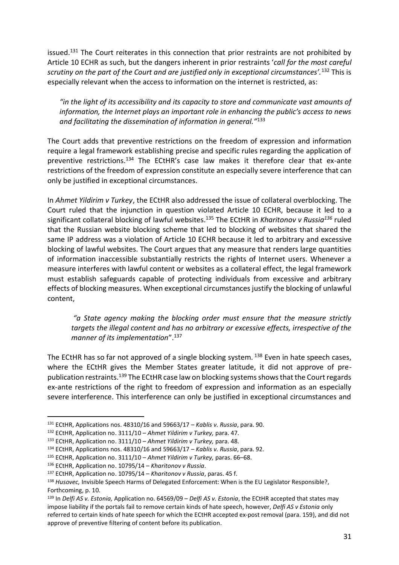issued.<sup>131</sup> The Court reiterates in this connection that prior restraints are not prohibited by Article 10 ECHR as such, but the dangers inherent in prior restraints '*call for the most careful scrutiny on the part of the Court and are justified only in exceptional circumstances'.*<sup>132</sup> This is especially relevant when the access to information on the internet is restricted, as:

*"in the light of its accessibility and its capacity to store and communicate vast amounts of information, the Internet plays an important role in enhancing the public's access to news and facilitating the dissemination of information in general."*<sup>133</sup>

The Court adds that preventive restrictions on the freedom of expression and information require a legal framework establishing precise and specific rules regarding the application of preventive restrictions.<sup>134</sup> The ECtHR's case law makes it therefore clear that ex-ante restrictions of the freedom of expression constitute an especially severe interference that can only be justified in exceptional circumstances.

In *Ahmet Yildirim v Turkey*, the ECtHR also addressed the issue of collateral overblocking. The Court ruled that the injunction in question violated Article 10 ECHR, because it led to a significant collateral blocking of lawful websites.<sup>135</sup> The ECtHR in *Kharitonov v Russia<sup>136</sup>* ruled that the Russian website blocking scheme that led to blocking of websites that shared the same IP address was a violation of Article 10 ECHR because it led to arbitrary and excessive blocking of lawful websites. The Court argues that any measure that renders large quantities of information inaccessible substantially restricts the rights of Internet users. Whenever a measure interferes with lawful content or websites as a collateral effect, the legal framework must establish safeguards capable of protecting individuals from excessive and arbitrary effects of blocking measures. When exceptional circumstances justify the blocking of unlawful content,

*"a State agency making the blocking order must ensure that the measure strictly targets the illegal content and has no arbitrary or excessive effects, irrespective of the manner of its implementation*".<sup>137</sup>

The ECtHR has so far not approved of a single blocking system. <sup>138</sup> Even in hate speech cases, where the ECtHR gives the Member States greater latitude, it did not approve of prepublication restraints.<sup>139</sup> The ECtHR case law on blocking systems shows that the Court regards ex-ante restrictions of the right to freedom of expression and information as an especially severe interference. This interference can only be justified in exceptional circumstances and

<sup>131</sup> ECtHR, Applications nos. 48310/16 and 59663/17 – *Kablis v. Russia*, para. 90.

<sup>132</sup> ECtHR, Application no. 3111/10 – *Ahmet Yildirim v Turkey,* para. 47.

<sup>133</sup> ECtHR, Application no. 3111/10 – *Ahmet Yildirim v Turkey,* para. 48.

<sup>134</sup> ECtHR, Applications nos. 48310/16 and 59663/17 – *Kablis v. Russia*, para. 92.

<sup>135</sup> ECtHR, Application no. 3111/10 – *Ahmet Yildirim v Turkey,* paras. 66–68.

<sup>136</sup> ECtHR, Application no. 10795/14 – *Kharitonov v Russia*.

<sup>137</sup> ECtHR, Application no. 10795/14 – *Kharitonov v Russia*, paras. 45 f.

<sup>138</sup> *Husovec,* Invisible Speech Harms of Delegated Enforcement: When is the EU Legislator Responsible?, Forthcoming, p. 10.

<sup>139</sup> In *Delfi AS v. Estonia,* Application no. 64569/09 – *Delfi AS v. Estonia*, the ECtHR accepted that states may impose liability if the portals fail to remove certain kinds of hate speech, however, *Delfi AS v Estonia* only referred to certain kinds of hate speech for which the ECtHR accepted ex-post removal (para. 159), and did not approve of preventive filtering of content before its publication.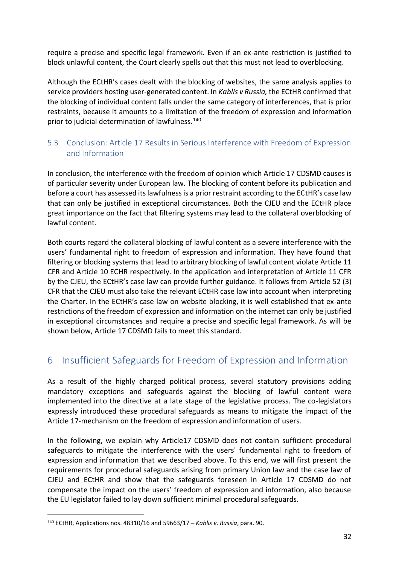require a precise and specific legal framework. Even if an ex-ante restriction is justified to block unlawful content, the Court clearly spells out that this must not lead to overblocking.

Although the ECtHR's cases dealt with the blocking of websites, the same analysis applies to service providers hosting user-generated content. In *Kablis v Russia,* the ECtHR confirmed that the blocking of individual content falls under the same category of interferences, that is prior restraints, because it amounts to a limitation of the freedom of expression and information prior to judicial determination of lawfulness.<sup>140</sup>

### <span id="page-31-0"></span>5.3 Conclusion: Article 17 Results in Serious Interference with Freedom of Expression and Information

In conclusion, the interference with the freedom of opinion which Article 17 CDSMD causes is of particular severity under European law. The blocking of content before its publication and before a court has assessed its lawfulness is a prior restraint according to the ECtHR's case law that can only be justified in exceptional circumstances. Both the CJEU and the ECtHR place great importance on the fact that filtering systems may lead to the collateral overblocking of lawful content.

Both courts regard the collateral blocking of lawful content as a severe interference with the users' fundamental right to freedom of expression and information. They have found that filtering or blocking systems that lead to arbitrary blocking of lawful content violate Article 11 CFR and Article 10 ECHR respectively. In the application and interpretation of Article 11 CFR by the CJEU, the ECtHR's case law can provide further guidance. It follows from Article 52 (3) CFR that the CJEU must also take the relevant ECtHR case law into account when interpreting the Charter. In the ECtHR's case law on website blocking, it is well established that ex-ante restrictions of the freedom of expression and information on the internet can only be justified in exceptional circumstances and require a precise and specific legal framework. As will be shown below, Article 17 CDSMD fails to meet this standard.

# <span id="page-31-1"></span>6 Insufficient Safeguards for Freedom of Expression and Information

As a result of the highly charged political process, several statutory provisions adding mandatory exceptions and safeguards against the blocking of lawful content were implemented into the directive at a late stage of the legislative process. The co-legislators expressly introduced these procedural safeguards as means to mitigate the impact of the Article 17-mechanism on the freedom of expression and information of users.

In the following, we explain why Article17 CDSMD does not contain sufficient procedural safeguards to mitigate the interference with the users' fundamental right to freedom of expression and information that we described above. To this end, we will first present the requirements for procedural safeguards arising from primary Union law and the case law of CJEU and ECtHR and show that the safeguards foreseen in Article 17 CDSMD do not compensate the impact on the users' freedom of expression and information, also because the EU legislator failed to lay down sufficient minimal procedural safeguards.

<sup>140</sup> ECtHR, Applications nos. 48310/16 and 59663/17 – *Kablis v. Russia*, para. 90.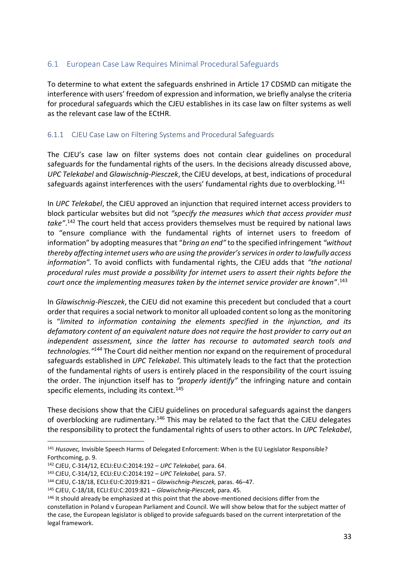### <span id="page-32-0"></span>6.1 European Case Law Requires Minimal Procedural Safeguards

To determine to what extent the safeguards enshrined in Article 17 CDSMD can mitigate the interference with users' freedom of expression and information, we briefly analyse the criteria for procedural safeguards which the CJEU establishes in its case law on filter systems as well as the relevant case law of the ECtHR.

### <span id="page-32-1"></span>6.1.1 CJEU Case Law on Filtering Systems and Procedural Safeguards

The CJEU's case law on filter systems does not contain clear guidelines on procedural safeguards for the fundamental rights of the users. In the decisions already discussed above, *UPC Telekabel* and *Glawischnig-Piesczek*, the CJEU develops, at best, indications of procedural safeguards against interferences with the users' fundamental rights due to overblocking.<sup>141</sup>

In *UPC Telekabel*, the CJEU approved an injunction that required internet access providers to block particular websites but did not *"specify the measures which that access provider must take"*. <sup>142</sup> The court held that access providers themselves must be required by national laws to "ensure compliance with the fundamental rights of internet users to freedom of information" by adopting measures that "*bring an end"* to the specified infringement *"without thereby affecting internet users who are using the provider's services in order to lawfully access information".* To avoid conflicts with fundamental rights, the CJEU adds that *"the national procedural rules must provide a possibility for internet users to assert their rights before the court once the implementing measures taken by the internet service provider are known*".<sup>143</sup>

In *Glawischnig-Piesczek*, the CJEU did not examine this precedent but concluded that a court order that requires a social network to monitor all uploaded content so long as the monitoring is "*limited to information containing the elements specified in the injunction, and its defamatory content of an equivalent nature does not require the host provider to carry out an independent assessment, since the latter has recourse to automated search tools and technologies."<sup>144</sup>* The Court did neither mention nor expand on the requirement of procedural safeguards established in *UPC Telekabel*. This ultimately leads to the fact that the protection of the fundamental rights of users is entirely placed in the responsibility of the court issuing the order. The injunction itself has to *"properly identify"* the infringing nature and contain specific elements, including its context.<sup>145</sup>

These decisions show that the CJEU guidelines on procedural safeguards against the dangers of overblocking are rudimentary.<sup>146</sup> This may be related to the fact that the CJEU delegates the responsibility to protect the fundamental rights of users to other actors. In *UPC Telekabel*,

<sup>141</sup> *Husovec,* Invisible Speech Harms of Delegated Enforcement: When is the EU Legislator Responsible? Forthcoming, p. 9.

<sup>142</sup> CJEU, C-314/12, ECLI:EU:C:2014:192 – *UPC Telekabel,* para. 64.

<sup>143</sup> CJEU, C-314/12, ECLI:EU:C:2014:192 – *UPC Telekabel,* para. 57.

<sup>144</sup> CJEU, C-18/18, ECLI:EU:C:2019:821 – *Glawischnig-Piesczek,* paras. 46–47.

<sup>145</sup> CJEU, C-18/18, ECLI:EU:C:2019:821 – *Glawischnig-Piesczek,* para. 45.

<sup>&</sup>lt;sup>146</sup> It should already be emphasized at this point that the above-mentioned decisions differ from the constellation in Poland v European Parliament and Council. We will show below that for the subject matter of the case, the European legislator is obliged to provide safeguards based on the current interpretation of the legal framework.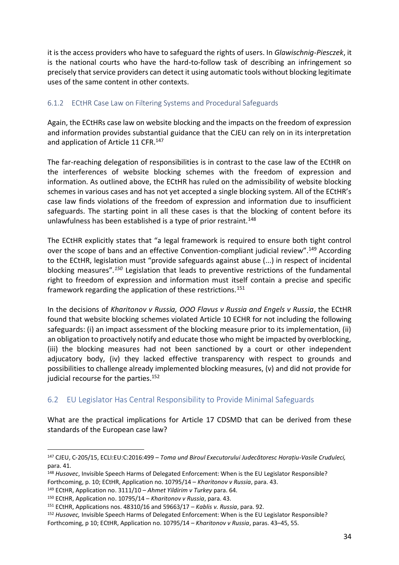it is the access providers who have to safeguard the rights of users. In *Glawischnig-Piesczek*, it is the national courts who have the hard-to-follow task of describing an infringement so precisely that service providers can detect it using automatic tools without blocking legitimate uses of the same content in other contexts.

#### <span id="page-33-0"></span>6.1.2 ECtHR Case Law on Filtering Systems and Procedural Safeguards

Again, the ECtHRs case law on website blocking and the impacts on the freedom of expression and information provides substantial guidance that the CJEU can rely on in its interpretation and application of Article 11 CFR.<sup>147</sup>

The far-reaching delegation of responsibilities is in contrast to the case law of the ECtHR on the interferences of website blocking schemes with the freedom of expression and information. As outlined above, the ECtHR has ruled on the admissibility of website blocking schemes in various cases and has not yet accepted a single blocking system. All of the ECtHR's case law finds violations of the freedom of expression and information due to insufficient safeguards. The starting point in all these cases is that the blocking of content before its unlawfulness has been established is a type of prior restraint.<sup>148</sup>

The ECtHR explicitly states that "a legal framework is required to ensure both tight control over the scope of bans and an effective Convention-compliant judicial review".<sup>149</sup> According to the ECtHR, legislation must "provide safeguards against abuse (...) in respect of incidental blocking measures"*. <sup>150</sup>* Legislation that leads to preventive restrictions of the fundamental right to freedom of expression and information must itself contain a precise and specific framework regarding the application of these restrictions.<sup>151</sup>

In the decisions of *Kharitonov v Russia, OOO Flavus v Russia and Engels v Russia*, the ECtHR found that website blocking schemes violated Article 10 ECHR for not including the following safeguards: (i) an impact assessment of the blocking measure prior to its implementation, (ii) an obligation to proactively notify and educate those who might be impacted by overblocking, (iii) the blocking measures had not been sanctioned by a court or other independent adjucatory body, (iv) they lacked effective transparency with respect to grounds and possibilities to challenge already implemented blocking measures, (v) and did not provide for judicial recourse for the parties.<sup>152</sup>

### <span id="page-33-1"></span>6.2 EU Legislator Has Central Responsibility to Provide Minimal Safeguards

What are the practical implications for Article 17 CDSMD that can be derived from these standards of the European case law?

<sup>149</sup> ECtHR, Application no. 3111/10 – *Ahmet Yildirim v Turkey* para. 64.

<sup>147</sup> CJEU, C‑205/15, ECLI:EU:C:2016:499 – *Toma und Biroul Executorului Judecătoresc Horațiu-Vasile Cruduleci,*  para. 41.

<sup>148</sup> *Husovec*, Invisible Speech Harms of Delegated Enforcement: When is the EU Legislator Responsible? Forthcoming, p. 10; ECtHR, Application no. 10795/14 – *Kharitonov v Russia*, para. 43.

<sup>150</sup> ECtHR, Application no. 10795/14 – *Kharitonov v Russia*, para. 43.

<sup>151</sup> ECtHR, Applications nos. 48310/16 and 59663/17 – *Kablis v. Russia*, para. 92.

<sup>152</sup> *Husovec,* Invisible Speech Harms of Delegated Enforcement: When is the EU Legislator Responsible? Forthcoming, p 10; ECtHR, Application no. 10795/14 – *Kharitonov v Russia*, paras. 43–45, 55.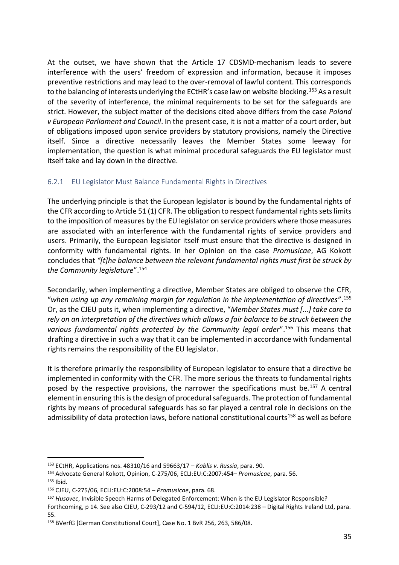At the outset, we have shown that the Article 17 CDSMD-mechanism leads to severe interference with the users' freedom of expression and information, because it imposes preventive restrictions and may lead to the over-removal of lawful content. This corresponds to the balancing of interests underlying the ECtHR's case law on website blocking.<sup>153</sup> As a result of the severity of interference, the minimal requirements to be set for the safeguards are strict. However, the subject matter of the decisions cited above differs from the case *Poland v European Parliament and Council*. In the present case, it is not a matter of a court order, but of obligations imposed upon service providers by statutory provisions, namely the Directive itself. Since a directive necessarily leaves the Member States some leeway for implementation, the question is what minimal procedural safeguards the EU legislator must itself take and lay down in the directive.

### <span id="page-34-0"></span>6.2.1 EU Legislator Must Balance Fundamental Rights in Directives

The underlying principle is that the European legislator is bound by the fundamental rights of the CFR according to Article 51 (1) CFR. The obligation to respect fundamental rights sets limits to the imposition of measures by the EU legislator on service providers where those measures are associated with an interference with the fundamental rights of service providers and users. Primarily, the European legislator itself must ensure that the directive is designed in conformity with fundamental rights. In her Opinion on the case *Promusicae*, AG Kokott concludes that *"[t]he balance between the relevant fundamental rights must first be struck by the Community legislature*".<sup>154</sup>

Secondarily, when implementing a directive, Member States are obliged to observe the CFR, "*when using up any remaining margin for regulation in the implementation of directives*".<sup>155</sup> Or, as the CJEU puts it, when implementing a directive, "*Member States must [...] take care to rely on an interpretation of the directives which allows a fair balance to be struck between the various fundamental rights protected by the Community legal order*".<sup>156</sup> This means that drafting a directive in such a way that it can be implemented in accordance with fundamental rights remains the responsibility of the EU legislator.

It is therefore primarily the responsibility of European legislator to ensure that a directive be implemented in conformity with the CFR. The more serious the threats to fundamental rights posed by the respective provisions, the narrower the specifications must be.<sup>157</sup> A central element in ensuring this is the design of procedural safeguards. The protection of fundamental rights by means of procedural safeguards has so far played a central role in decisions on the admissibility of data protection laws, before national constitutional courts<sup>158</sup> as well as before

<sup>153</sup> ECtHR, Applications nos. 48310/16 and 59663/17 – *Kablis v. Russia*, para. 90.

<sup>154</sup> Advocate General Kokott, Opinion, C-275/06, ECLI:EU:C:2007:454– *Promusicae*, para. 56.

 $155$  Ibid.

<sup>156</sup> CJEU, C-275/06, ECLI:EU:C:2008:54 – *Promusicae*, para. 68.

<sup>157</sup> *Husovec*, Invisible Speech Harms of Delegated Enforcement: When is the EU Legislator Responsible?

Forthcoming, p 14. See also CJEU, C‐293/12 and C‐594/12, ECLI:EU:C:2014:238 – Digital Rights Ireland Ltd, para. 55.

<sup>158</sup> BVerfG [German Constitutional Court], Case No. 1 BvR 256, 263, 586/08.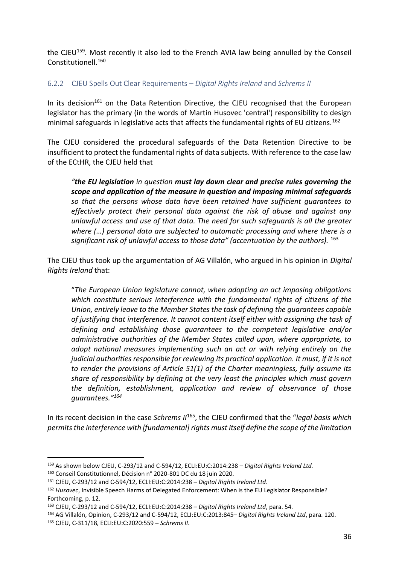the CJEU<sup>159</sup>. Most recently it also led to the French AVIA law being annulled by the Conseil Constitutionell.<sup>160</sup>

#### <span id="page-35-0"></span>6.2.2 CJEU Spells Out Clear Requirements – *Digital Rights Ireland* and *Schrems II*

In its decision<sup>161</sup> on the Data Retention Directive, the CJEU recognised that the European legislator has the primary (in the words of Martin Husovec 'central') responsibility to design minimal safeguards in legislative acts that affects the fundamental rights of EU citizens.<sup>162</sup>

The CJEU considered the procedural safeguards of the Data Retention Directive to be insufficient to protect the fundamental rights of data subjects. With reference to the case law of the ECtHR, the CJEU held that

*"the EU legislation in question must lay down clear and precise rules governing the scope and application of the measure in question and imposing minimal safeguards so that the persons whose data have been retained have sufficient guarantees to effectively protect their personal data against the risk of abuse and against any unlawful access and use of that data. The need for such safeguards is all the greater where (…) personal data are subjected to automatic processing and where there is a significant risk of unlawful access to those data" (accentuation by the authors).* <sup>163</sup>

The CJEU thus took up the argumentation of AG Villalón, who argued in his opinion in *Digital Rights Ireland* that:

"*The European Union legislature cannot, when adopting an act imposing obligations which constitute serious interference with the fundamental rights of citizens of the Union, entirely leave to the Member States the task of defining the guarantees capable of justifying that interference. It cannot content itself either with assigning the task of defining and establishing those guarantees to the competent legislative and/or administrative authorities of the Member States called upon, where appropriate, to adopt national measures implementing such an act or with relying entirely on the judicial authorities responsible for reviewing its practical application. It must, if it is not to render the provisions of Article 51(1) of the Charter meaningless, fully assume its share of responsibility by defining at the very least the principles which must govern the definition, establishment, application and review of observance of those guarantees."<sup>164</sup>*

In its recent decision in the case *Schrems II*<sup>165</sup>, the CJEU confirmed that the "*legal basis which permits the interference with [fundamental] rights must itself define the scope of the limitation* 

<sup>159</sup> As shown below CJEU, C‐293/12 and C‐594/12, ECLI:EU:C:2014:238 – *Digital Rights Ireland Ltd.*

<sup>160</sup> Conseil Constitutionnel, Décision n° 2020-801 DC du 18 juin 2020.

<sup>161</sup> CJEU, C‐293/12 and C‐594/12, ECLI:EU:C:2014:238 – *Digital Rights Ireland Ltd*.

<sup>162</sup> *Husovec*, Invisible Speech Harms of Delegated Enforcement: When is the EU Legislator Responsible? Forthcoming, p. 12.

<sup>163</sup> CJEU, C‐293/12 and C‐594/12, ECLI:EU:C:2014:238 *– Digital Rights Ireland Ltd*, para. 54.

<sup>164</sup> AG Villalón, Opinion, C‐293/12 and C‐594/12, ECLI:EU:C:2013:845– *Digital Rights Ireland Ltd*, para. 120. <sup>165</sup> CJEU, C-311/18, ECLI:EU:C:2020:559 – *Schrems II*.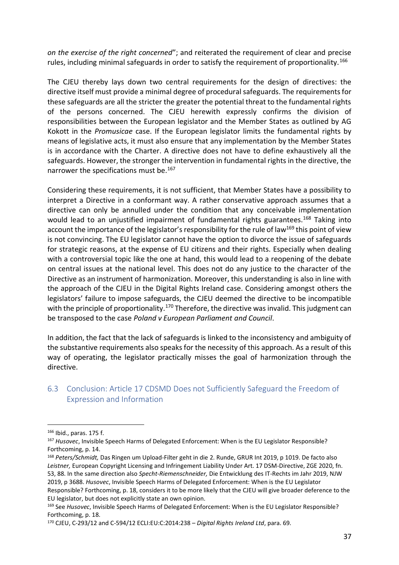*on the exercise of the right concerned*"; and reiterated the requirement of clear and precise rules, including minimal safeguards in order to satisfy the requirement of proportionality.<sup>166</sup>

The CJEU thereby lays down two central requirements for the design of directives: the directive itself must provide a minimal degree of procedural safeguards. The requirements for these safeguards are all the stricter the greater the potential threat to the fundamental rights of the persons concerned. The CJEU herewith expressly confirms the division of responsibilities between the European legislator and the Member States as outlined by AG Kokott in the *Promusicae* case. If the European legislator limits the fundamental rights by means of legislative acts, it must also ensure that any implementation by the Member States is in accordance with the Charter. A directive does not have to define exhaustively all the safeguards. However, the stronger the intervention in fundamental rights in the directive, the narrower the specifications must be.<sup>167</sup>

Considering these requirements, it is not sufficient, that Member States have a possibility to interpret a Directive in a conformant way. A rather conservative approach assumes that a directive can only be annulled under the condition that any conceivable implementation would lead to an unjustified impairment of fundamental rights guarantees.<sup>168</sup> Taking into account the importance of the legislator's responsibility for the rule of law<sup>169</sup> this point of view is not convincing. The EU legislator cannot have the option to divorce the issue of safeguards for strategic reasons, at the expense of EU citizens and their rights. Especially when dealing with a controversial topic like the one at hand, this would lead to a reopening of the debate on central issues at the national level. This does not do any justice to the character of the Directive as an instrument of harmonization. Moreover, this understanding is also in line with the approach of the CJEU in the Digital Rights Ireland case. Considering amongst others the legislators' failure to impose safeguards, the CJEU deemed the directive to be incompatible with the principle of proportionality.<sup>170</sup> Therefore, the directive was invalid. This judgment can be transposed to the case *Poland v European Parliament and Council*.

In addition, the fact that the lack of safeguards is linked to the inconsistency and ambiguity of the substantive requirements also speaks for the necessity of this approach. As a result of this way of operating, the legislator practically misses the goal of harmonization through the directive.

### <span id="page-36-0"></span>6.3 Conclusion: Article 17 CDSMD Does not Sufficiently Safeguard the Freedom of Expression and Information

<sup>166</sup> Ibid., paras. 175 f.

<sup>167</sup> *Husovec*, Invisible Speech Harms of Delegated Enforcement: When is the EU Legislator Responsible? Forthcoming, p. 14.

<sup>168</sup> *Peters/Schmidt,* Das Ringen um Upload-Filter geht in die 2. Runde, GRUR Int 2019, p 1019. De facto also *Leistner,* European Copyright Licensing and Infringement Liability Under Art. 17 DSM-Directive, ZGE 2020, fn. 53, 88. In the same direction also *Specht-Riemenschneider,* Die Entwicklung des IT-Rechts im Jahr 2019, NJW 2019, p 3688. *Husovec*, Invisible Speech Harms of Delegated Enforcement: When is the EU Legislator Responsible? Forthcoming, p. 18, considers it to be more likely that the CJEU will give broader deference to the EU legislator, but does not explicitly state an own opinion.

<sup>169</sup> See *Husovec*, Invisible Speech Harms of Delegated Enforcement: When is the EU Legislator Responsible? Forthcoming, p. 18.

<sup>170</sup> CJEU, C‐293/12 and C‐594/12 ECLI:EU:C:2014:238 *– Digital Rights Ireland Ltd*, para. 69.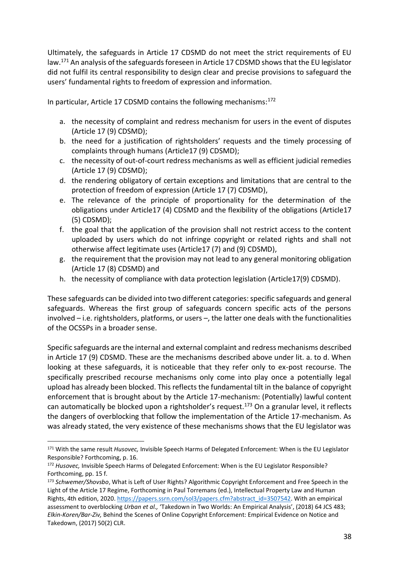Ultimately, the safeguards in Article 17 CDSMD do not meet the strict requirements of EU law.<sup>171</sup> An analysis of the safeguards foreseen in Article 17 CDSMD shows that the EU legislator did not fulfil its central responsibility to design clear and precise provisions to safeguard the users' fundamental rights to freedom of expression and information.

In particular, Article 17 CDSMD contains the following mechanisms:<sup>172</sup>

- a. the necessity of complaint and redress mechanism for users in the event of disputes (Article 17 (9) CDSMD);
- b. the need for a justification of rightsholders' requests and the timely processing of complaints through humans (Article17 (9) CDSMD);
- c. the necessity of out-of-court redress mechanisms as well as efficient judicial remedies (Article 17 (9) CDSMD);
- d. the rendering obligatory of certain exceptions and limitations that are central to the protection of freedom of expression (Article 17 (7) CDSMD),
- e. The relevance of the principle of proportionality for the determination of the obligations under Article17 (4) CDSMD and the flexibility of the obligations (Article17 (5) CDSMD);
- f. the goal that the application of the provision shall not restrict access to the content uploaded by users which do not infringe copyright or related rights and shall not otherwise affect legitimate uses (Article17 (7) and (9) CDSMD),
- g. the requirement that the provision may not lead to any general monitoring obligation (Article 17 (8) CDSMD) and
- h. the necessity of compliance with data protection legislation (Article17(9) CDSMD).

These safeguards can be divided into two different categories: specific safeguards and general safeguards. Whereas the first group of safeguards concern specific acts of the persons involved – i.e. rightsholders, platforms, or users –, the latter one deals with the functionalities of the OCSSPs in a broader sense.

Specific safeguards are the internal and external complaint and redress mechanisms described in Article 17 (9) CDSMD. These are the mechanisms described above under lit. a. to d. When looking at these safeguards, it is noticeable that they refer only to ex-post recourse. The specifically prescribed recourse mechanisms only come into play once a potentially legal upload has already been blocked. This reflects the fundamental tilt in the balance of copyright enforcement that is brought about by the Article 17-mechanism: (Potentially) lawful content can automatically be blocked upon a rightsholder's request.<sup>173</sup> On a granular level, it reflects the dangers of overblocking that follow the implementation of the Article 17-mechanism. As was already stated, the very existence of these mechanisms shows that the EU legislator was

<sup>171</sup> With the same result *Husovec,* Invisible Speech Harms of Delegated Enforcement: When is the EU Legislator Responsible? Forthcoming, p. 16.

<sup>172</sup> *Husovec,* Invisible Speech Harms of Delegated Enforcement: When is the EU Legislator Responsible? Forthcoming, pp. 15 f.

<sup>173</sup> *Schwemer/Shovsbo*, What is Left of User Rights? Algorithmic Copyright Enforcement and Free Speech in the Light of the Article 17 Regime, Forthcoming in Paul Torremans (ed.), Intellectual Property Law and Human Rights, 4th edition, 2020. [https://papers.ssrn.com/sol3/papers.cfm?abstract\\_id=3507542.](https://papers.ssrn.com/sol3/papers.cfm?abstract_id=3507542) With an empirical assessment to overblocking *Urban et al.,* 'Takedown in Two Worlds: An Empirical Analysis', (2018) 64 JCS 483; *Elkin-Koren/Bar-Ziv,* Behind the Scenes of Online Copyright Enforcement: Empirical Evidence on Notice and Takedown, (2017) 50(2) CLR.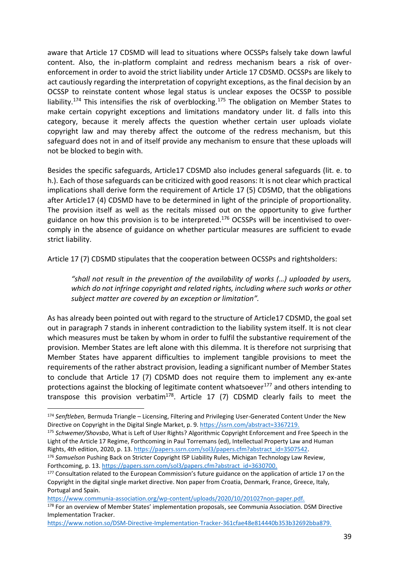aware that Article 17 CDSMD will lead to situations where OCSSPs falsely take down lawful content. Also, the in-platform complaint and redress mechanism bears a risk of overenforcement in order to avoid the strict liability under Article 17 CDSMD. OCSSPs are likely to act cautiously regarding the interpretation of copyright exceptions, as the final decision by an OCSSP to reinstate content whose legal status is unclear exposes the OCSSP to possible liability.<sup>174</sup> This intensifies the risk of overblocking.<sup>175</sup> The obligation on Member States to make certain copyright exceptions and limitations mandatory under lit. d falls into this category, because it merely affects the question whether certain user uploads violate copyright law and may thereby affect the outcome of the redress mechanism, but this safeguard does not in and of itself provide any mechanism to ensure that these uploads will not be blocked to begin with.

Besides the specific safeguards, Article17 CDSMD also includes general safeguards (lit. e. to h.). Each of those safeguards can be criticized with good reasons: It is not clear which practical implications shall derive form the requirement of Article 17 (5) CDSMD, that the obligations after Article17 (4) CDSMD have to be determined in light of the principle of proportionality. The provision itself as well as the recitals missed out on the opportunity to give further guidance on how this provision is to be interpreted.<sup>176</sup> OCSSPs will be incentivised to overcomply in the absence of guidance on whether particular measures are sufficient to evade strict liability.

Article 17 (7) CDSMD stipulates that the cooperation between OCSSPs and rightsholders:

*"shall not result in the prevention of the availability of works (…) uploaded by users, which do not infringe copyright and related rights, including where such works or other subject matter are covered by an exception or limitation".*

As has already been pointed out with regard to the structure of Article17 CDSMD, the goal set out in paragraph 7 stands in inherent contradiction to the liability system itself. It is not clear which measures must be taken by whom in order to fulfil the substantive requirement of the provision. Member States are left alone with this dilemma. It is therefore not surprising that Member States have apparent difficulties to implement tangible provisions to meet the requirements of the rather abstract provision, leading a significant number of Member States to conclude that Article 17 (7) CDSMD does not require them to implement any ex-ante protections against the blocking of legitimate content whatsoever<sup>177</sup> and others intending to transpose this provision verbatim<sup>178</sup>. Article 17 (7) CDSMD clearly fails to meet the

[https://www.communia-association.org/wp-content/uploads/2020/10/201027non-paper.pdf.](https://www.communia-association.org/wp-content/uploads/2020/10/201027non-paper.pdf)

<sup>174</sup> *Senftleben,* Bermuda Triangle – Licensing, Filtering and Privileging User-Generated Content Under the New Directive on Copyright in the Digital Single Market, p. 9. [https://ssrn.com/abstract=3367219.](https://ssrn.com/abstract=3367219)

<sup>175</sup> *Schwemer/Shovsbo*, What is Left of User Rights? Algorithmic Copyright Enforcement and Free Speech in the Light of the Article 17 Regime, Forthcoming in Paul Torremans (ed), Intellectual Property Law and Human Rights, 4th edition, 2020, p. 13. [https://papers.ssrn.com/sol3/papers.cfm?abstract\\_id=3507542.](https://papers.ssrn.com/sol3/papers.cfm?abstract_id=3507542)

<sup>176</sup> *Samuelson* Pushing Back on Stricter Copyright ISP Liability Rules, Michigan Technology Law Review, Forthcoming, p. 13. [https://papers.ssrn.com/sol3/papers.cfm?abstract\\_id=3630700.](https://papers.ssrn.com/sol3/papers.cfm?abstract_id=3630700)

<sup>&</sup>lt;sup>177</sup> Consultation related to the European Commission's future guidance on the application of article 17 on the Copyright in the digital single market directive. Non paper from Croatia, Denmark, France, Greece, Italy, Portugal and Spain.

<sup>178</sup> For an overview of Member States' implementation proposals, see Communia Association. DSM Directive Implementation Tracker.

[https://www.notion.so/DSM-Directive-Implementation-Tracker-361cfae48e814440b353b32692bba879.](https://www.notion.so/DSM-Directive-Implementation-Tracker-361cfae48e814440b353b32692bba879)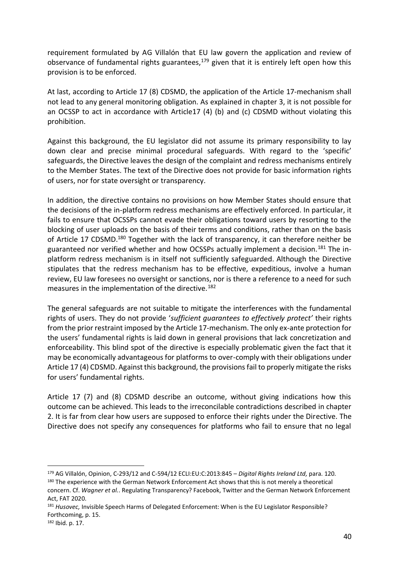requirement formulated by AG Villalón that EU law govern the application and review of observance of fundamental rights guarantees, $179$  given that it is entirely left open how this provision is to be enforced.

At last, according to Article 17 (8) CDSMD, the application of the Article 17-mechanism shall not lead to any general monitoring obligation. As explained in chapter 3, it is not possible for an OCSSP to act in accordance with Article17 (4) (b) and (c) CDSMD without violating this prohibition.

Against this background, the EU legislator did not assume its primary responsibility to lay down clear and precise minimal procedural safeguards. With regard to the 'specific' safeguards, the Directive leaves the design of the complaint and redress mechanisms entirely to the Member States. The text of the Directive does not provide for basic information rights of users, nor for state oversight or transparency.

In addition, the directive contains no provisions on how Member States should ensure that the decisions of the in-platform redress mechanisms are effectively enforced. In particular, it fails to ensure that OCSSPs cannot evade their obligations toward users by resorting to the blocking of user uploads on the basis of their terms and conditions, rather than on the basis of Article 17 CDSMD.<sup>180</sup> Together with the lack of transparency, it can therefore neither be guaranteed nor verified whether and how OCSSPs actually implement a decision.<sup>181</sup> The inplatform redress mechanism is in itself not sufficiently safeguarded. Although the Directive stipulates that the redress mechanism has to be effective, expeditious, involve a human review, EU law foresees no oversight or sanctions, nor is there a reference to a need for such measures in the implementation of the directive.<sup>182</sup>

The general safeguards are not suitable to mitigate the interferences with the fundamental rights of users. They do not provide '*sufficient guarantees to effectively protect'* their rights from the prior restraint imposed by the Article 17-mechanism. The only ex-ante protection for the users' fundamental rights is laid down in general provisions that lack concretization and enforceability. This blind spot of the directive is especially problematic given the fact that it may be economically advantageous for platforms to over-comply with their obligations under Article 17 (4) CDSMD. Against this background, the provisions fail to properly mitigate the risks for users' fundamental rights.

Article 17 (7) and (8) CDSMD describe an outcome, without giving indications how this outcome can be achieved. This leads to the irreconcilable contradictions described in chapter 2. It is far from clear how users are supposed to enforce their rights under the Directive. The Directive does not specify any consequences for platforms who fail to ensure that no legal

<sup>179</sup> AG Villalón, Opinion, C‐293/12 and C‐594/12 ECLI:EU:C:2013:845 – *Digital Rights Ireland Ltd,* para. 120. <sup>180</sup> The experience with the German Network Enforcement Act shows that this is not merely a theoretical concern. Cf. *Wagner et al.*. Regulating Transparency? Facebook, Twitter and the German Network Enforcement Act, FAT 2020.

<sup>181</sup> *Husovec,* Invisible Speech Harms of Delegated Enforcement: When is the EU Legislator Responsible? Forthcoming, p. 15.

<sup>182</sup> Ibid. p. 17.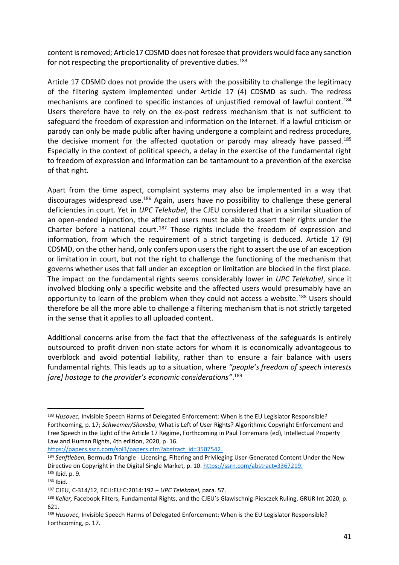content is removed; Article17 CDSMD does not foresee that providers would face any sanction for not respecting the proportionality of preventive duties.<sup>183</sup>

Article 17 CDSMD does not provide the users with the possibility to challenge the legitimacy of the filtering system implemented under Article 17 (4) CDSMD as such. The redress mechanisms are confined to specific instances of uniustified removal of lawful content.<sup>184</sup> Users therefore have to rely on the ex-post redress mechanism that is not sufficient to safeguard the freedom of expression and information on the Internet. If a lawful criticism or parody can only be made public after having undergone a complaint and redress procedure, the decisive moment for the affected quotation or parody may already have passed.<sup>185</sup> Especially in the context of political speech, a delay in the exercise of the fundamental right to freedom of expression and information can be tantamount to a prevention of the exercise of that right.

Apart from the time aspect, complaint systems may also be implemented in a way that discourages widespread use.<sup>186</sup> Again, users have no possibility to challenge these general deficiencies in court. Yet in *UPC Telekabel*, the CJEU considered that in a similar situation of an open-ended injunction, the affected users must be able to assert their rights under the Charter before a national court.<sup>187</sup> Those rights include the freedom of expression and information, from which the requirement of a strict targeting is deduced. Article 17 (9) CDSMD, on the other hand, only confers upon users the right to assert the use of an exception or limitation in court, but not the right to challenge the functioning of the mechanism that governs whether uses that fall under an exception or limitation are blocked in the first place. The impact on the fundamental rights seems considerably lower in *UPC Telekabel*, since it involved blocking only a specific website and the affected users would presumably have an opportunity to learn of the problem when they could not access a website.<sup>188</sup> Users should therefore be all the more able to challenge a filtering mechanism that is not strictly targeted in the sense that it applies to all uploaded content.

Additional concerns arise from the fact that the effectiveness of the safeguards is entirely outsourced to profit-driven non-state actors for whom it is economically advantageous to overblock and avoid potential liability, rather than to ensure a fair balance with users fundamental rights. This leads up to a situation, where *"people's freedom of speech interests [are] hostage to the provider's economic considerations"*. 189

[https://papers.ssrn.com/sol3/papers.cfm?abstract\\_id=3507542.](https://papers.ssrn.com/sol3/papers.cfm?abstract_id=3507542)

<sup>183</sup> *Husovec,* Invisible Speech Harms of Delegated Enforcement: When is the EU Legislator Responsible? Forthcoming, p. 17; *Schwemer/Shovsbo,* What is Left of User Rights? Algorithmic Copyright Enforcement and Free Speech in the Light of the Article 17 Regime, Forthcoming in Paul Torremans (ed), Intellectual Property Law and Human Rights, 4th edition, 2020, p. 16.

<sup>184</sup> *Senftleben,* Bermuda Triangle - Licensing, Filtering and Privileging User-Generated Content Under the New Directive on Copyright in the Digital Single Market, p. 10[. https://ssrn.com/abstract=3367219.](https://ssrn.com/abstract=3367219) <sup>185</sup> Ibid. p. 9.

<sup>186</sup> Ibid.

<sup>187</sup> CJEU, C-314/12, ECLI:EU:C:2014:192 – *UPC Telekabel,* para. 57.

<sup>188</sup> *Keller,* Facebook Filters, Fundamental Rights, and the CJEU's Glawischnig-Piesczek Ruling, GRUR Int 2020, p. 621.

<sup>189</sup> *Husovec,* Invisible Speech Harms of Delegated Enforcement: When is the EU Legislator Responsible? Forthcoming, p. 17.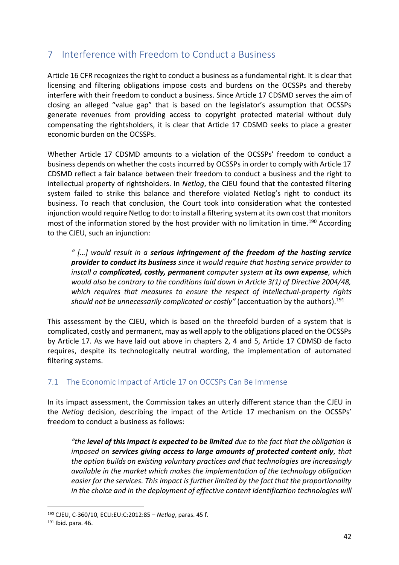# <span id="page-41-0"></span>7 Interference with Freedom to Conduct a Business

Article 16 CFR recognizes the right to conduct a business as a fundamental right. It is clear that licensing and filtering obligations impose costs and burdens on the OCSSPs and thereby interfere with their freedom to conduct a business. Since Article 17 CDSMD serves the aim of closing an alleged "value gap" that is based on the legislator's assumption that OCSSPs generate revenues from providing access to copyright protected material without duly compensating the rightsholders, it is clear that Article 17 CDSMD seeks to place a greater economic burden on the OCSSPs.

Whether Article 17 CDSMD amounts to a violation of the OCSSPs' freedom to conduct a business depends on whether the costs incurred by OCSSPs in order to comply with Article 17 CDSMD reflect a fair balance between their freedom to conduct a business and the right to intellectual property of rightsholders. In *Netlog*, the CJEU found that the contested filtering system failed to strike this balance and therefore violated Netlog's right to conduct its business. To reach that conclusion, the Court took into consideration what the contested injunction would require Netlog to do: to install a filtering system at its own cost that monitors most of the information stored by the host provider with no limitation in time.<sup>190</sup> According to the CJEU, such an injunction:

*" […] would result in a serious infringement of the freedom of the hosting service provider to conduct its business since it would require that hosting service provider to install a complicated, costly, permanent computer system at its own expense, which would also be contrary to the conditions laid down in Article 3(1) of Directive 2004/48, which requires that measures to ensure the respect of intellectual-property rights should not be unnecessarily complicated or costly"* (accentuation by the authors).<sup>191</sup>

This assessment by the CJEU, which is based on the threefold burden of a system that is complicated, costly and permanent, may as well apply to the obligations placed on the OCSSPs by Article 17. As we have laid out above in chapters 2, 4 and 5, Article 17 CDMSD de facto requires, despite its technologically neutral wording, the implementation of automated filtering systems.

### <span id="page-41-1"></span>7.1 The Economic Impact of Article 17 on OCCSPs Can Be Immense

In its impact assessment, the Commission takes an utterly different stance than the CJEU in the *Netlog* decision, describing the impact of the Article 17 mechanism on the OCSSPs' freedom to conduct a business as follows:

*"the level of this impact is expected to be limited due to the fact that the obligation is imposed on services giving access to large amounts of protected content only, that the option builds on existing voluntary practices and that technologies are increasingly available in the market which makes the implementation of the technology obligation easier for the services. This impact is further limited by the fact that the proportionality in the choice and in the deployment of effective content identification technologies will* 

<sup>190</sup> CJEU, C-360/10, ECLI:EU:C:2012:85 – *Netlog*, paras. 45 f.

<sup>191</sup> Ibid. para. 46.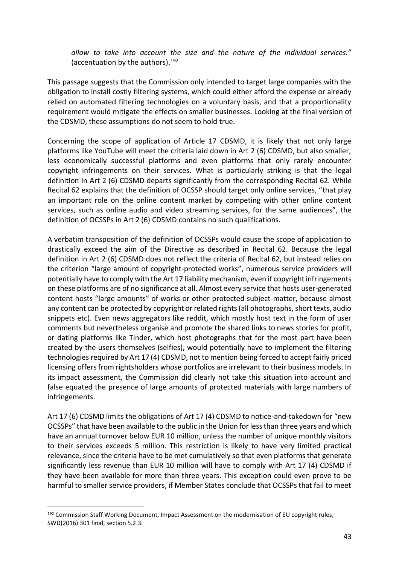*allow to take into account the size and the nature of the individual services.*" (accentuation by the authors). $192$ 

This passage suggests that the Commission only intended to target large companies with the obligation to install costly filtering systems, which could either afford the expense or already relied on automated filtering technologies on a voluntary basis, and that a proportionality requirement would mitigate the effects on smaller businesses. Looking at the final version of the CDSMD, these assumptions do not seem to hold true.

Concerning the scope of application of Article 17 CDSMD, it is likely that not only large platforms like YouTube will meet the criteria laid down in Art 2 (6) CDSMD, but also smaller, less economically successful platforms and even platforms that only rarely encounter copyright infringements on their services. What is particularly striking is that the legal definition in Art 2 (6) CDSMD departs significantly from the corresponding Recital 62. While Recital 62 explains that the definition of OCSSP should target only online services, "that play an important role on the online content market by competing with other online content services, such as online audio and video streaming services, for the same audiences", the definition of OCSSPs in Art 2 (6) CDSMD contains no such qualifications.

A verbatim transposition of the definition of OCSSPs would cause the scope of application to drastically exceed the aim of the Directive as described in Recital 62. Because the legal definition in Art 2 (6) CDSMD does not reflect the criteria of Recital 62, but instead relies on the criterion "large amount of copyright-protected works", numerous service providers will potentially have to comply with the Art 17 liability mechanism, even if copyright infringements on these platforms are of no significance at all. Almost every service that hosts user-generated content hosts "large amounts" of works or other protected subject-matter, because almost any content can be protected by copyright or related rights (all photographs, short texts, audio snippets etc). Even news aggregators like reddit, which mostly host text in the form of user comments but nevertheless organise and promote the shared links to news stories for profit, or dating platforms like Tinder, which host photographs that for the most part have been created by the users themselves (selfies), would potentially have to implement the filtering technologies required by Art 17 (4) CDSMD, not to mention being forced to accept fairly priced licensing offers from rightsholders whose portfolios are irrelevant to their business models. In its impact assessment, the Commission did clearly not take this situation into account and false equated the presence of large amounts of protected materials with large numbers of infringements.

Art 17 (6) CDSMD limits the obligations of Art 17 (4) CDSMD to notice-and-takedown for "new OCSSPs" that have been available to the public in the Union for less than three years and which have an annual turnover below EUR 10 million, unless the number of unique monthly visitors to their services exceeds 5 million. This restriction is likely to have very limited practical relevance, since the criteria have to be met cumulatively so that even platforms that generate significantly less revenue than EUR 10 million will have to comply with Art 17 (4) CDSMD if they have been available for more than three years. This exception could even prove to be harmful to smaller service providers, if Member States conclude that OCSSPs that fail to meet

<sup>&</sup>lt;sup>192</sup> Commission Staff Working Document, Impact Assessment on the modernisation of EU copyright rules, SWD(2016) 301 final, section 5.2.3.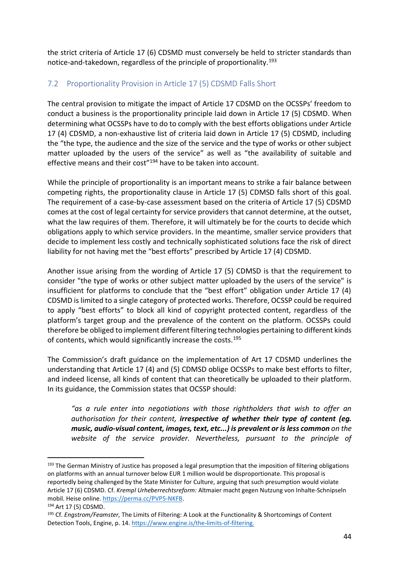the strict criteria of Article 17 (6) CDSMD must conversely be held to stricter standards than notice-and-takedown, regardless of the principle of proportionality.<sup>193</sup>

### <span id="page-43-0"></span>7.2 Proportionality Provision in Article 17 (5) CDSMD Falls Short

The central provision to mitigate the impact of Article 17 CDSMD on the OCSSPs' freedom to conduct a business is the proportionality principle laid down in Article 17 (5) CDSMD. When determining what OCSSPs have to do to comply with the best efforts obligations under Article 17 (4) CDSMD, a non-exhaustive list of criteria laid down in Article 17 (5) CDSMD, including the "the type, the audience and the size of the service and the type of works or other subject matter uploaded by the users of the service" as well as "the availability of suitable and effective means and their cost<sup>"194</sup> have to be taken into account.

While the principle of proportionality is an important means to strike a fair balance between competing rights, the proportionality clause in Article 17 (5) CDMSD falls short of this goal. The requirement of a case-by-case assessment based on the criteria of Article 17 (5) CDSMD comes at the cost of legal certainty for service providers that cannot determine, at the outset, what the law requires of them. Therefore, it will ultimately be for the courts to decide which obligations apply to which service providers. In the meantime, smaller service providers that decide to implement less costly and technically sophisticated solutions face the risk of direct liability for not having met the "best efforts" prescribed by Article 17 (4) CDSMD.

Another issue arising from the wording of Article 17 (5) CDMSD is that the requirement to consider "the type of works or other subject matter uploaded by the users of the service" is insufficient for platforms to conclude that the "best effort" obligation under Article 17 (4) CDSMD is limited to a single category of protected works. Therefore, OCSSP could be required to apply "best efforts" to block all kind of copyright protected content, regardless of the platform's target group and the prevalence of the content on the platform. OCSSPs could therefore be obliged to implement different filtering technologies pertaining to different kinds of contents, which would significantly increase the costs.<sup>195</sup>

The Commission's draft guidance on the implementation of Art 17 CDSMD underlines the understanding that Article 17 (4) and (5) CDMSD oblige OCSSPs to make best efforts to filter, and indeed license, all kinds of content that can theoretically be uploaded to their platform. In its guidance, the Commission states that OCSSP should:

*"as a rule enter into negotiations with those rightholders that wish to offer an authorisation for their content, irrespective of whether their type of content (eg. music, audio-visual content, images, text, etc...) is prevalent or is less common on the*  website of the service provider. Nevertheless, pursuant to the principle of

<sup>193</sup> The German Ministry of Justice has proposed a legal presumption that the imposition of filtering obligations on platforms with an annual turnover below EUR 1 million would be disproportionate. This proposal is reportedly being challenged by the State Minister for Culture, arguing that such presumption would violate Article 17 (6) CDSMD. Cf. *Krempl Urheberrechtsreform:* Altmaier macht gegen Nutzung von Inhalte-Schnipseln mobil. Heise online[. https://perma.cc/PVP5-NKFB.](https://perma.cc/PVP5-NKFB)

<sup>194</sup> Art 17 (5) CDSMD.

<sup>195</sup> Cf. *Engstrom/Feamster,* The Limits of Filtering: A Look at the Functionality & Shortcomings of Content Detection Tools, Engine, p. 14. [https://www.engine.is/the-limits-of-filtering.](https://www.engine.is/the-limits-of-filtering)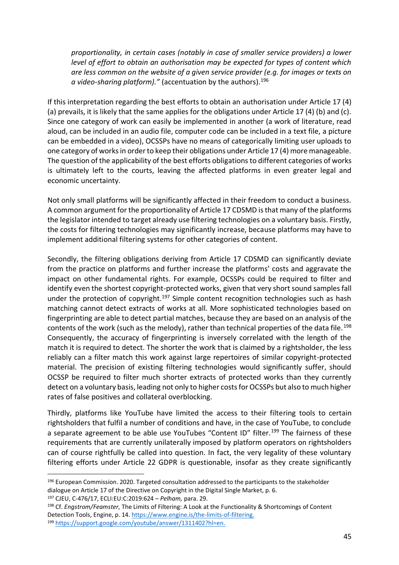*proportionality, in certain cases (notably in case of smaller service providers) a lower level of effort to obtain an authorisation may be expected for types of content which are less common on the website of a given service provider (e.g. for images or texts on a video-sharing platform)."* (accentuation by the authors).<sup>196</sup>

If this interpretation regarding the best efforts to obtain an authorisation under Article 17 (4) (a) prevails, it is likely that the same applies for the obligations under Article 17 (4) (b) and (c). Since one category of work can easily be implemented in another (a work of literature, read aloud, can be included in an audio file, computer code can be included in a text file, a picture can be embedded in a video), OCSSPs have no means of categorically limiting user uploads to one category of works in order to keep their obligations under Article 17 (4) more manageable. The question of the applicability of the best efforts obligations to different categories of works is ultimately left to the courts, leaving the affected platforms in even greater legal and economic uncertainty.

Not only small platforms will be significantly affected in their freedom to conduct a business. A common argument for the proportionality of Article 17 CDSMD is that many of the platforms the legislator intended to target already use filtering technologies on a voluntary basis. Firstly, the costs for filtering technologies may significantly increase, because platforms may have to implement additional filtering systems for other categories of content.

Secondly, the filtering obligations deriving from Article 17 CDSMD can significantly deviate from the practice on platforms and further increase the platforms' costs and aggravate the impact on other fundamental rights. For example, OCSSPs could be required to filter and identify even the shortest copyright-protected works, given that very short sound samples fall under the protection of copyright.<sup>197</sup> Simple content recognition technologies such as hash matching cannot detect extracts of works at all. More sophisticated technologies based on fingerprinting are able to detect partial matches, because they are based on an analysis of the contents of the work (such as the melody), rather than technical properties of the data file.<sup>198</sup> Consequently, the accuracy of fingerprinting is inversely correlated with the length of the match it is required to detect. The shorter the work that is claimed by a rightsholder, the less reliably can a filter match this work against large repertoires of similar copyright-protected material. The precision of existing filtering technologies would significantly suffer, should OCSSP be required to filter much shorter extracts of protected works than they currently detect on a voluntary basis, leading not only to higher costs for OCSSPs but also to much higher rates of false positives and collateral overblocking.

Thirdly, platforms like YouTube have limited the access to their filtering tools to certain rightsholders that fulfil a number of conditions and have, in the case of YouTube, to conclude a separate agreement to be able use YouTubes "Content ID" filter.<sup>199</sup> The fairness of these requirements that are currently unilaterally imposed by platform operators on rightsholders can of course rightfully be called into question. In fact, the very legality of these voluntary filtering efforts under Article 22 GDPR is questionable, insofar as they create significantly

 $196$  European Commission. 2020. Targeted consultation addressed to the participants to the stakeholder dialogue on Article 17 of the Directive on Copyright in the Digital Single Market, p. 6.

<sup>197</sup> CJEU, C-476/17, ECLI:EU:C:2019:624 – *Pelham,* para. 29.

<sup>198</sup> Cf. *Engstrom/Feamster,* The Limits of Filtering: A Look at the Functionality & Shortcomings of Content Detection Tools, Engine, p. 14. [https://www.engine.is/the-limits-of-filtering.](https://www.engine.is/the-limits-of-filtering)

<sup>199</sup> [https://support.google.com/youtube/answer/1311402?hl=en.](https://support.google.com/youtube/answer/1311402?hl=en)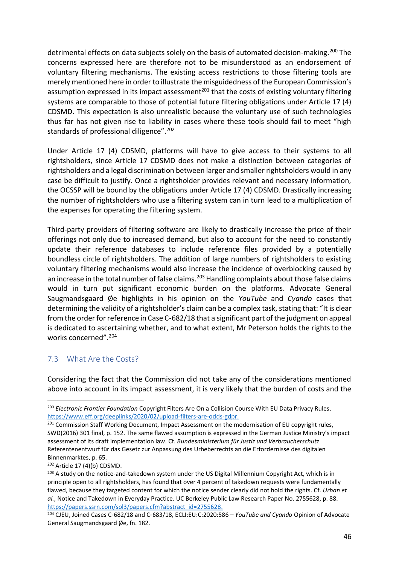detrimental effects on data subjects solely on the basis of automated decision-making.<sup>200</sup> The concerns expressed here are therefore not to be misunderstood as an endorsement of voluntary filtering mechanisms. The existing access restrictions to those filtering tools are merely mentioned here in order to illustrate the misguidedness of the European Commission's assumption expressed in its impact assessment<sup>201</sup> that the costs of existing voluntary filtering systems are comparable to those of potential future filtering obligations under Article 17 (4) CDSMD. This expectation is also unrealistic because the voluntary use of such technologies thus far has not given rise to liability in cases where these tools should fail to meet "high standards of professional diligence".<sup>202</sup>

Under Article 17 (4) CDSMD, platforms will have to give access to their systems to all rightsholders, since Article 17 CDSMD does not make a distinction between categories of rightsholders and a legal discrimination between larger and smaller rightsholders would in any case be difficult to justify. Once a rightsholder provides relevant and necessary information, the OCSSP will be bound by the obligations under Article 17 (4) CDSMD. Drastically increasing the number of rightsholders who use a filtering system can in turn lead to a multiplication of the expenses for operating the filtering system.

Third-party providers of filtering software are likely to drastically increase the price of their offerings not only due to increased demand, but also to account for the need to constantly update their reference databases to include reference files provided by a potentially boundless circle of rightsholders. The addition of large numbers of rightsholders to existing voluntary filtering mechanisms would also increase the incidence of overblocking caused by an increase in the total number of false claims.<sup>203</sup> Handling complaints about those false claims would in turn put significant economic burden on the platforms. Advocate General Saugmandsgaard Øe highlights in his opinion on the *YouTube* and *Cyando* cases that determining the validity of a rightsholder's claim can be a complex task, stating that: "It is clear from the order for reference in Case C‑682/18 that a significant part of the judgment on appeal is dedicated to ascertaining whether, and to what extent, Mr Peterson holds the rights to the works concerned".<sup>204</sup>

### <span id="page-45-0"></span>7.3 What Are the Costs?

Considering the fact that the Commission did not take any of the considerations mentioned above into account in its impact assessment, it is very likely that the burden of costs and the

<sup>200</sup> *Electronic Frontier Foundation* Copyright Filters Are On a Collision Course With EU Data Privacy Rules. [https://www.eff.org/deeplinks/2020/02/upload-filters-are-odds-gdpr.](https://www.eff.org/deeplinks/2020/02/upload-filters-are-odds-gdpr)

<sup>&</sup>lt;sup>201</sup> Commission Staff Working Document, Impact Assessment on the modernisation of EU copyright rules, SWD(2016) 301 final, p. 152. The same flawed assumption is expressed in the German Justice Ministry's impact assessment of its draft implementation law. Cf. *Bundesministerium für Justiz und Verbraucherschutz* Referentenentwurf für das Gesetz zur Anpassung des Urheberrechts an die Erfordernisse des digitalen Binnenmarktes, p. 65.

<sup>202</sup> Article 17 (4)(b) CDSMD.

<sup>&</sup>lt;sup>203</sup> A study on the notice-and-takedown system under the US Digital Millennium Copyright Act, which is in principle open to all rightsholders, has found that over 4 percent of takedown requests were fundamentally flawed, because they targeted content for which the notice sender clearly did not hold the rights. Cf. *Urban et al.*, Notice and Takedown in Everyday Practice. UC Berkeley Public Law Research Paper No. 2755628, p. 88. [https://papers.ssrn.com/sol3/papers.cfm?abstract\\_id=2755628.](https://papers.ssrn.com/sol3/papers.cfm?abstract_id=2755628)

<sup>204</sup> CJEU, Joined Cases C‑682/18 and C‑683/18, ECLI:EU:C:2020:586 – *YouTube and Cyando* Opinion of Advocate General Saugmandsgaard Øe, fn. 182.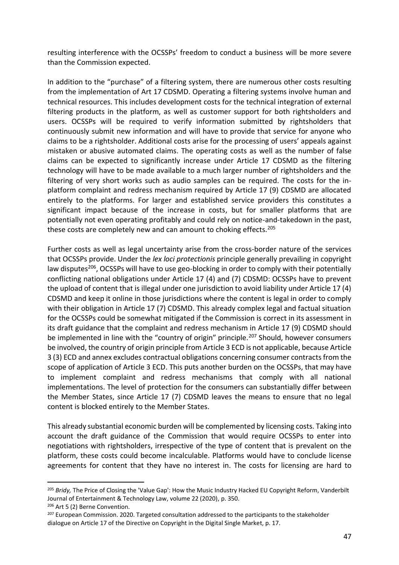resulting interference with the OCSSPs' freedom to conduct a business will be more severe than the Commission expected.

In addition to the "purchase" of a filtering system, there are numerous other costs resulting from the implementation of Art 17 CDSMD. Operating a filtering systems involve human and technical resources. This includes development costs for the technical integration of external filtering products in the platform, as well as customer support for both rightsholders and users. OCSSPs will be required to verify information submitted by rightsholders that continuously submit new information and will have to provide that service for anyone who claims to be a rightsholder. Additional costs arise for the processing of users' appeals against mistaken or abusive automated claims. The operating costs as well as the number of false claims can be expected to significantly increase under Article 17 CDSMD as the filtering technology will have to be made available to a much larger number of rightsholders and the filtering of very short works such as audio samples can be required. The costs for the inplatform complaint and redress mechanism required by Article 17 (9) CDSMD are allocated entirely to the platforms. For larger and established service providers this constitutes a significant impact because of the increase in costs, but for smaller platforms that are potentially not even operating profitably and could rely on notice-and-takedown in the past, these costs are completely new and can amount to choking effects.<sup>205</sup>

Further costs as well as legal uncertainty arise from the cross-border nature of the services that OCSSPs provide. Under the *lex loci protectionis* principle generally prevailing in copyright law disputes<sup>206</sup>, OCSSPs will have to use geo-blocking in order to comply with their potentially conflicting national obligations under Article 17 (4) and (7) CDSMD: OCSSPs have to prevent the upload of content that is illegal under one jurisdiction to avoid liability under Article 17 (4) CDSMD and keep it online in those jurisdictions where the content is legal in order to comply with their obligation in Article 17 (7) CDSMD. This already complex legal and factual situation for the OCSSPs could be somewhat mitigated if the Commission is correct in its assessment in its draft guidance that the complaint and redress mechanism in Article 17 (9) CDSMD should be implemented in line with the "country of origin" principle.<sup>207</sup> Should, however consumers be involved, the country of origin principle from Article 3 ECD is not applicable, because Article 3 (3) ECD and annex excludes contractual obligations concerning consumer contracts from the scope of application of Article 3 ECD. This puts another burden on the OCSSPs, that may have to implement complaint and redress mechanisms that comply with all national implementations. The level of protection for the consumers can substantially differ between the Member States, since Article 17 (7) CDSMD leaves the means to ensure that no legal content is blocked entirely to the Member States.

This already substantial economic burden will be complemented by licensing costs. Taking into account the draft guidance of the Commission that would require OCSSPs to enter into negotiations with rightsholders, irrespective of the type of content that is prevalent on the platform, these costs could become incalculable. Platforms would have to conclude license agreements for content that they have no interest in. The costs for licensing are hard to

<sup>&</sup>lt;sup>205</sup> Bridy, The Price of Closing the 'Value Gap': How the Music Industry Hacked EU Copyright Reform, Vanderbilt Journal of Entertainment & Technology Law, volume 22 (2020), p. 350.

<sup>206</sup> Art 5 (2) Berne Convention.

<sup>&</sup>lt;sup>207</sup> European Commission. 2020. Targeted consultation addressed to the participants to the stakeholder dialogue on Article 17 of the Directive on Copyright in the Digital Single Market, p. 17.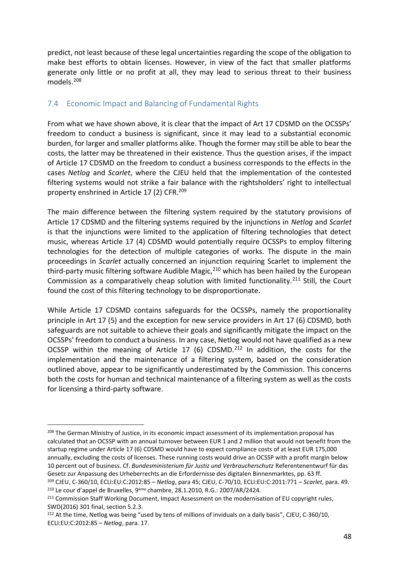predict, not least because of these legal uncertainties regarding the scope of the obligation to make best efforts to obtain licenses. However, in view of the fact that smaller platforms generate only little or no profit at all, they may lead to serious threat to their business models.<sup>208</sup>

### <span id="page-47-0"></span>7.4 Economic Impact and Balancing of Fundamental Rights

From what we have shown above, it is clear that the impact of Art 17 CDSMD on the OCSSPs' freedom to conduct a business is significant, since it may lead to a substantial economic burden, for larger and smaller platforms alike. Though the former may still be able to bear the costs, the latter may be threatened in their existence. Thus the question arises, if the impact of Article 17 CDSMD on the freedom to conduct a business corresponds to the effects in the cases *Netlog* and *Scarlet*, where the CJEU held that the implementation of the contested filtering systems would not strike a fair balance with the rightsholders' right to intellectual property enshrined in Article 17 (2) CFR.<sup>209</sup>

The main difference between the filtering system required by the statutory provisions of Article 17 CDSMD and the filtering systems required by the injunctions in *Netlog* and *Scarlet*  is that the injunctions were limited to the application of filtering technologies that detect music, whereas Article 17 (4) CDSMD would potentially require OCSSPs to employ filtering technologies for the detection of multiple categories of works. The dispute in the main proceedings in *Scarlet* actually concerned an injunction requiring Scarlet to implement the third-party music filtering software Audible Magic,<sup>210</sup> which has been hailed by the European Commission as a comparatively cheap solution with limited functionality.<sup>211</sup> Still, the Court found the cost of this filtering technology to be disproportionate.

While Article 17 CDSMD contains safeguards for the OCSSPs, namely the proportionality principle in Art 17 (5) and the exception for new service providers in Art 17 (6) CDSMD, both safeguards are not suitable to achieve their goals and significantly mitigate the impact on the OCSSPs' freedom to conduct a business. In any case, Netlog would not have qualified as a new OCSSP within the meaning of Article 17 (6) CDSMD.<sup>212</sup> In addition, the costs for the implementation and the maintenance of a filtering system, based on the consideration outlined above, appear to be significantly underestimated by the Commission. This concerns both the costs for human and technical maintenance of a filtering system as well as the costs for licensing a third-party software.

<sup>&</sup>lt;sup>208</sup> The German Ministry of Justice, in its economic impact assessment of its implementation proposal has calculated that an OCSSP with an annual turnover between EUR 1 and 2 million that would not benefit from the startup regime under Article 17 (6) CDSMD would have to expect compliance costs of at least EUR 175,000 annually, excluding the costs of licenses. These running costs would drive an OCSSP with a profit margin below 10 percent out of business. Cf. *Bundesministerium für Justiz und Verbraucherschutz* Referentenentwurf für das Gesetz zur Anpassung des Urheberrechts an die Erfordernisse des digitalen Binnenmarktes, pp. 63 ff.

<sup>209</sup> CJEU, C-360/10, ECLI:EU:C:2012:85 – *Netlog*, para 45; CJEU, C-70/10, ECLI:EU:C:2011:771 – *Scarlet*, para. 49. <sup>210</sup> Le cour d'appel de Bruxelles, 9ème chambre, 28.1.2010, R.G.: 2007/AR/2424.

<sup>&</sup>lt;sup>211</sup> Commission Staff Working Document, Impact Assessment on the modernisation of EU copyright rules, SWD(2016) 301 final, section 5.2.3.

<sup>&</sup>lt;sup>212</sup> At the time, Netlog was being "used by tens of millions of inviduals on a daily basis", CJEU, C-360/10, ECLI:EU:C:2012:85 – *Netlog*, para. 17.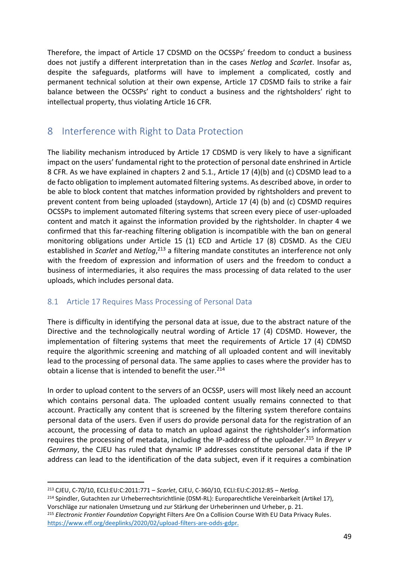Therefore, the impact of Article 17 CDSMD on the OCSSPs' freedom to conduct a business does not justify a different interpretation than in the cases *Netlog* and *Scarlet*. Insofar as, despite the safeguards, platforms will have to implement a complicated, costly and permanent technical solution at their own expense, Article 17 CDSMD fails to strike a fair balance between the OCSSPs' right to conduct a business and the rightsholders' right to intellectual property, thus violating Article 16 CFR.

### <span id="page-48-0"></span>8 Interference with Right to Data Protection

The liability mechanism introduced by Article 17 CDSMD is very likely to have a significant impact on the users' fundamental right to the protection of personal date enshrined in Article 8 CFR. As we have explained in chapters 2 and 5.1., Article 17 (4)(b) and (c) CDSMD lead to a de facto obligation to implement automated filtering systems. As described above, in order to be able to block content that matches information provided by rightsholders and prevent to prevent content from being uploaded (staydown), Article 17 (4) (b) and (c) CDSMD requires OCSSPs to implement automated filtering systems that screen every piece of user-uploaded content and match it against the information provided by the rightsholder. In chapter 4 we confirmed that this far-reaching filtering obligation is incompatible with the ban on general monitoring obligations under Article 15 (1) ECD and Article 17 (8) CDSMD. As the CJEU established in *Scarlet* and *Netlog*, <sup>213</sup> a filtering mandate constitutes an interference not only with the freedom of expression and information of users and the freedom to conduct a business of intermediaries, it also requires the mass processing of data related to the user uploads, which includes personal data.

### <span id="page-48-1"></span>8.1 Article 17 Requires Mass Processing of Personal Data

There is difficulty in identifying the personal data at issue, due to the abstract nature of the Directive and the technologically neutral wording of Article 17 (4) CDSMD. However, the implementation of filtering systems that meet the requirements of Article 17 (4) CDMSD require the algorithmic screening and matching of all uploaded content and will inevitably lead to the processing of personal data. The same applies to cases where the provider has to obtain a license that is intended to benefit the user. $214$ 

In order to upload content to the servers of an OCSSP, users will most likely need an account which contains personal data. The uploaded content usually remains connected to that account. Practically any content that is screened by the filtering system therefore contains personal data of the users. Even if users do provide personal data for the registration of an account, the processing of data to match an upload against the rightsholder's information requires the processing of metadata, including the IP-address of the uploader.<sup>215</sup> In *Breyer v Germany*, the CJEU has ruled that dynamic IP addresses constitute personal data if the IP address can lead to the identification of the data subject, even if it requires a combination

<sup>213</sup> CJEU, C-70/10, ECLI:EU:C:2011:771 – *Scarlet*, CJEU, C-360/10, ECLI:EU:C:2012:85 – *Netlog.*

<sup>&</sup>lt;sup>214</sup> Spindler, Gutachten zur Urheberrechtsrichtlinie (DSM-RL): Europarechtliche Vereinbarkeit (Artikel 17), Vorschläge zur nationalen Umsetzung und zur Stärkung der Urheberinnen und Urheber, p. 21.

<sup>215</sup> *Electronic Frontier Foundation* Copyright Filters Are On a Collision Course With EU Data Privacy Rules. [https://www.eff.org/deeplinks/2020/02/upload-filters-are-odds-gdpr.](https://www.eff.org/deeplinks/2020/02/upload-filters-are-odds-gdpr)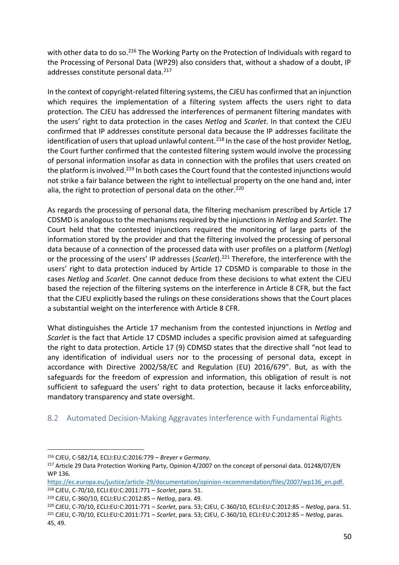with other data to do so.<sup>216</sup> The Working Party on the Protection of Individuals with regard to the Processing of Personal Data (WP29) also considers that, without a shadow of a doubt, IP addresses constitute personal data.<sup>217</sup>

In the context of copyright-related filtering systems, the CJEU has confirmed that an injunction which requires the implementation of a filtering system affects the users right to data protection. The CJEU has addressed the interferences of permanent filtering mandates with the users' right to data protection in the cases *Netlog* and *Scarlet*. In that context the CJEU confirmed that IP addresses constitute personal data because the IP addresses facilitate the identification of users that upload unlawful content.<sup>218</sup> In the case of the host provider Netlog, the Court further confirmed that the contested filtering system would involve the processing of personal information insofar as data in connection with the profiles that users created on the platform is involved.<sup>219</sup> In both cases the Court found that the contested injunctions would not strike a fair balance between the right to intellectual property on the one hand and, inter alia, the right to protection of personal data on the other.<sup>220</sup>

As regards the processing of personal data, the filtering mechanism prescribed by Article 17 CDSMD is analogous to the mechanisms required by the injunctions in *Netlog* and *Scarlet*. The Court held that the contested injunctions required the monitoring of large parts of the information stored by the provider and that the filtering involved the processing of personal data because of a connection of the processed data with user profiles on a platform (*Netlog*) or the processing of the users' IP addresses (*Scarlet*).<sup>221</sup> Therefore, the interference with the users' right to data protection induced by Article 17 CDSMD is comparable to those in the cases *Netlog* and *Scarlet*. One cannot deduce from these decisions to what extent the CJEU based the rejection of the filtering systems on the interference in Article 8 CFR, but the fact that the CJEU explicitly based the rulings on these considerations shows that the Court places a substantial weight on the interference with Article 8 CFR.

What distinguishes the Article 17 mechanism from the contested injunctions in *Netlog* and *Scarlet* is the fact that Article 17 CDSMD includes a specific provision aimed at safeguarding the right to data protection. Article 17 (9) CDMSD states that the directive shall "not lead to any identification of individual users nor to the processing of personal data, except in accordance with Directive 2002/58/EC and Regulation (EU) 2016/679". But, as with the safeguards for the freedom of expression and information, this obligation of result is not sufficient to safeguard the users' right to data protection, because it lacks enforceability, mandatory transparency and state oversight.

### <span id="page-49-0"></span>8.2 Automated Decision-Making Aggravates Interference with Fundamental Rights

<sup>216</sup> CJEU, C-582/14, ECLI:EU:C:2016:779 – *Breyer v Germany.*

<sup>&</sup>lt;sup>217</sup> Article 29 Data Protection Working Party, Opinion 4/2007 on the concept of personal data. 01248/07/EN WP 136.

[https://ec.europa.eu/justice/article-29/documentation/opinion-recommendation/files/2007/wp136\\_en.pdf.](https://ec.europa.eu/justice/article-29/documentation/opinion-recommendation/files/2007/wp136_en.pdf)  <sup>218</sup> CJEU, C-70/10, ECLI:EU:C:2011:771 – *Scarlet*, para. 51.

<sup>219</sup> CJEU, C-360/10, ECLI:EU:C:2012:85 – *Netlog*, para. 49.

<sup>220</sup> CJEU, C-70/10, ECLI:EU:C:2011:771 – *Scarlet*, para. 53; CJEU, C-360/10, ECLI:EU:C:2012:85 – *Netlog*, para. 51.

<sup>221</sup> CJEU, C-70/10, ECLI:EU:C:2011:771 – *Scarlet*, para. 53; CJEU, C-360/10, ECLI:EU:C:2012:85 – *Netlog*, paras. 45, 49.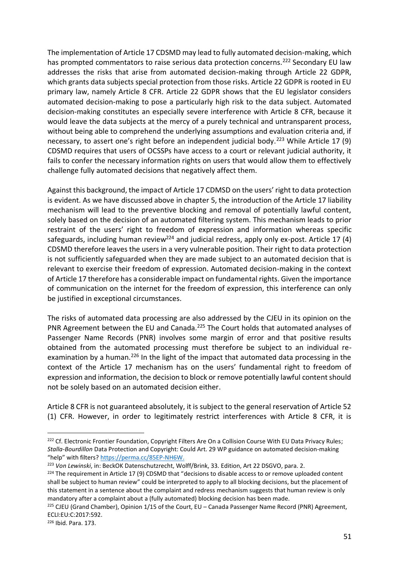The implementation of Article 17 CDSMD may lead to fully automated decision-making, which has prompted commentators to raise serious data protection concerns.<sup>222</sup> Secondary EU law addresses the risks that arise from automated decision-making through Article 22 GDPR, which grants data subjects special protection from those risks. Article 22 GDPR is rooted in EU primary law, namely Article 8 CFR. Article 22 GDPR shows that the EU legislator considers automated decision-making to pose a particularly high risk to the data subject. Automated decision-making constitutes an especially severe interference with Article 8 CFR, because it would leave the data subjects at the mercy of a purely technical and untransparent process, without being able to comprehend the underlying assumptions and evaluation criteria and, if necessary, to assert one's right before an independent judicial body.<sup>223</sup> While Article 17 (9) CDSMD requires that users of OCSSPs have access to a court or relevant judicial authority, it fails to confer the necessary information rights on users that would allow them to effectively challenge fully automated decisions that negatively affect them.

Against this background, the impact of Article 17 CDMSD on the users' right to data protection is evident. As we have discussed above in chapter 5, the introduction of the Article 17 liability mechanism will lead to the preventive blocking and removal of potentially lawful content, solely based on the decision of an automated filtering system. This mechanism leads to prior restraint of the users' right to freedom of expression and information whereas specific safeguards, including human review<sup>224</sup> and judicial redress, apply only ex-post. Article 17 (4) CDSMD therefore leaves the users in a very vulnerable position. Their right to data protection is not sufficiently safeguarded when they are made subject to an automated decision that is relevant to exercise their freedom of expression. Automated decision-making in the context of Article 17 therefore has a considerable impact on fundamental rights. Given the importance of communication on the internet for the freedom of expression, this interference can only be justified in exceptional circumstances.

The risks of automated data processing are also addressed by the CJEU in its opinion on the PNR Agreement between the EU and Canada.<sup>225</sup> The Court holds that automated analyses of Passenger Name Records (PNR) involves some margin of error and that positive results obtained from the automated processing must therefore be subject to an individual reexamination by a human.<sup>226</sup> In the light of the impact that automated data processing in the context of the Article 17 mechanism has on the users' fundamental right to freedom of expression and information, the decision to block or remove potentially lawful content should not be solely based on an automated decision either.

Article 8 CFR is not guaranteed absolutely, it is subject to the general reservation of Article 52 (1) CFR. However, in order to legitimately restrict interferences with Article 8 CFR, it is

<sup>&</sup>lt;sup>222</sup> Cf. Electronic Frontier Foundation, Copyright Filters Are On a Collision Course With EU Data Privacy Rules; *Stalla-Bourdillon* Data Protection and Copyright: Could Art. 29 WP guidance on automated decision-making "help" with filters? [https://perma.cc/85EP-NH6W.](https://perma.cc/85EP-NH6W)

<sup>223</sup> *Von Lewinski*, in: BeckOK Datenschutzrecht, Wolff/Brink, 33. Edition, Art 22 DSGVO, para. 2.

<sup>&</sup>lt;sup>224</sup> The requirement in Article 17 (9) CDSMD that "decisions to disable access to or remove uploaded content shall be subject to human review" could be interpreted to apply to all blocking decisions, but the placement of this statement in a sentence about the complaint and redress mechanism suggests that human review is only mandatory after a complaint about a (fully automated) blocking decision has been made.

<sup>225</sup> CJEU (Grand Chamber), Opinion 1/15 of the Court, EU – Canada Passenger Name Record (PNR) Agreement, ECLI:EU:C:2017:592.

<sup>226</sup> Ibid. Para. 173.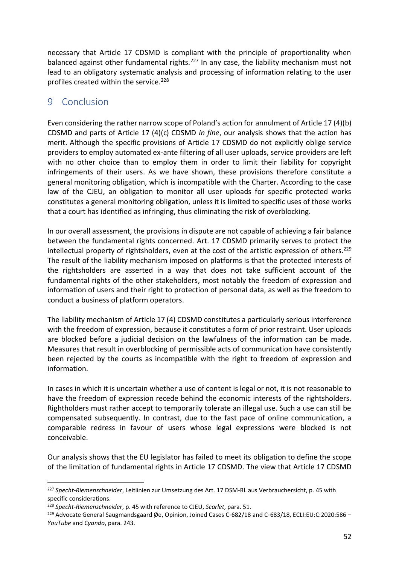necessary that Article 17 CDSMD is compliant with the principle of proportionality when balanced against other fundamental rights.<sup>227</sup> In any case, the liability mechanism must not lead to an obligatory systematic analysis and processing of information relating to the user profiles created within the service.<sup>228</sup>

### <span id="page-51-0"></span>9 Conclusion

Even considering the rather narrow scope of Poland's action for annulment of Article 17 (4)(b) CDSMD and parts of Article 17 (4)(c) CDSMD *in fine*, our analysis shows that the action has merit. Although the specific provisions of Article 17 CDSMD do not explicitly oblige service providers to employ automated ex-ante filtering of all user uploads, service providers are left with no other choice than to employ them in order to limit their liability for copyright infringements of their users. As we have shown, these provisions therefore constitute a general monitoring obligation, which is incompatible with the Charter. According to the case law of the CJEU, an obligation to monitor all user uploads for specific protected works constitutes a general monitoring obligation, unless it is limited to specific uses of those works that a court has identified as infringing, thus eliminating the risk of overblocking.

In our overall assessment, the provisions in dispute are not capable of achieving a fair balance between the fundamental rights concerned. Art. 17 CDSMD primarily serves to protect the intellectual property of rightsholders, even at the cost of the artistic expression of others.<sup>229</sup> The result of the liability mechanism imposed on platforms is that the protected interests of the rightsholders are asserted in a way that does not take sufficient account of the fundamental rights of the other stakeholders, most notably the freedom of expression and information of users and their right to protection of personal data, as well as the freedom to conduct a business of platform operators.

The liability mechanism of Article 17 (4) CDSMD constitutes a particularly serious interference with the freedom of expression, because it constitutes a form of prior restraint. User uploads are blocked before a judicial decision on the lawfulness of the information can be made. Measures that result in overblocking of permissible acts of communication have consistently been rejected by the courts as incompatible with the right to freedom of expression and information.

In cases in which it is uncertain whether a use of content is legal or not, it is not reasonable to have the freedom of expression recede behind the economic interests of the rightsholders. Rightholders must rather accept to temporarily tolerate an illegal use. Such a use can still be compensated subsequently. In contrast, due to the fast pace of online communication, a comparable redress in favour of users whose legal expressions were blocked is not conceivable.

Our analysis shows that the EU legislator has failed to meet its obligation to define the scope of the limitation of fundamental rights in Article 17 CDSMD. The view that Article 17 CDSMD

<sup>227</sup> *Specht-Riemenschneider*, Leitlinien zur Umsetzung des Art. 17 DSM-RL aus Verbrauchersicht, p. 45 with specific considerations.

<sup>228</sup> *Specht-Riemenschneider*, p. 45 with reference to CJEU, *Scarlet*, para. 51.

<sup>&</sup>lt;sup>229</sup> Advocate General Saugmandsgaard Øe, Opinion, Joined Cases C-682/18 and C-683/18, ECLI:EU:C:2020:586 -*YouTube* and *Cyando*, para. 243.